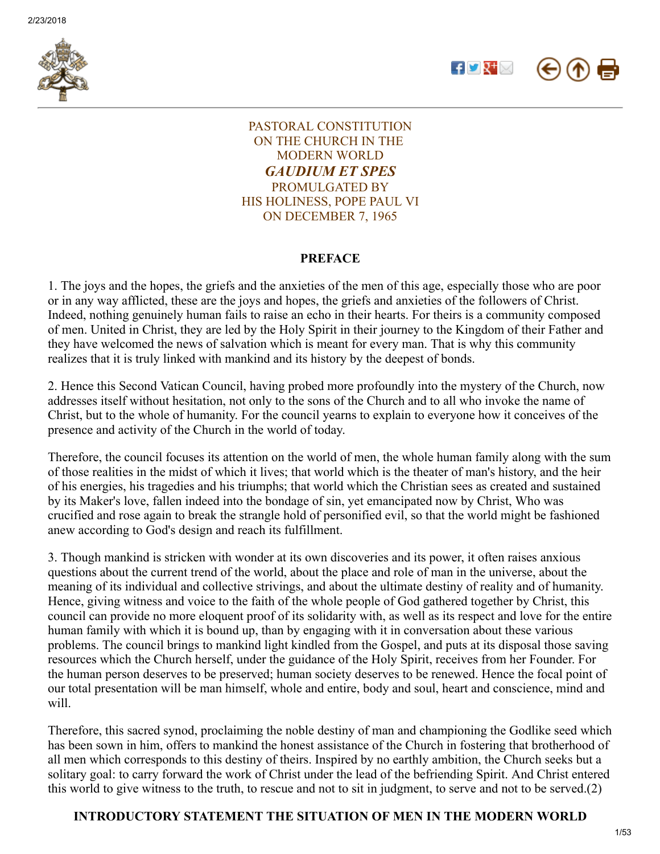



PASTORAL CONSTITUTION ON THE CHURCH IN THE MODERN WORLD *GAUDIUM ET SPES* PROMULGATED BY HIS HOLINESS, POPE PAUL VI ON DECEMBER 7, 1965

### PREFACE

1. The joys and the hopes, the griefs and the anxieties of the men of this age, especially those who are poor or in any way afflicted, these are the joys and hopes, the griefs and anxieties of the followers of Christ. Indeed, nothing genuinely human fails to raise an echo in their hearts. For theirs is a community composed of men. United in Christ, they are led by the Holy Spirit in their journey to the Kingdom of their Father and they have welcomed the news of salvation which is meant for every man. That is why this community realizes that it is truly linked with mankind and its history by the deepest of bonds.

2. Hence this Second Vatican Council, having probed more profoundly into the mystery of the Church, now addresses itself without hesitation, not only to the sons of the Church and to all who invoke the name of Christ, but to the whole of humanity. For the council yearns to explain to everyone how it conceives of the presence and activity of the Church in the world of today.

Therefore, the council focuses its attention on the world of men, the whole human family along with the sum of those realities in the midst of which it lives; that world which is the theater of man's history, and the heir of his energies, his tragedies and his triumphs; that world which the Christian sees as created and sustained by its Maker's love, fallen indeed into the bondage of sin, yet emancipated now by Christ, Who was crucified and rose again to break the strangle hold of personified evil, so that the world might be fashioned anew according to God's design and reach its fulfillment.

3. Though mankind is stricken with wonder at its own discoveries and its power, it often raises anxious questions about the current trend of the world, about the place and role of man in the universe, about the meaning of its individual and collective strivings, and about the ultimate destiny of reality and of humanity. Hence, giving witness and voice to the faith of the whole people of God gathered together by Christ, this council can provide no more eloquent proof of its solidarity with, as well as its respect and love for the entire human family with which it is bound up, than by engaging with it in conversation about these various problems. The council brings to mankind light kindled from the Gospel, and puts at its disposal those saving resources which the Church herself, under the guidance of the Holy Spirit, receives from her Founder. For the human person deserves to be preserved; human society deserves to be renewed. Hence the focal point of our total presentation will be man himself, whole and entire, body and soul, heart and conscience, mind and will.

Therefore, this sacred synod, proclaiming the noble destiny of man and championing the Godlike seed which has been sown in him, offers to mankind the honest assistance of the Church in fostering that brotherhood of all men which corresponds to this destiny of theirs. Inspired by no earthly ambition, the Church seeks but a solitary goal: to carry forward the work of Christ under the lead of the befriending Spirit. And Christ entered this world to give witness to the truth, to rescue and not to sit in judgment, to serve and not to be served.(2)

## INTRODUCTORY STATEMENT THE SITUATION OF MEN IN THE MODERN WORLD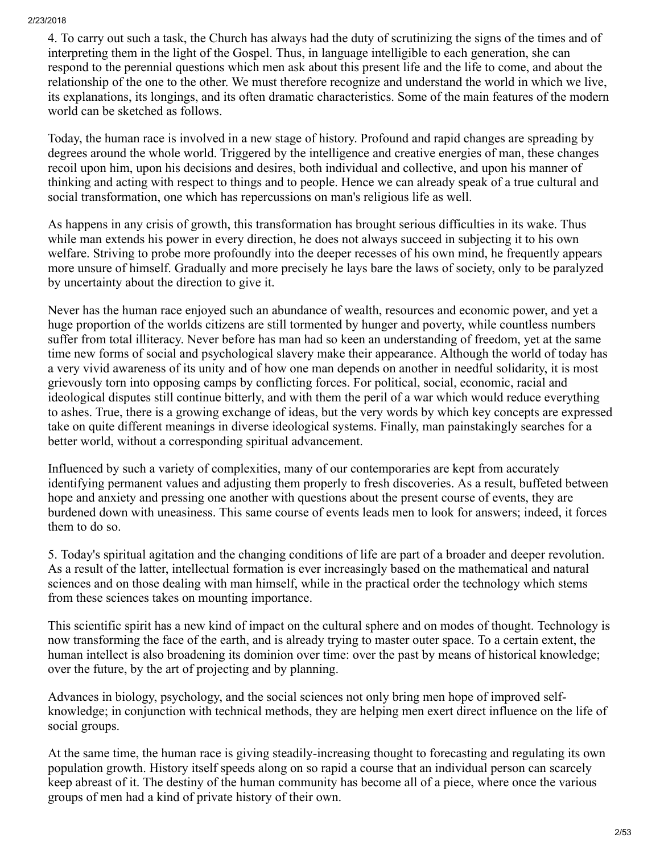4. To carry out such a task, the Church has always had the duty of scrutinizing the signs of the times and of interpreting them in the light of the Gospel. Thus, in language intelligible to each generation, she can respond to the perennial questions which men ask about this present life and the life to come, and about the relationship of the one to the other. We must therefore recognize and understand the world in which we live, its explanations, its longings, and its often dramatic characteristics. Some of the main features of the modern world can be sketched as follows.

Today, the human race is involved in a new stage of history. Profound and rapid changes are spreading by degrees around the whole world. Triggered by the intelligence and creative energies of man, these changes recoil upon him, upon his decisions and desires, both individual and collective, and upon his manner of thinking and acting with respect to things and to people. Hence we can already speak of a true cultural and social transformation, one which has repercussions on man's religious life as well.

As happens in any crisis of growth, this transformation has brought serious difficulties in its wake. Thus while man extends his power in every direction, he does not always succeed in subjecting it to his own welfare. Striving to probe more profoundly into the deeper recesses of his own mind, he frequently appears more unsure of himself. Gradually and more precisely he lays bare the laws of society, only to be paralyzed by uncertainty about the direction to give it.

Never has the human race enjoyed such an abundance of wealth, resources and economic power, and yet a huge proportion of the worlds citizens are still tormented by hunger and poverty, while countless numbers suffer from total illiteracy. Never before has man had so keen an understanding of freedom, yet at the same time new forms of social and psychological slavery make their appearance. Although the world of today has a very vivid awareness of its unity and of how one man depends on another in needful solidarity, it is most grievously torn into opposing camps by conflicting forces. For political, social, economic, racial and ideological disputes still continue bitterly, and with them the peril of a war which would reduce everything to ashes. True, there is a growing exchange of ideas, but the very words by which key concepts are expressed take on quite different meanings in diverse ideological systems. Finally, man painstakingly searches for a better world, without a corresponding spiritual advancement.

Influenced by such a variety of complexities, many of our contemporaries are kept from accurately identifying permanent values and adjusting them properly to fresh discoveries. As a result, buffeted between hope and anxiety and pressing one another with questions about the present course of events, they are burdened down with uneasiness. This same course of events leads men to look for answers; indeed, it forces them to do so.

5. Today's spiritual agitation and the changing conditions of life are part of a broader and deeper revolution. As a result of the latter, intellectual formation is ever increasingly based on the mathematical and natural sciences and on those dealing with man himself, while in the practical order the technology which stems from these sciences takes on mounting importance.

This scientific spirit has a new kind of impact on the cultural sphere and on modes of thought. Technology is now transforming the face of the earth, and is already trying to master outer space. To a certain extent, the human intellect is also broadening its dominion over time: over the past by means of historical knowledge; over the future, by the art of projecting and by planning.

Advances in biology, psychology, and the social sciences not only bring men hope of improved selfknowledge; in conjunction with technical methods, they are helping men exert direct influence on the life of social groups.

At the same time, the human race is giving steadily-increasing thought to forecasting and regulating its own population growth. History itself speeds along on so rapid a course that an individual person can scarcely keep abreast of it. The destiny of the human community has become all of a piece, where once the various groups of men had a kind of private history of their own.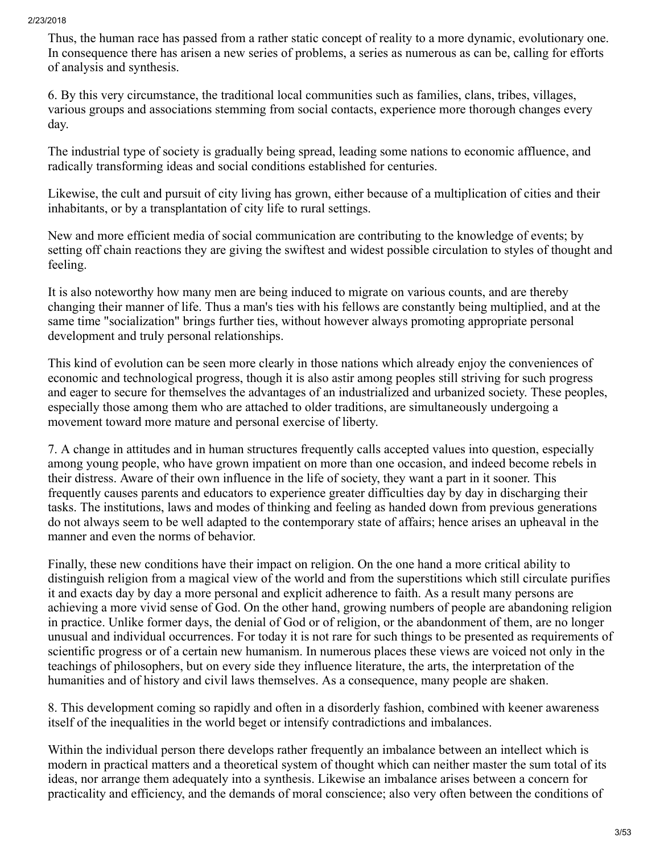Thus, the human race has passed from a rather static concept of reality to a more dynamic, evolutionary one. In consequence there has arisen a new series of problems, a series as numerous as can be, calling for efforts of analysis and synthesis.

6. By this very circumstance, the traditional local communities such as families, clans, tribes, villages, various groups and associations stemming from social contacts, experience more thorough changes every day.

The industrial type of society is gradually being spread, leading some nations to economic affluence, and radically transforming ideas and social conditions established for centuries.

Likewise, the cult and pursuit of city living has grown, either because of a multiplication of cities and their inhabitants, or by a transplantation of city life to rural settings.

New and more efficient media of social communication are contributing to the knowledge of events; by setting off chain reactions they are giving the swiftest and widest possible circulation to styles of thought and feeling.

It is also noteworthy how many men are being induced to migrate on various counts, and are thereby changing their manner of life. Thus a man's ties with his fellows are constantly being multiplied, and at the same time "socialization" brings further ties, without however always promoting appropriate personal development and truly personal relationships.

This kind of evolution can be seen more clearly in those nations which already enjoy the conveniences of economic and technological progress, though it is also astir among peoples still striving for such progress and eager to secure for themselves the advantages of an industrialized and urbanized society. These peoples, especially those among them who are attached to older traditions, are simultaneously undergoing a movement toward more mature and personal exercise of liberty.

7. A change in attitudes and in human structures frequently calls accepted values into question, especially among young people, who have grown impatient on more than one occasion, and indeed become rebels in their distress. Aware of their own influence in the life of society, they want a part in it sooner. This frequently causes parents and educators to experience greater difficulties day by day in discharging their tasks. The institutions, laws and modes of thinking and feeling as handed down from previous generations do not always seem to be well adapted to the contemporary state of affairs; hence arises an upheaval in the manner and even the norms of behavior.

Finally, these new conditions have their impact on religion. On the one hand a more critical ability to distinguish religion from a magical view of the world and from the superstitions which still circulate purifies it and exacts day by day a more personal and explicit adherence to faith. As a result many persons are achieving a more vivid sense of God. On the other hand, growing numbers of people are abandoning religion in practice. Unlike former days, the denial of God or of religion, or the abandonment of them, are no longer unusual and individual occurrences. For today it is not rare for such things to be presented as requirements of scientific progress or of a certain new humanism. In numerous places these views are voiced not only in the teachings of philosophers, but on every side they influence literature, the arts, the interpretation of the humanities and of history and civil laws themselves. As a consequence, many people are shaken.

8. This development coming so rapidly and often in a disorderly fashion, combined with keener awareness itself of the inequalities in the world beget or intensify contradictions and imbalances.

Within the individual person there develops rather frequently an imbalance between an intellect which is modern in practical matters and a theoretical system of thought which can neither master the sum total of its ideas, nor arrange them adequately into a synthesis. Likewise an imbalance arises between a concern for practicality and efficiency, and the demands of moral conscience; also very often between the conditions of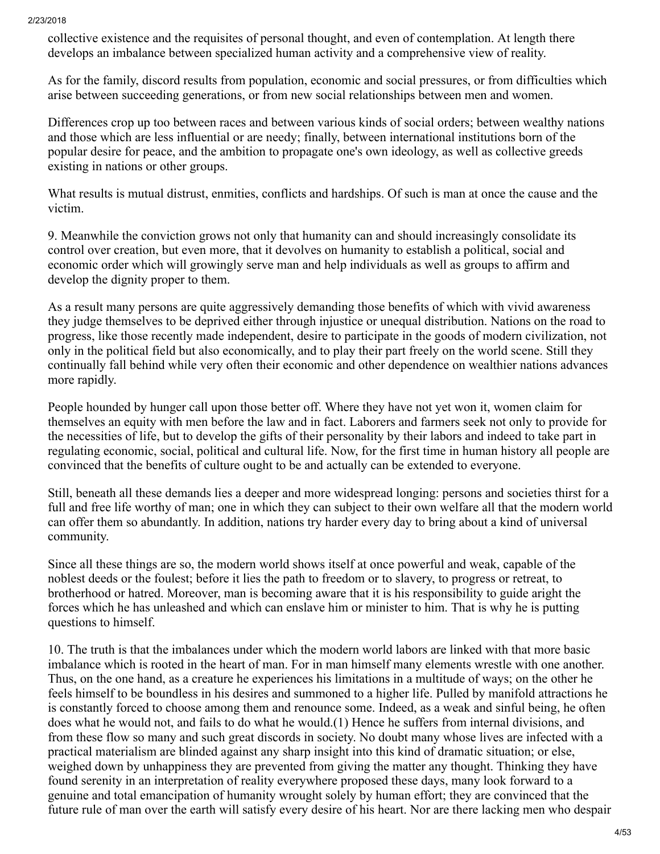collective existence and the requisites of personal thought, and even of contemplation. At length there develops an imbalance between specialized human activity and a comprehensive view of reality.

As for the family, discord results from population, economic and social pressures, or from difficulties which arise between succeeding generations, or from new social relationships between men and women.

Differences crop up too between races and between various kinds of social orders; between wealthy nations and those which are less influential or are needy; finally, between international institutions born of the popular desire for peace, and the ambition to propagate one's own ideology, as well as collective greeds existing in nations or other groups.

What results is mutual distrust, enmities, conflicts and hardships. Of such is man at once the cause and the victim.

9. Meanwhile the conviction grows not only that humanity can and should increasingly consolidate its control over creation, but even more, that it devolves on humanity to establish a political, social and economic order which will growingly serve man and help individuals as well as groups to affirm and develop the dignity proper to them.

As a result many persons are quite aggressively demanding those benefits of which with vivid awareness they judge themselves to be deprived either through injustice or unequal distribution. Nations on the road to progress, like those recently made independent, desire to participate in the goods of modern civilization, not only in the political field but also economically, and to play their part freely on the world scene. Still they continually fall behind while very often their economic and other dependence on wealthier nations advances more rapidly.

People hounded by hunger call upon those better off. Where they have not yet won it, women claim for themselves an equity with men before the law and in fact. Laborers and farmers seek not only to provide for the necessities of life, but to develop the gifts of their personality by their labors and indeed to take part in regulating economic, social, political and cultural life. Now, for the first time in human history all people are convinced that the benefits of culture ought to be and actually can be extended to everyone.

Still, beneath all these demands lies a deeper and more widespread longing: persons and societies thirst for a full and free life worthy of man; one in which they can subject to their own welfare all that the modern world can offer them so abundantly. In addition, nations try harder every day to bring about a kind of universal community.

Since all these things are so, the modern world shows itself at once powerful and weak, capable of the noblest deeds or the foulest; before it lies the path to freedom or to slavery, to progress or retreat, to brotherhood or hatred. Moreover, man is becoming aware that it is his responsibility to guide aright the forces which he has unleashed and which can enslave him or minister to him. That is why he is putting questions to himself.

10. The truth is that the imbalances under which the modern world labors are linked with that more basic imbalance which is rooted in the heart of man. For in man himself many elements wrestle with one another. Thus, on the one hand, as a creature he experiences his limitations in a multitude of ways; on the other he feels himself to be boundless in his desires and summoned to a higher life. Pulled by manifold attractions he is constantly forced to choose among them and renounce some. Indeed, as a weak and sinful being, he often does what he would not, and fails to do what he would.(1) Hence he suffers from internal divisions, and from these flow so many and such great discords in society. No doubt many whose lives are infected with a practical materialism are blinded against any sharp insight into this kind of dramatic situation; or else, weighed down by unhappiness they are prevented from giving the matter any thought. Thinking they have found serenity in an interpretation of reality everywhere proposed these days, many look forward to a genuine and total emancipation of humanity wrought solely by human effort; they are convinced that the future rule of man over the earth will satisfy every desire of his heart. Nor are there lacking men who despair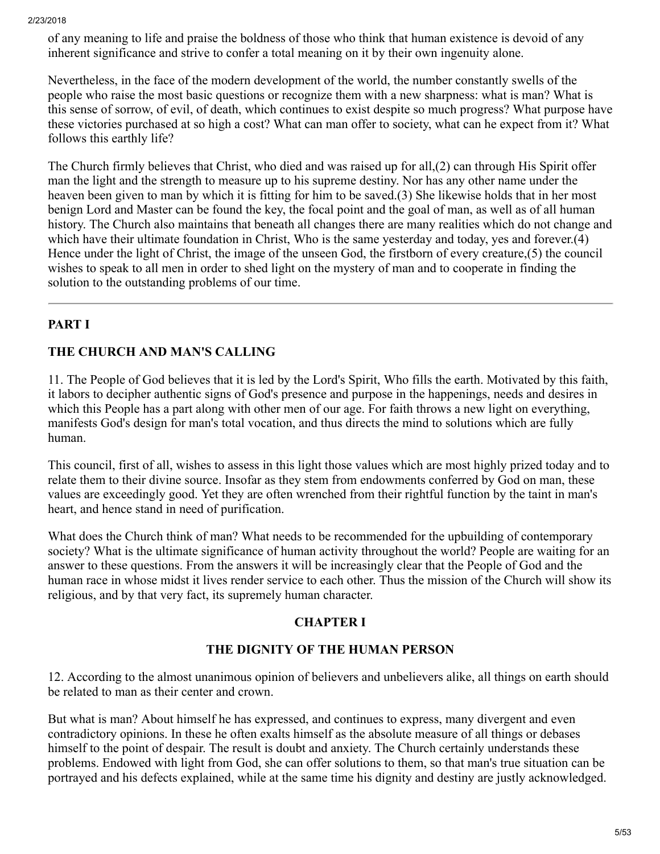of any meaning to life and praise the boldness of those who think that human existence is devoid of any inherent significance and strive to confer a total meaning on it by their own ingenuity alone.

Nevertheless, in the face of the modern development of the world, the number constantly swells of the people who raise the most basic questions or recognize them with a new sharpness: what is man? What is this sense of sorrow, of evil, of death, which continues to exist despite so much progress? What purpose have these victories purchased at so high a cost? What can man offer to society, what can he expect from it? What follows this earthly life?

The Church firmly believes that Christ, who died and was raised up for all,(2) can through His Spirit offer man the light and the strength to measure up to his supreme destiny. Nor has any other name under the heaven been given to man by which it is fitting for him to be saved.(3) She likewise holds that in her most benign Lord and Master can be found the key, the focal point and the goal of man, as well as of all human history. The Church also maintains that beneath all changes there are many realities which do not change and which have their ultimate foundation in Christ, Who is the same yesterday and today, yes and forever.(4) Hence under the light of Christ, the image of the unseen God, the firstborn of every creature,(5) the council wishes to speak to all men in order to shed light on the mystery of man and to cooperate in finding the solution to the outstanding problems of our time.

# PART I

# THE CHURCH AND MAN'S CALLING

11. The People of God believes that it is led by the Lord's Spirit, Who fills the earth. Motivated by this faith, it labors to decipher authentic signs of God's presence and purpose in the happenings, needs and desires in which this People has a part along with other men of our age. For faith throws a new light on everything, manifests God's design for man's total vocation, and thus directs the mind to solutions which are fully human.

This council, first of all, wishes to assess in this light those values which are most highly prized today and to relate them to their divine source. Insofar as they stem from endowments conferred by God on man, these values are exceedingly good. Yet they are often wrenched from their rightful function by the taint in man's heart, and hence stand in need of purification.

What does the Church think of man? What needs to be recommended for the upbuilding of contemporary society? What is the ultimate significance of human activity throughout the world? People are waiting for an answer to these questions. From the answers it will be increasingly clear that the People of God and the human race in whose midst it lives render service to each other. Thus the mission of the Church will show its religious, and by that very fact, its supremely human character.

## CHAPTER I

# THE DIGNITY OF THE HUMAN PERSON

12. According to the almost unanimous opinion of believers and unbelievers alike, all things on earth should be related to man as their center and crown.

But what is man? About himself he has expressed, and continues to express, many divergent and even contradictory opinions. In these he often exalts himself as the absolute measure of all things or debases himself to the point of despair. The result is doubt and anxiety. The Church certainly understands these problems. Endowed with light from God, she can offer solutions to them, so that man's true situation can be portrayed and his defects explained, while at the same time his dignity and destiny are justly acknowledged.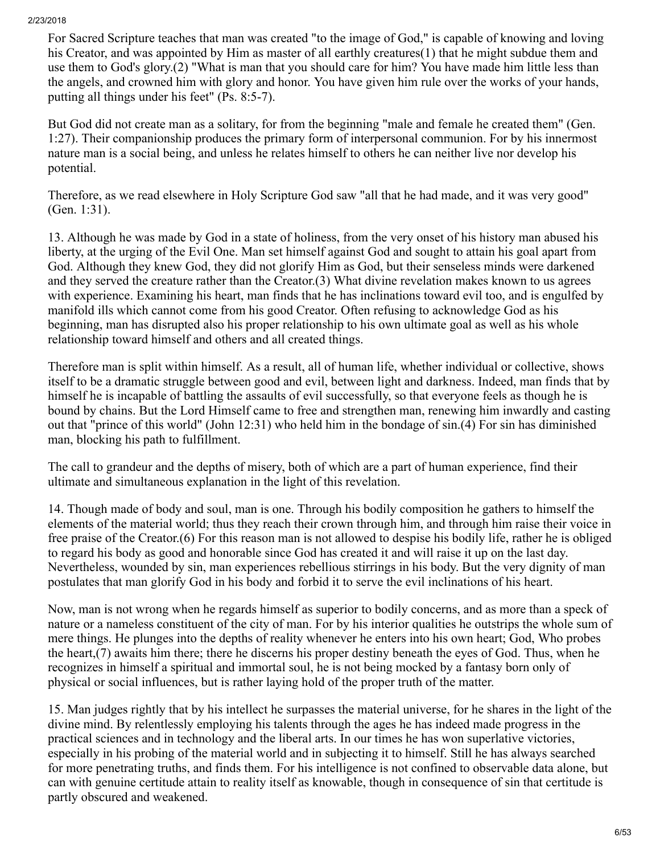For Sacred Scripture teaches that man was created "to the image of God," is capable of knowing and loving his Creator, and was appointed by Him as master of all earthly creatures(1) that he might subdue them and use them to God's glory.(2) "What is man that you should care for him? You have made him little less than the angels, and crowned him with glory and honor. You have given him rule over the works of your hands, putting all things under his feet" (Ps. 8:5-7).

But God did not create man as a solitary, for from the beginning "male and female he created them" (Gen. 1:27). Their companionship produces the primary form of interpersonal communion. For by his innermost nature man is a social being, and unless he relates himself to others he can neither live nor develop his potential.

Therefore, as we read elsewhere in Holy Scripture God saw "all that he had made, and it was very good" (Gen. 1:31).

13. Although he was made by God in a state of holiness, from the very onset of his history man abused his liberty, at the urging of the Evil One. Man set himself against God and sought to attain his goal apart from God. Although they knew God, they did not glorify Him as God, but their senseless minds were darkened and they served the creature rather than the Creator.(3) What divine revelation makes known to us agrees with experience. Examining his heart, man finds that he has inclinations toward evil too, and is engulfed by manifold ills which cannot come from his good Creator. Often refusing to acknowledge God as his beginning, man has disrupted also his proper relationship to his own ultimate goal as well as his whole relationship toward himself and others and all created things.

Therefore man is split within himself. As a result, all of human life, whether individual or collective, shows itself to be a dramatic struggle between good and evil, between light and darkness. Indeed, man finds that by himself he is incapable of battling the assaults of evil successfully, so that everyone feels as though he is bound by chains. But the Lord Himself came to free and strengthen man, renewing him inwardly and casting out that "prince of this world" (John 12:31) who held him in the bondage of sin.(4) For sin has diminished man, blocking his path to fulfillment.

The call to grandeur and the depths of misery, both of which are a part of human experience, find their ultimate and simultaneous explanation in the light of this revelation.

14. Though made of body and soul, man is one. Through his bodily composition he gathers to himself the elements of the material world; thus they reach their crown through him, and through him raise their voice in free praise of the Creator.(6) For this reason man is not allowed to despise his bodily life, rather he is obliged to regard his body as good and honorable since God has created it and will raise it up on the last day. Nevertheless, wounded by sin, man experiences rebellious stirrings in his body. But the very dignity of man postulates that man glorify God in his body and forbid it to serve the evil inclinations of his heart.

Now, man is not wrong when he regards himself as superior to bodily concerns, and as more than a speck of nature or a nameless constituent of the city of man. For by his interior qualities he outstrips the whole sum of mere things. He plunges into the depths of reality whenever he enters into his own heart; God, Who probes the heart,(7) awaits him there; there he discerns his proper destiny beneath the eyes of God. Thus, when he recognizes in himself a spiritual and immortal soul, he is not being mocked by a fantasy born only of physical or social influences, but is rather laying hold of the proper truth of the matter.

15. Man judges rightly that by his intellect he surpasses the material universe, for he shares in the light of the divine mind. By relentlessly employing his talents through the ages he has indeed made progress in the practical sciences and in technology and the liberal arts. In our times he has won superlative victories, especially in his probing of the material world and in subjecting it to himself. Still he has always searched for more penetrating truths, and finds them. For his intelligence is not confined to observable data alone, but can with genuine certitude attain to reality itself as knowable, though in consequence of sin that certitude is partly obscured and weakened.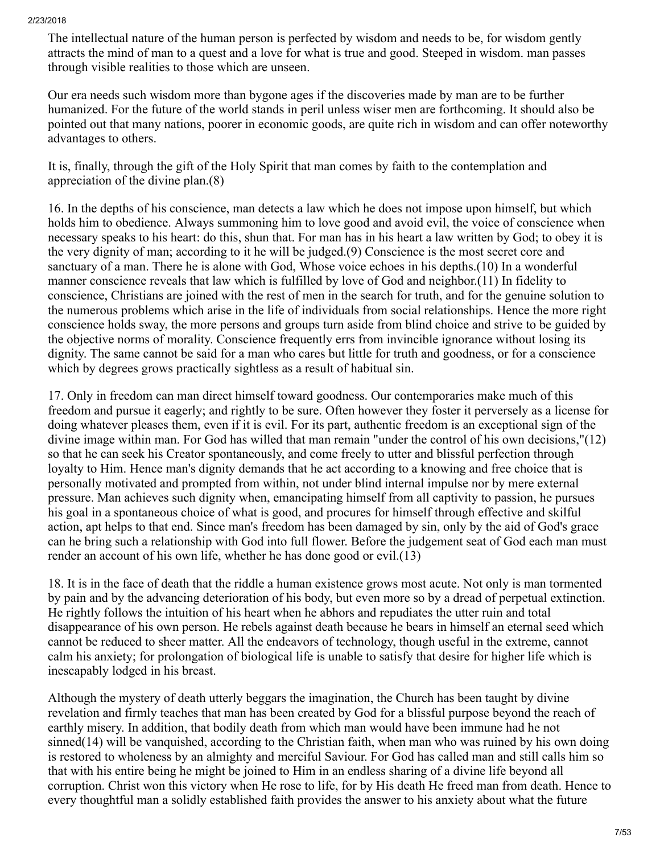The intellectual nature of the human person is perfected by wisdom and needs to be, for wisdom gently attracts the mind of man to a quest and a love for what is true and good. Steeped in wisdom. man passes through visible realities to those which are unseen.

Our era needs such wisdom more than bygone ages if the discoveries made by man are to be further humanized. For the future of the world stands in peril unless wiser men are forthcoming. It should also be pointed out that many nations, poorer in economic goods, are quite rich in wisdom and can offer noteworthy advantages to others.

It is, finally, through the gift of the Holy Spirit that man comes by faith to the contemplation and appreciation of the divine plan.(8)

16. In the depths of his conscience, man detects a law which he does not impose upon himself, but which holds him to obedience. Always summoning him to love good and avoid evil, the voice of conscience when necessary speaks to his heart: do this, shun that. For man has in his heart a law written by God; to obey it is the very dignity of man; according to it he will be judged.(9) Conscience is the most secret core and sanctuary of a man. There he is alone with God, Whose voice echoes in his depths.(10) In a wonderful manner conscience reveals that law which is fulfilled by love of God and neighbor.(11) In fidelity to conscience, Christians are joined with the rest of men in the search for truth, and for the genuine solution to the numerous problems which arise in the life of individuals from social relationships. Hence the more right conscience holds sway, the more persons and groups turn aside from blind choice and strive to be guided by the objective norms of morality. Conscience frequently errs from invincible ignorance without losing its dignity. The same cannot be said for a man who cares but little for truth and goodness, or for a conscience which by degrees grows practically sightless as a result of habitual sin.

17. Only in freedom can man direct himself toward goodness. Our contemporaries make much of this freedom and pursue it eagerly; and rightly to be sure. Often however they foster it perversely as a license for doing whatever pleases them, even if it is evil. For its part, authentic freedom is an exceptional sign of the divine image within man. For God has willed that man remain "under the control of his own decisions,"(12) so that he can seek his Creator spontaneously, and come freely to utter and blissful perfection through loyalty to Him. Hence man's dignity demands that he act according to a knowing and free choice that is personally motivated and prompted from within, not under blind internal impulse nor by mere external pressure. Man achieves such dignity when, emancipating himself from all captivity to passion, he pursues his goal in a spontaneous choice of what is good, and procures for himself through effective and skilful action, apt helps to that end. Since man's freedom has been damaged by sin, only by the aid of God's grace can he bring such a relationship with God into full flower. Before the judgement seat of God each man must render an account of his own life, whether he has done good or evil.(13)

18. It is in the face of death that the riddle a human existence grows most acute. Not only is man tormented by pain and by the advancing deterioration of his body, but even more so by a dread of perpetual extinction. He rightly follows the intuition of his heart when he abhors and repudiates the utter ruin and total disappearance of his own person. He rebels against death because he bears in himself an eternal seed which cannot be reduced to sheer matter. All the endeavors of technology, though useful in the extreme, cannot calm his anxiety; for prolongation of biological life is unable to satisfy that desire for higher life which is inescapably lodged in his breast.

Although the mystery of death utterly beggars the imagination, the Church has been taught by divine revelation and firmly teaches that man has been created by God for a blissful purpose beyond the reach of earthly misery. In addition, that bodily death from which man would have been immune had he not sinned(14) will be vanquished, according to the Christian faith, when man who was ruined by his own doing is restored to wholeness by an almighty and merciful Saviour. For God has called man and still calls him so that with his entire being he might be joined to Him in an endless sharing of a divine life beyond all corruption. Christ won this victory when He rose to life, for by His death He freed man from death. Hence to every thoughtful man a solidly established faith provides the answer to his anxiety about what the future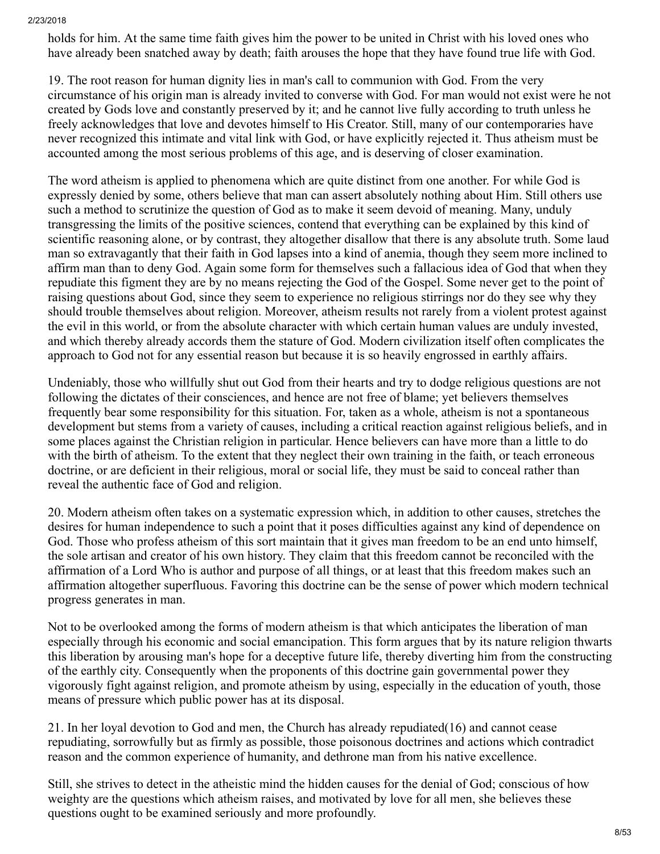holds for him. At the same time faith gives him the power to be united in Christ with his loved ones who have already been snatched away by death; faith arouses the hope that they have found true life with God.

19. The root reason for human dignity lies in man's call to communion with God. From the very circumstance of his origin man is already invited to converse with God. For man would not exist were he not created by Gods love and constantly preserved by it; and he cannot live fully according to truth unless he freely acknowledges that love and devotes himself to His Creator. Still, many of our contemporaries have never recognized this intimate and vital link with God, or have explicitly rejected it. Thus atheism must be accounted among the most serious problems of this age, and is deserving of closer examination.

The word atheism is applied to phenomena which are quite distinct from one another. For while God is expressly denied by some, others believe that man can assert absolutely nothing about Him. Still others use such a method to scrutinize the question of God as to make it seem devoid of meaning. Many, unduly transgressing the limits of the positive sciences, contend that everything can be explained by this kind of scientific reasoning alone, or by contrast, they altogether disallow that there is any absolute truth. Some laud man so extravagantly that their faith in God lapses into a kind of anemia, though they seem more inclined to affirm man than to deny God. Again some form for themselves such a fallacious idea of God that when they repudiate this figment they are by no means rejecting the God of the Gospel. Some never get to the point of raising questions about God, since they seem to experience no religious stirrings nor do they see why they should trouble themselves about religion. Moreover, atheism results not rarely from a violent protest against the evil in this world, or from the absolute character with which certain human values are unduly invested, and which thereby already accords them the stature of God. Modern civilization itself often complicates the approach to God not for any essential reason but because it is so heavily engrossed in earthly affairs.

Undeniably, those who willfully shut out God from their hearts and try to dodge religious questions are not following the dictates of their consciences, and hence are not free of blame; yet believers themselves frequently bear some responsibility for this situation. For, taken as a whole, atheism is not a spontaneous development but stems from a variety of causes, including a critical reaction against religious beliefs, and in some places against the Christian religion in particular. Hence believers can have more than a little to do with the birth of atheism. To the extent that they neglect their own training in the faith, or teach erroneous doctrine, or are deficient in their religious, moral or social life, they must be said to conceal rather than reveal the authentic face of God and religion.

20. Modern atheism often takes on a systematic expression which, in addition to other causes, stretches the desires for human independence to such a point that it poses difficulties against any kind of dependence on God. Those who profess atheism of this sort maintain that it gives man freedom to be an end unto himself, the sole artisan and creator of his own history. They claim that this freedom cannot be reconciled with the affirmation of a Lord Who is author and purpose of all things, or at least that this freedom makes such an affirmation altogether superfluous. Favoring this doctrine can be the sense of power which modern technical progress generates in man.

Not to be overlooked among the forms of modern atheism is that which anticipates the liberation of man especially through his economic and social emancipation. This form argues that by its nature religion thwarts this liberation by arousing man's hope for a deceptive future life, thereby diverting him from the constructing of the earthly city. Consequently when the proponents of this doctrine gain governmental power they vigorously fight against religion, and promote atheism by using, especially in the education of youth, those means of pressure which public power has at its disposal.

21. In her loyal devotion to God and men, the Church has already repudiated(16) and cannot cease repudiating, sorrowfully but as firmly as possible, those poisonous doctrines and actions which contradict reason and the common experience of humanity, and dethrone man from his native excellence.

Still, she strives to detect in the atheistic mind the hidden causes for the denial of God; conscious of how weighty are the questions which atheism raises, and motivated by love for all men, she believes these questions ought to be examined seriously and more profoundly.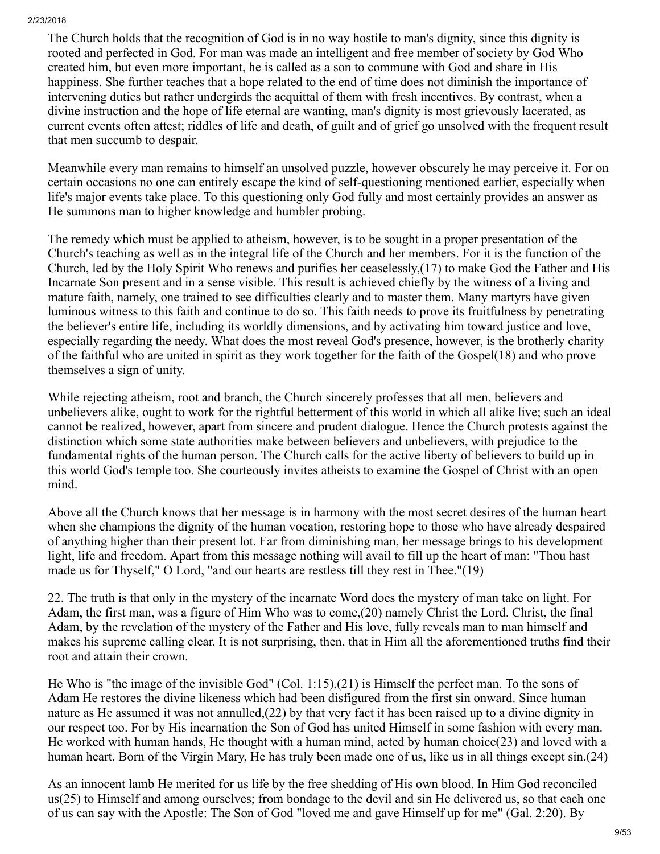The Church holds that the recognition of God is in no way hostile to man's dignity, since this dignity is rooted and perfected in God. For man was made an intelligent and free member of society by God Who created him, but even more important, he is called as a son to commune with God and share in His happiness. She further teaches that a hope related to the end of time does not diminish the importance of intervening duties but rather undergirds the acquittal of them with fresh incentives. By contrast, when a divine instruction and the hope of life eternal are wanting, man's dignity is most grievously lacerated, as current events often attest; riddles of life and death, of guilt and of grief go unsolved with the frequent result that men succumb to despair.

Meanwhile every man remains to himself an unsolved puzzle, however obscurely he may perceive it. For on certain occasions no one can entirely escape the kind of self-questioning mentioned earlier, especially when life's major events take place. To this questioning only God fully and most certainly provides an answer as He summons man to higher knowledge and humbler probing.

The remedy which must be applied to atheism, however, is to be sought in a proper presentation of the Church's teaching as well as in the integral life of the Church and her members. For it is the function of the Church, led by the Holy Spirit Who renews and purifies her ceaselessly,(17) to make God the Father and His Incarnate Son present and in a sense visible. This result is achieved chiefly by the witness of a living and mature faith, namely, one trained to see difficulties clearly and to master them. Many martyrs have given luminous witness to this faith and continue to do so. This faith needs to prove its fruitfulness by penetrating the believer's entire life, including its worldly dimensions, and by activating him toward justice and love, especially regarding the needy. What does the most reveal God's presence, however, is the brotherly charity of the faithful who are united in spirit as they work together for the faith of the Gospel(18) and who prove themselves a sign of unity.

While rejecting atheism, root and branch, the Church sincerely professes that all men, believers and unbelievers alike, ought to work for the rightful betterment of this world in which all alike live; such an ideal cannot be realized, however, apart from sincere and prudent dialogue. Hence the Church protests against the distinction which some state authorities make between believers and unbelievers, with prejudice to the fundamental rights of the human person. The Church calls for the active liberty of believers to build up in this world God's temple too. She courteously invites atheists to examine the Gospel of Christ with an open mind.

Above all the Church knows that her message is in harmony with the most secret desires of the human heart when she champions the dignity of the human vocation, restoring hope to those who have already despaired of anything higher than their present lot. Far from diminishing man, her message brings to his development light, life and freedom. Apart from this message nothing will avail to fill up the heart of man: "Thou hast made us for Thyself," O Lord, "and our hearts are restless till they rest in Thee."(19)

22. The truth is that only in the mystery of the incarnate Word does the mystery of man take on light. For Adam, the first man, was a figure of Him Who was to come,(20) namely Christ the Lord. Christ, the final Adam, by the revelation of the mystery of the Father and His love, fully reveals man to man himself and makes his supreme calling clear. It is not surprising, then, that in Him all the aforementioned truths find their root and attain their crown.

He Who is "the image of the invisible God" (Col. 1:15),(21) is Himself the perfect man. To the sons of Adam He restores the divine likeness which had been disfigured from the first sin onward. Since human nature as He assumed it was not annulled,(22) by that very fact it has been raised up to a divine dignity in our respect too. For by His incarnation the Son of God has united Himself in some fashion with every man. He worked with human hands, He thought with a human mind, acted by human choice(23) and loved with a human heart. Born of the Virgin Mary, He has truly been made one of us, like us in all things except sin.(24)

As an innocent lamb He merited for us life by the free shedding of His own blood. In Him God reconciled us(25) to Himself and among ourselves; from bondage to the devil and sin He delivered us, so that each one of us can say with the Apostle: The Son of God "loved me and gave Himself up for me" (Gal. 2:20). By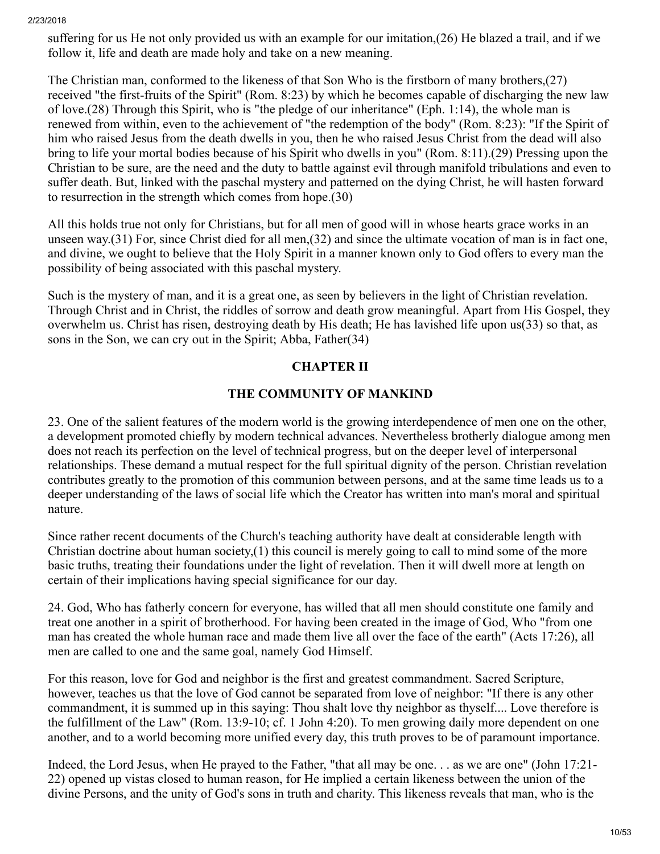suffering for us He not only provided us with an example for our imitation,(26) He blazed a trail, and if we follow it, life and death are made holy and take on a new meaning.

The Christian man, conformed to the likeness of that Son Who is the firstborn of many brothers,(27) received "the first-fruits of the Spirit" (Rom. 8:23) by which he becomes capable of discharging the new law of love.(28) Through this Spirit, who is "the pledge of our inheritance" (Eph. 1:14), the whole man is renewed from within, even to the achievement of "the redemption of the body" (Rom. 8:23): "If the Spirit of him who raised Jesus from the death dwells in you, then he who raised Jesus Christ from the dead will also bring to life your mortal bodies because of his Spirit who dwells in you" (Rom. 8:11).(29) Pressing upon the Christian to be sure, are the need and the duty to battle against evil through manifold tribulations and even to suffer death. But, linked with the paschal mystery and patterned on the dying Christ, he will hasten forward to resurrection in the strength which comes from hope.(30)

All this holds true not only for Christians, but for all men of good will in whose hearts grace works in an unseen way.(31) For, since Christ died for all men,(32) and since the ultimate vocation of man is in fact one, and divine, we ought to believe that the Holy Spirit in a manner known only to God offers to every man the possibility of being associated with this paschal mystery.

Such is the mystery of man, and it is a great one, as seen by believers in the light of Christian revelation. Through Christ and in Christ, the riddles of sorrow and death grow meaningful. Apart from His Gospel, they overwhelm us. Christ has risen, destroying death by His death; He has lavished life upon us(33) so that, as sons in the Son, we can cry out in the Spirit; Abba, Father(34)

## CHAPTER II

## THE COMMUNITY OF MANKIND

23. One of the salient features of the modern world is the growing interdependence of men one on the other, a development promoted chiefly by modern technical advances. Nevertheless brotherly dialogue among men does not reach its perfection on the level of technical progress, but on the deeper level of interpersonal relationships. These demand a mutual respect for the full spiritual dignity of the person. Christian revelation contributes greatly to the promotion of this communion between persons, and at the same time leads us to a deeper understanding of the laws of social life which the Creator has written into man's moral and spiritual nature.

Since rather recent documents of the Church's teaching authority have dealt at considerable length with Christian doctrine about human society,(1) this council is merely going to call to mind some of the more basic truths, treating their foundations under the light of revelation. Then it will dwell more at length on certain of their implications having special significance for our day.

24. God, Who has fatherly concern for everyone, has willed that all men should constitute one family and treat one another in a spirit of brotherhood. For having been created in the image of God, Who "from one man has created the whole human race and made them live all over the face of the earth" (Acts 17:26), all men are called to one and the same goal, namely God Himself.

For this reason, love for God and neighbor is the first and greatest commandment. Sacred Scripture, however, teaches us that the love of God cannot be separated from love of neighbor: "If there is any other commandment, it is summed up in this saying: Thou shalt love thy neighbor as thyself.... Love therefore is the fulfillment of the Law" (Rom. 13:9-10; cf. 1 John 4:20). To men growing daily more dependent on one another, and to a world becoming more unified every day, this truth proves to be of paramount importance.

Indeed, the Lord Jesus, when He prayed to the Father, "that all may be one. . . as we are one" (John 17:21- 22) opened up vistas closed to human reason, for He implied a certain likeness between the union of the divine Persons, and the unity of God's sons in truth and charity. This likeness reveals that man, who is the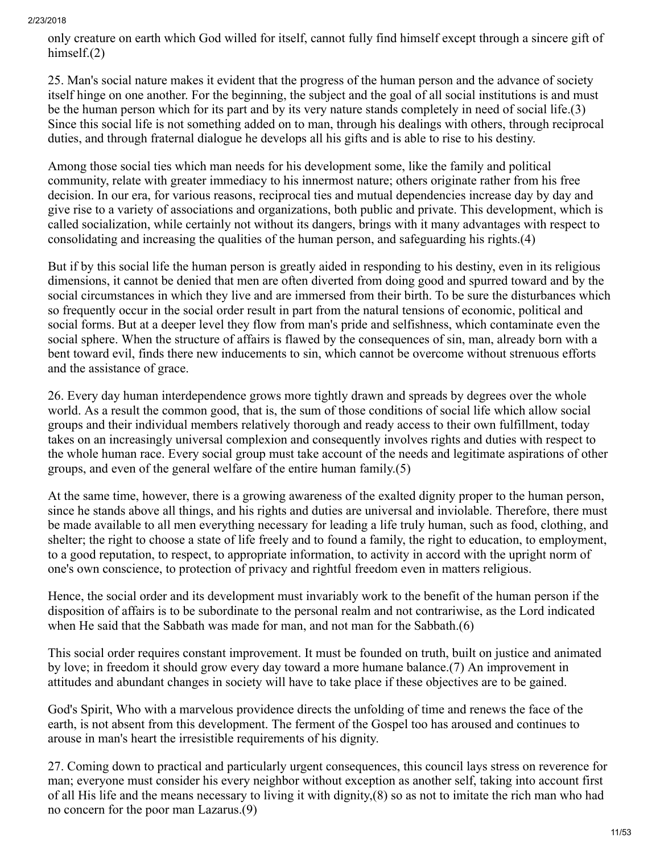only creature on earth which God willed for itself, cannot fully find himself except through a sincere gift of himself.(2)

25. Man's social nature makes it evident that the progress of the human person and the advance of society itself hinge on one another. For the beginning, the subject and the goal of all social institutions is and must be the human person which for its part and by its very nature stands completely in need of social life.(3) Since this social life is not something added on to man, through his dealings with others, through reciprocal duties, and through fraternal dialogue he develops all his gifts and is able to rise to his destiny.

Among those social ties which man needs for his development some, like the family and political community, relate with greater immediacy to his innermost nature; others originate rather from his free decision. In our era, for various reasons, reciprocal ties and mutual dependencies increase day by day and give rise to a variety of associations and organizations, both public and private. This development, which is called socialization, while certainly not without its dangers, brings with it many advantages with respect to consolidating and increasing the qualities of the human person, and safeguarding his rights.(4)

But if by this social life the human person is greatly aided in responding to his destiny, even in its religious dimensions, it cannot be denied that men are often diverted from doing good and spurred toward and by the social circumstances in which they live and are immersed from their birth. To be sure the disturbances which so frequently occur in the social order result in part from the natural tensions of economic, political and social forms. But at a deeper level they flow from man's pride and selfishness, which contaminate even the social sphere. When the structure of affairs is flawed by the consequences of sin, man, already born with a bent toward evil, finds there new inducements to sin, which cannot be overcome without strenuous efforts and the assistance of grace.

26. Every day human interdependence grows more tightly drawn and spreads by degrees over the whole world. As a result the common good, that is, the sum of those conditions of social life which allow social groups and their individual members relatively thorough and ready access to their own fulfillment, today takes on an increasingly universal complexion and consequently involves rights and duties with respect to the whole human race. Every social group must take account of the needs and legitimate aspirations of other groups, and even of the general welfare of the entire human family.(5)

At the same time, however, there is a growing awareness of the exalted dignity proper to the human person, since he stands above all things, and his rights and duties are universal and inviolable. Therefore, there must be made available to all men everything necessary for leading a life truly human, such as food, clothing, and shelter; the right to choose a state of life freely and to found a family, the right to education, to employment, to a good reputation, to respect, to appropriate information, to activity in accord with the upright norm of one's own conscience, to protection of privacy and rightful freedom even in matters religious.

Hence, the social order and its development must invariably work to the benefit of the human person if the disposition of affairs is to be subordinate to the personal realm and not contrariwise, as the Lord indicated when He said that the Sabbath was made for man, and not man for the Sabbath.(6)

This social order requires constant improvement. It must be founded on truth, built on justice and animated by love; in freedom it should grow every day toward a more humane balance.(7) An improvement in attitudes and abundant changes in society will have to take place if these objectives are to be gained.

God's Spirit, Who with a marvelous providence directs the unfolding of time and renews the face of the earth, is not absent from this development. The ferment of the Gospel too has aroused and continues to arouse in man's heart the irresistible requirements of his dignity.

27. Coming down to practical and particularly urgent consequences, this council lays stress on reverence for man; everyone must consider his every neighbor without exception as another self, taking into account first of all His life and the means necessary to living it with dignity,(8) so as not to imitate the rich man who had no concern for the poor man Lazarus.(9)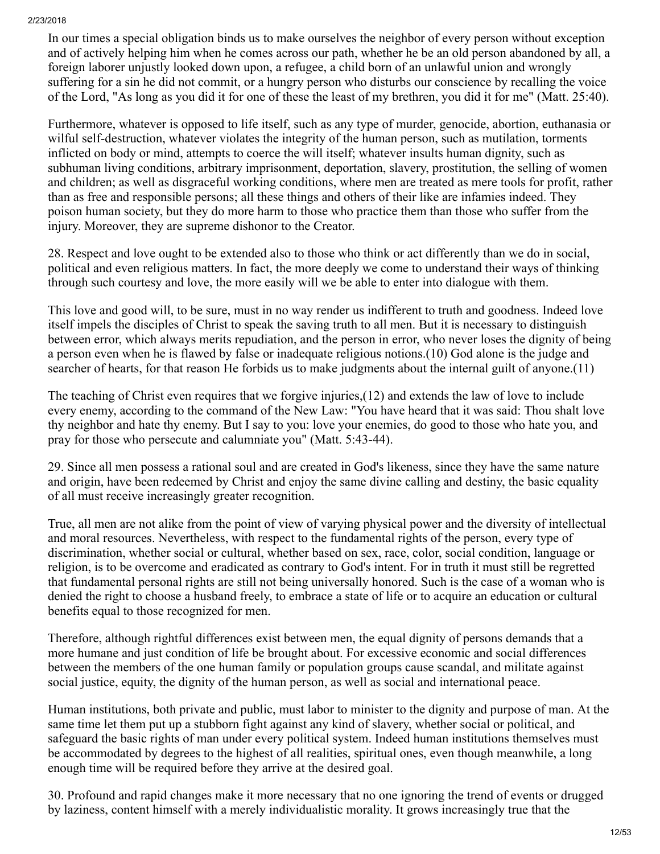In our times a special obligation binds us to make ourselves the neighbor of every person without exception and of actively helping him when he comes across our path, whether he be an old person abandoned by all, a foreign laborer unjustly looked down upon, a refugee, a child born of an unlawful union and wrongly suffering for a sin he did not commit, or a hungry person who disturbs our conscience by recalling the voice of the Lord, "As long as you did it for one of these the least of my brethren, you did it for me" (Matt. 25:40).

Furthermore, whatever is opposed to life itself, such as any type of murder, genocide, abortion, euthanasia or wilful self-destruction, whatever violates the integrity of the human person, such as mutilation, torments inflicted on body or mind, attempts to coerce the will itself; whatever insults human dignity, such as subhuman living conditions, arbitrary imprisonment, deportation, slavery, prostitution, the selling of women and children; as well as disgraceful working conditions, where men are treated as mere tools for profit, rather than as free and responsible persons; all these things and others of their like are infamies indeed. They poison human society, but they do more harm to those who practice them than those who suffer from the injury. Moreover, they are supreme dishonor to the Creator.

28. Respect and love ought to be extended also to those who think or act differently than we do in social, political and even religious matters. In fact, the more deeply we come to understand their ways of thinking through such courtesy and love, the more easily will we be able to enter into dialogue with them.

This love and good will, to be sure, must in no way render us indifferent to truth and goodness. Indeed love itself impels the disciples of Christ to speak the saving truth to all men. But it is necessary to distinguish between error, which always merits repudiation, and the person in error, who never loses the dignity of being a person even when he is flawed by false or inadequate religious notions.(10) God alone is the judge and searcher of hearts, for that reason He forbids us to make judgments about the internal guilt of anyone.(11)

The teaching of Christ even requires that we forgive injuries,(12) and extends the law of love to include every enemy, according to the command of the New Law: "You have heard that it was said: Thou shalt love thy neighbor and hate thy enemy. But I say to you: love your enemies, do good to those who hate you, and pray for those who persecute and calumniate you" (Matt. 5:43-44).

29. Since all men possess a rational soul and are created in God's likeness, since they have the same nature and origin, have been redeemed by Christ and enjoy the same divine calling and destiny, the basic equality of all must receive increasingly greater recognition.

True, all men are not alike from the point of view of varying physical power and the diversity of intellectual and moral resources. Nevertheless, with respect to the fundamental rights of the person, every type of discrimination, whether social or cultural, whether based on sex, race, color, social condition, language or religion, is to be overcome and eradicated as contrary to God's intent. For in truth it must still be regretted that fundamental personal rights are still not being universally honored. Such is the case of a woman who is denied the right to choose a husband freely, to embrace a state of life or to acquire an education or cultural benefits equal to those recognized for men.

Therefore, although rightful differences exist between men, the equal dignity of persons demands that a more humane and just condition of life be brought about. For excessive economic and social differences between the members of the one human family or population groups cause scandal, and militate against social justice, equity, the dignity of the human person, as well as social and international peace.

Human institutions, both private and public, must labor to minister to the dignity and purpose of man. At the same time let them put up a stubborn fight against any kind of slavery, whether social or political, and safeguard the basic rights of man under every political system. Indeed human institutions themselves must be accommodated by degrees to the highest of all realities, spiritual ones, even though meanwhile, a long enough time will be required before they arrive at the desired goal.

30. Profound and rapid changes make it more necessary that no one ignoring the trend of events or drugged by laziness, content himself with a merely individualistic morality. It grows increasingly true that the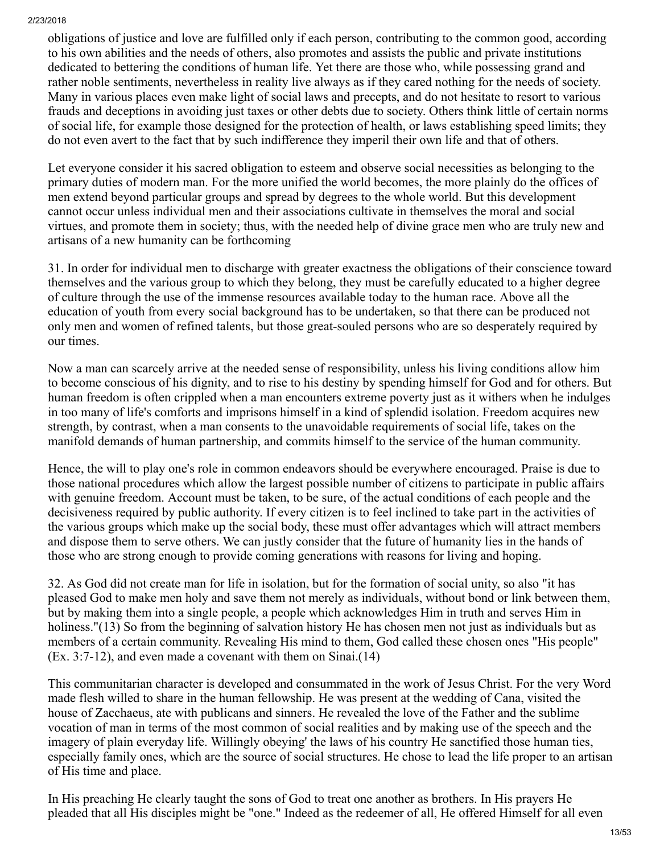obligations of justice and love are fulfilled only if each person, contributing to the common good, according to his own abilities and the needs of others, also promotes and assists the public and private institutions dedicated to bettering the conditions of human life. Yet there are those who, while possessing grand and rather noble sentiments, nevertheless in reality live always as if they cared nothing for the needs of society. Many in various places even make light of social laws and precepts, and do not hesitate to resort to various frauds and deceptions in avoiding just taxes or other debts due to society. Others think little of certain norms of social life, for example those designed for the protection of health, or laws establishing speed limits; they do not even avert to the fact that by such indifference they imperil their own life and that of others.

Let everyone consider it his sacred obligation to esteem and observe social necessities as belonging to the primary duties of modern man. For the more unified the world becomes, the more plainly do the offices of men extend beyond particular groups and spread by degrees to the whole world. But this development cannot occur unless individual men and their associations cultivate in themselves the moral and social virtues, and promote them in society; thus, with the needed help of divine grace men who are truly new and artisans of a new humanity can be forthcoming

31. In order for individual men to discharge with greater exactness the obligations of their conscience toward themselves and the various group to which they belong, they must be carefully educated to a higher degree of culture through the use of the immense resources available today to the human race. Above all the education of youth from every social background has to be undertaken, so that there can be produced not only men and women of refined talents, but those great-souled persons who are so desperately required by our times.

Now a man can scarcely arrive at the needed sense of responsibility, unless his living conditions allow him to become conscious of his dignity, and to rise to his destiny by spending himself for God and for others. But human freedom is often crippled when a man encounters extreme poverty just as it withers when he indulges in too many of life's comforts and imprisons himself in a kind of splendid isolation. Freedom acquires new strength, by contrast, when a man consents to the unavoidable requirements of social life, takes on the manifold demands of human partnership, and commits himself to the service of the human community.

Hence, the will to play one's role in common endeavors should be everywhere encouraged. Praise is due to those national procedures which allow the largest possible number of citizens to participate in public affairs with genuine freedom. Account must be taken, to be sure, of the actual conditions of each people and the decisiveness required by public authority. If every citizen is to feel inclined to take part in the activities of the various groups which make up the social body, these must offer advantages which will attract members and dispose them to serve others. We can justly consider that the future of humanity lies in the hands of those who are strong enough to provide coming generations with reasons for living and hoping.

32. As God did not create man for life in isolation, but for the formation of social unity, so also "it has pleased God to make men holy and save them not merely as individuals, without bond or link between them, but by making them into a single people, a people which acknowledges Him in truth and serves Him in holiness."(13) So from the beginning of salvation history He has chosen men not just as individuals but as members of a certain community. Revealing His mind to them, God called these chosen ones "His people" (Ex. 3:7-12), and even made a covenant with them on Sinai.(14)

This communitarian character is developed and consummated in the work of Jesus Christ. For the very Word made flesh willed to share in the human fellowship. He was present at the wedding of Cana, visited the house of Zacchaeus, ate with publicans and sinners. He revealed the love of the Father and the sublime vocation of man in terms of the most common of social realities and by making use of the speech and the imagery of plain everyday life. Willingly obeying' the laws of his country He sanctified those human ties, especially family ones, which are the source of social structures. He chose to lead the life proper to an artisan of His time and place.

In His preaching He clearly taught the sons of God to treat one another as brothers. In His prayers He pleaded that all His disciples might be "one." Indeed as the redeemer of all, He offered Himself for all even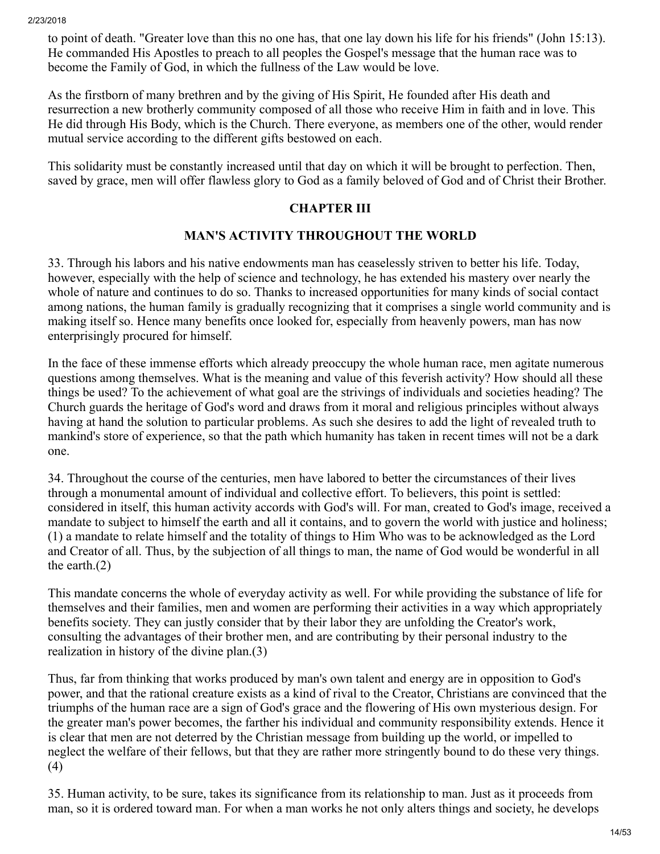to point of death. "Greater love than this no one has, that one lay down his life for his friends" (John 15:13). He commanded His Apostles to preach to all peoples the Gospel's message that the human race was to become the Family of God, in which the fullness of the Law would be love.

As the firstborn of many brethren and by the giving of His Spirit, He founded after His death and resurrection a new brotherly community composed of all those who receive Him in faith and in love. This He did through His Body, which is the Church. There everyone, as members one of the other, would render mutual service according to the different gifts bestowed on each.

This solidarity must be constantly increased until that day on which it will be brought to perfection. Then, saved by grace, men will offer flawless glory to God as a family beloved of God and of Christ their Brother.

# CHAPTER III

## MAN'S ACTIVITY THROUGHOUT THE WORLD

33. Through his labors and his native endowments man has ceaselessly striven to better his life. Today, however, especially with the help of science and technology, he has extended his mastery over nearly the whole of nature and continues to do so. Thanks to increased opportunities for many kinds of social contact among nations, the human family is gradually recognizing that it comprises a single world community and is making itself so. Hence many benefits once looked for, especially from heavenly powers, man has now enterprisingly procured for himself.

In the face of these immense efforts which already preoccupy the whole human race, men agitate numerous questions among themselves. What is the meaning and value of this feverish activity? How should all these things be used? To the achievement of what goal are the strivings of individuals and societies heading? The Church guards the heritage of God's word and draws from it moral and religious principles without always having at hand the solution to particular problems. As such she desires to add the light of revealed truth to mankind's store of experience, so that the path which humanity has taken in recent times will not be a dark one.

34. Throughout the course of the centuries, men have labored to better the circumstances of their lives through a monumental amount of individual and collective effort. To believers, this point is settled: considered in itself, this human activity accords with God's will. For man, created to God's image, received a mandate to subject to himself the earth and all it contains, and to govern the world with justice and holiness; (1) a mandate to relate himself and the totality of things to Him Who was to be acknowledged as the Lord and Creator of all. Thus, by the subjection of all things to man, the name of God would be wonderful in all the earth.(2)

This mandate concerns the whole of everyday activity as well. For while providing the substance of life for themselves and their families, men and women are performing their activities in a way which appropriately benefits society. They can justly consider that by their labor they are unfolding the Creator's work, consulting the advantages of their brother men, and are contributing by their personal industry to the realization in history of the divine plan.(3)

Thus, far from thinking that works produced by man's own talent and energy are in opposition to God's power, and that the rational creature exists as a kind of rival to the Creator, Christians are convinced that the triumphs of the human race are a sign of God's grace and the flowering of His own mysterious design. For the greater man's power becomes, the farther his individual and community responsibility extends. Hence it is clear that men are not deterred by the Christian message from building up the world, or impelled to neglect the welfare of their fellows, but that they are rather more stringently bound to do these very things. (4)

35. Human activity, to be sure, takes its significance from its relationship to man. Just as it proceeds from man, so it is ordered toward man. For when a man works he not only alters things and society, he develops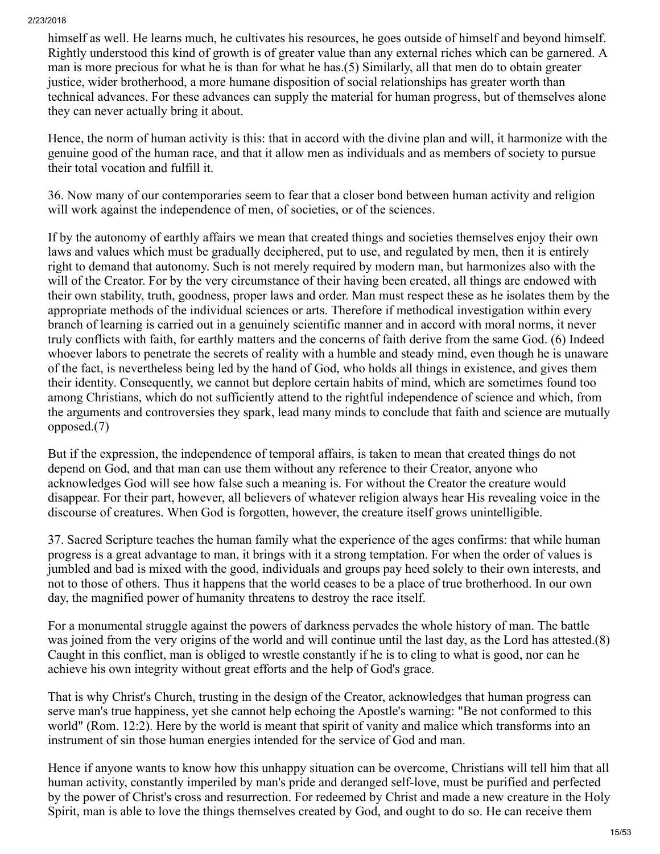himself as well. He learns much, he cultivates his resources, he goes outside of himself and beyond himself. Rightly understood this kind of growth is of greater value than any external riches which can be garnered. A man is more precious for what he is than for what he has.(5) Similarly, all that men do to obtain greater justice, wider brotherhood, a more humane disposition of social relationships has greater worth than technical advances. For these advances can supply the material for human progress, but of themselves alone they can never actually bring it about.

Hence, the norm of human activity is this: that in accord with the divine plan and will, it harmonize with the genuine good of the human race, and that it allow men as individuals and as members of society to pursue their total vocation and fulfill it.

36. Now many of our contemporaries seem to fear that a closer bond between human activity and religion will work against the independence of men, of societies, or of the sciences.

If by the autonomy of earthly affairs we mean that created things and societies themselves enjoy their own laws and values which must be gradually deciphered, put to use, and regulated by men, then it is entirely right to demand that autonomy. Such is not merely required by modern man, but harmonizes also with the will of the Creator. For by the very circumstance of their having been created, all things are endowed with their own stability, truth, goodness, proper laws and order. Man must respect these as he isolates them by the appropriate methods of the individual sciences or arts. Therefore if methodical investigation within every branch of learning is carried out in a genuinely scientific manner and in accord with moral norms, it never truly conflicts with faith, for earthly matters and the concerns of faith derive from the same God. (6) Indeed whoever labors to penetrate the secrets of reality with a humble and steady mind, even though he is unaware of the fact, is nevertheless being led by the hand of God, who holds all things in existence, and gives them their identity. Consequently, we cannot but deplore certain habits of mind, which are sometimes found too among Christians, which do not sufficiently attend to the rightful independence of science and which, from the arguments and controversies they spark, lead many minds to conclude that faith and science are mutually opposed.(7)

But if the expression, the independence of temporal affairs, is taken to mean that created things do not depend on God, and that man can use them without any reference to their Creator, anyone who acknowledges God will see how false such a meaning is. For without the Creator the creature would disappear. For their part, however, all believers of whatever religion always hear His revealing voice in the discourse of creatures. When God is forgotten, however, the creature itself grows unintelligible.

37. Sacred Scripture teaches the human family what the experience of the ages confirms: that while human progress is a great advantage to man, it brings with it a strong temptation. For when the order of values is jumbled and bad is mixed with the good, individuals and groups pay heed solely to their own interests, and not to those of others. Thus it happens that the world ceases to be a place of true brotherhood. In our own day, the magnified power of humanity threatens to destroy the race itself.

For a monumental struggle against the powers of darkness pervades the whole history of man. The battle was joined from the very origins of the world and will continue until the last day, as the Lord has attested.(8) Caught in this conflict, man is obliged to wrestle constantly if he is to cling to what is good, nor can he achieve his own integrity without great efforts and the help of God's grace.

That is why Christ's Church, trusting in the design of the Creator, acknowledges that human progress can serve man's true happiness, yet she cannot help echoing the Apostle's warning: "Be not conformed to this world" (Rom. 12:2). Here by the world is meant that spirit of vanity and malice which transforms into an instrument of sin those human energies intended for the service of God and man.

Hence if anyone wants to know how this unhappy situation can be overcome, Christians will tell him that all human activity, constantly imperiled by man's pride and deranged self-love, must be purified and perfected by the power of Christ's cross and resurrection. For redeemed by Christ and made a new creature in the Holy Spirit, man is able to love the things themselves created by God, and ought to do so. He can receive them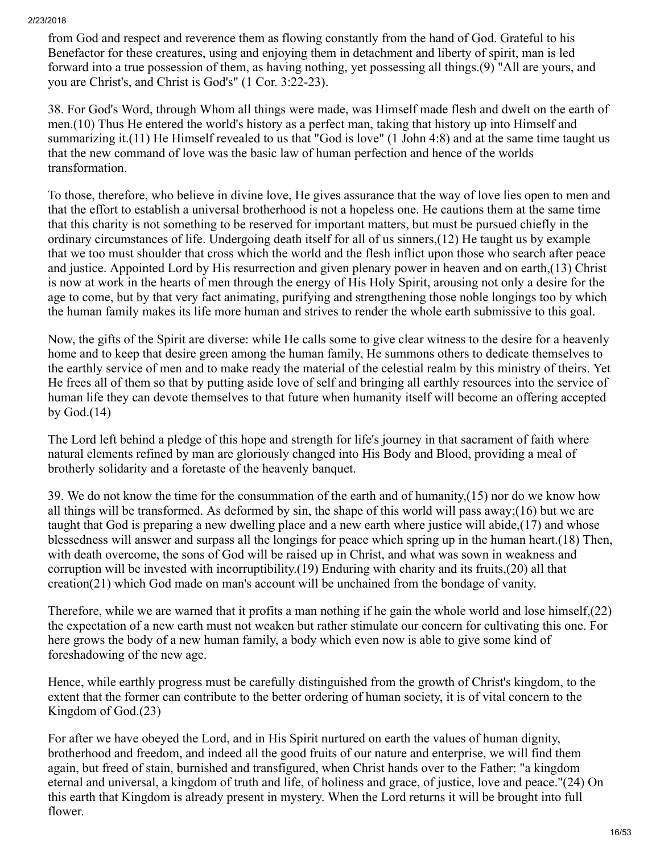from God and respect and reverence them as flowing constantly from the hand of God. Grateful to his Benefactor for these creatures, using and enjoying them in detachment and liberty of spirit, man is led forward into a true possession of them, as having nothing, yet possessing all things.(9) "All are yours, and you are Christ's, and Christ is God's" (1 Cor. 3:22-23).

38. For God's Word, through Whom all things were made, was Himself made flesh and dwelt on the earth of men.(10) Thus He entered the world's history as a perfect man, taking that history up into Himself and summarizing it.(11) He Himself revealed to us that "God is love" (1 John 4:8) and at the same time taught us that the new command of love was the basic law of human perfection and hence of the worlds transformation.

To those, therefore, who believe in divine love, He gives assurance that the way of love lies open to men and that the effort to establish a universal brotherhood is not a hopeless one. He cautions them at the same time that this charity is not something to be reserved for important matters, but must be pursued chiefly in the ordinary circumstances of life. Undergoing death itself for all of us sinners,(12) He taught us by example that we too must shoulder that cross which the world and the flesh inflict upon those who search after peace and justice. Appointed Lord by His resurrection and given plenary power in heaven and on earth,(13) Christ is now at work in the hearts of men through the energy of His Holy Spirit, arousing not only a desire for the age to come, but by that very fact animating, purifying and strengthening those noble longings too by which the human family makes its life more human and strives to render the whole earth submissive to this goal.

Now, the gifts of the Spirit are diverse: while He calls some to give clear witness to the desire for a heavenly home and to keep that desire green among the human family, He summons others to dedicate themselves to the earthly service of men and to make ready the material of the celestial realm by this ministry of theirs. Yet He frees all of them so that by putting aside love of self and bringing all earthly resources into the service of human life they can devote themselves to that future when humanity itself will become an offering accepted by  $God.(14)$ 

The Lord left behind a pledge of this hope and strength for life's journey in that sacrament of faith where natural elements refined by man are gloriously changed into His Body and Blood, providing a meal of brotherly solidarity and a foretaste of the heavenly banquet.

39. We do not know the time for the consummation of the earth and of humanity,(15) nor do we know how all things will be transformed. As deformed by sin, the shape of this world will pass away;(16) but we are taught that God is preparing a new dwelling place and a new earth where justice will abide,(17) and whose blessedness will answer and surpass all the longings for peace which spring up in the human heart.(18) Then, with death overcome, the sons of God will be raised up in Christ, and what was sown in weakness and corruption will be invested with incorruptibility.(19) Enduring with charity and its fruits,(20) all that creation(21) which God made on man's account will be unchained from the bondage of vanity.

Therefore, while we are warned that it profits a man nothing if he gain the whole world and lose himself,(22) the expectation of a new earth must not weaken but rather stimulate our concern for cultivating this one. For here grows the body of a new human family, a body which even now is able to give some kind of foreshadowing of the new age.

Hence, while earthly progress must be carefully distinguished from the growth of Christ's kingdom, to the extent that the former can contribute to the better ordering of human society, it is of vital concern to the Kingdom of God.(23)

For after we have obeyed the Lord, and in His Spirit nurtured on earth the values of human dignity, brotherhood and freedom, and indeed all the good fruits of our nature and enterprise, we will find them again, but freed of stain, burnished and transfigured, when Christ hands over to the Father: "a kingdom eternal and universal, a kingdom of truth and life, of holiness and grace, of justice, love and peace."(24) On this earth that Kingdom is already present in mystery. When the Lord returns it will be brought into full flower.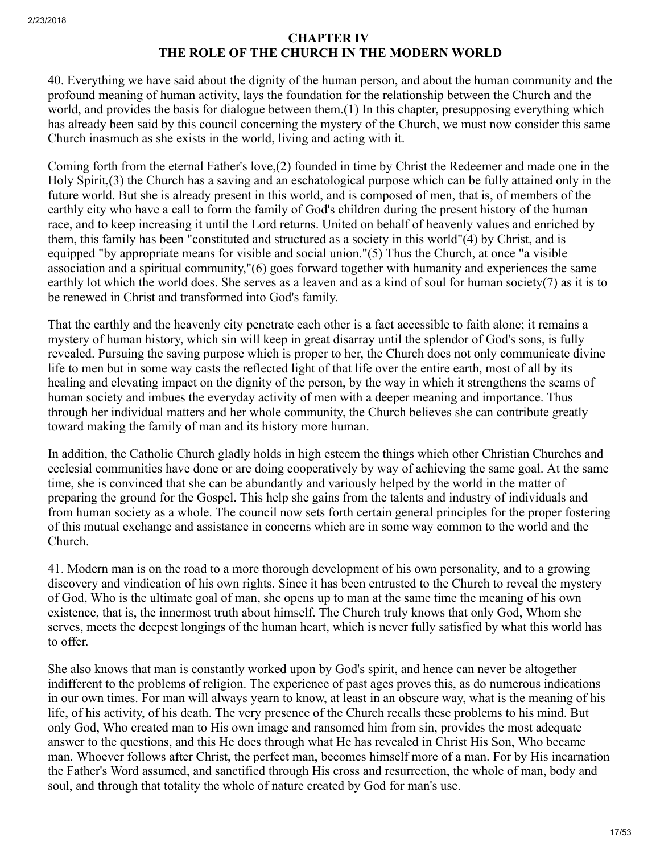## CHAPTER IV THE ROLE OF THE CHURCH IN THE MODERN WORLD

40. Everything we have said about the dignity of the human person, and about the human community and the profound meaning of human activity, lays the foundation for the relationship between the Church and the world, and provides the basis for dialogue between them.(1) In this chapter, presupposing everything which has already been said by this council concerning the mystery of the Church, we must now consider this same Church inasmuch as she exists in the world, living and acting with it.

Coming forth from the eternal Father's love,(2) founded in time by Christ the Redeemer and made one in the Holy Spirit,(3) the Church has a saving and an eschatological purpose which can be fully attained only in the future world. But she is already present in this world, and is composed of men, that is, of members of the earthly city who have a call to form the family of God's children during the present history of the human race, and to keep increasing it until the Lord returns. United on behalf of heavenly values and enriched by them, this family has been "constituted and structured as a society in this world"(4) by Christ, and is equipped "by appropriate means for visible and social union."(5) Thus the Church, at once "a visible association and a spiritual community,"(6) goes forward together with humanity and experiences the same earthly lot which the world does. She serves as a leaven and as a kind of soul for human society(7) as it is to be renewed in Christ and transformed into God's family.

That the earthly and the heavenly city penetrate each other is a fact accessible to faith alone; it remains a mystery of human history, which sin will keep in great disarray until the splendor of God's sons, is fully revealed. Pursuing the saving purpose which is proper to her, the Church does not only communicate divine life to men but in some way casts the reflected light of that life over the entire earth, most of all by its healing and elevating impact on the dignity of the person, by the way in which it strengthens the seams of human society and imbues the everyday activity of men with a deeper meaning and importance. Thus through her individual matters and her whole community, the Church believes she can contribute greatly toward making the family of man and its history more human.

In addition, the Catholic Church gladly holds in high esteem the things which other Christian Churches and ecclesial communities have done or are doing cooperatively by way of achieving the same goal. At the same time, she is convinced that she can be abundantly and variously helped by the world in the matter of preparing the ground for the Gospel. This help she gains from the talents and industry of individuals and from human society as a whole. The council now sets forth certain general principles for the proper fostering of this mutual exchange and assistance in concerns which are in some way common to the world and the Church.

41. Modern man is on the road to a more thorough development of his own personality, and to a growing discovery and vindication of his own rights. Since it has been entrusted to the Church to reveal the mystery of God, Who is the ultimate goal of man, she opens up to man at the same time the meaning of his own existence, that is, the innermost truth about himself. The Church truly knows that only God, Whom she serves, meets the deepest longings of the human heart, which is never fully satisfied by what this world has to offer.

She also knows that man is constantly worked upon by God's spirit, and hence can never be altogether indifferent to the problems of religion. The experience of past ages proves this, as do numerous indications in our own times. For man will always yearn to know, at least in an obscure way, what is the meaning of his life, of his activity, of his death. The very presence of the Church recalls these problems to his mind. But only God, Who created man to His own image and ransomed him from sin, provides the most adequate answer to the questions, and this He does through what He has revealed in Christ His Son, Who became man. Whoever follows after Christ, the perfect man, becomes himself more of a man. For by His incarnation the Father's Word assumed, and sanctified through His cross and resurrection, the whole of man, body and soul, and through that totality the whole of nature created by God for man's use.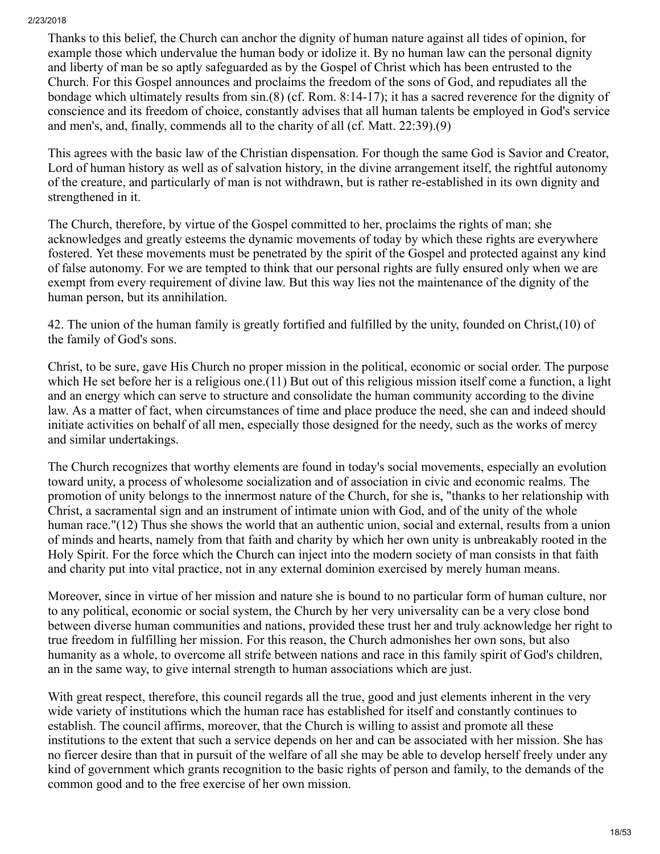Thanks to this belief, the Church can anchor the dignity of human nature against all tides of opinion, for example those which undervalue the human body or idolize it. By no human law can the personal dignity and liberty of man be so aptly safeguarded as by the Gospel of Christ which has been entrusted to the Church. For this Gospel announces and proclaims the freedom of the sons of God, and repudiates all the bondage which ultimately results from sin.(8) (cf. Rom. 8:14-17); it has a sacred reverence for the dignity of conscience and its freedom of choice, constantly advises that all human talents be employed in God's service and men's, and, finally, commends all to the charity of all (cf. Matt. 22:39).(9)

This agrees with the basic law of the Christian dispensation. For though the same God is Savior and Creator, Lord of human history as well as of salvation history, in the divine arrangement itself, the rightful autonomy of the creature, and particularly of man is not withdrawn, but is rather re-established in its own dignity and strengthened in it.

The Church, therefore, by virtue of the Gospel committed to her, proclaims the rights of man; she acknowledges and greatly esteems the dynamic movements of today by which these rights are everywhere fostered. Yet these movements must be penetrated by the spirit of the Gospel and protected against any kind of false autonomy. For we are tempted to think that our personal rights are fully ensured only when we are exempt from every requirement of divine law. But this way lies not the maintenance of the dignity of the human person, but its annihilation.

42. The union of the human family is greatly fortified and fulfilled by the unity, founded on Christ,(10) of the family of God's sons.

Christ, to be sure, gave His Church no proper mission in the political, economic or social order. The purpose which He set before her is a religious one.(11) But out of this religious mission itself come a function, a light and an energy which can serve to structure and consolidate the human community according to the divine law. As a matter of fact, when circumstances of time and place produce the need, she can and indeed should initiate activities on behalf of all men, especially those designed for the needy, such as the works of mercy and similar undertakings.

The Church recognizes that worthy elements are found in today's social movements, especially an evolution toward unity, a process of wholesome socialization and of association in civic and economic realms. The promotion of unity belongs to the innermost nature of the Church, for she is, "thanks to her relationship with Christ, a sacramental sign and an instrument of intimate union with God, and of the unity of the whole human race."(12) Thus she shows the world that an authentic union, social and external, results from a union of minds and hearts, namely from that faith and charity by which her own unity is unbreakably rooted in the Holy Spirit. For the force which the Church can inject into the modern society of man consists in that faith and charity put into vital practice, not in any external dominion exercised by merely human means.

Moreover, since in virtue of her mission and nature she is bound to no particular form of human culture, nor to any political, economic or social system, the Church by her very universality can be a very close bond between diverse human communities and nations, provided these trust her and truly acknowledge her right to true freedom in fulfilling her mission. For this reason, the Church admonishes her own sons, but also humanity as a whole, to overcome all strife between nations and race in this family spirit of God's children, an in the same way, to give internal strength to human associations which are just.

With great respect, therefore, this council regards all the true, good and just elements inherent in the very wide variety of institutions which the human race has established for itself and constantly continues to establish. The council affirms, moreover, that the Church is willing to assist and promote all these institutions to the extent that such a service depends on her and can be associated with her mission. She has no fiercer desire than that in pursuit of the welfare of all she may be able to develop herself freely under any kind of government which grants recognition to the basic rights of person and family, to the demands of the common good and to the free exercise of her own mission.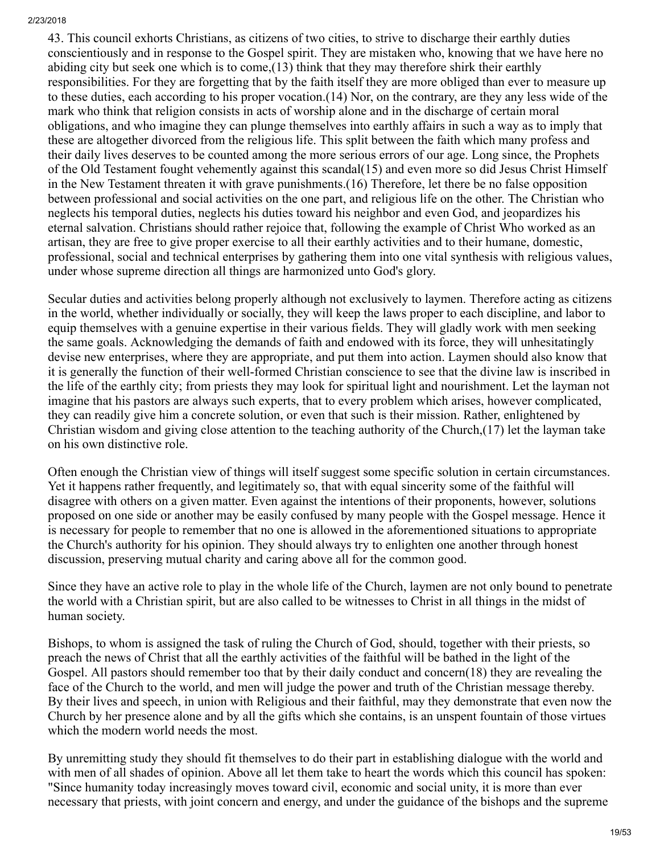43. This council exhorts Christians, as citizens of two cities, to strive to discharge their earthly duties conscientiously and in response to the Gospel spirit. They are mistaken who, knowing that we have here no abiding city but seek one which is to come,(13) think that they may therefore shirk their earthly responsibilities. For they are forgetting that by the faith itself they are more obliged than ever to measure up to these duties, each according to his proper vocation.(14) Nor, on the contrary, are they any less wide of the mark who think that religion consists in acts of worship alone and in the discharge of certain moral obligations, and who imagine they can plunge themselves into earthly affairs in such a way as to imply that these are altogether divorced from the religious life. This split between the faith which many profess and their daily lives deserves to be counted among the more serious errors of our age. Long since, the Prophets of the Old Testament fought vehemently against this scandal(15) and even more so did Jesus Christ Himself in the New Testament threaten it with grave punishments.(16) Therefore, let there be no false opposition between professional and social activities on the one part, and religious life on the other. The Christian who neglects his temporal duties, neglects his duties toward his neighbor and even God, and jeopardizes his eternal salvation. Christians should rather rejoice that, following the example of Christ Who worked as an artisan, they are free to give proper exercise to all their earthly activities and to their humane, domestic, professional, social and technical enterprises by gathering them into one vital synthesis with religious values, under whose supreme direction all things are harmonized unto God's glory.

Secular duties and activities belong properly although not exclusively to laymen. Therefore acting as citizens in the world, whether individually or socially, they will keep the laws proper to each discipline, and labor to equip themselves with a genuine expertise in their various fields. They will gladly work with men seeking the same goals. Acknowledging the demands of faith and endowed with its force, they will unhesitatingly devise new enterprises, where they are appropriate, and put them into action. Laymen should also know that it is generally the function of their well-formed Christian conscience to see that the divine law is inscribed in the life of the earthly city; from priests they may look for spiritual light and nourishment. Let the layman not imagine that his pastors are always such experts, that to every problem which arises, however complicated, they can readily give him a concrete solution, or even that such is their mission. Rather, enlightened by Christian wisdom and giving close attention to the teaching authority of the Church,(17) let the layman take on his own distinctive role.

Often enough the Christian view of things will itself suggest some specific solution in certain circumstances. Yet it happens rather frequently, and legitimately so, that with equal sincerity some of the faithful will disagree with others on a given matter. Even against the intentions of their proponents, however, solutions proposed on one side or another may be easily confused by many people with the Gospel message. Hence it is necessary for people to remember that no one is allowed in the aforementioned situations to appropriate the Church's authority for his opinion. They should always try to enlighten one another through honest discussion, preserving mutual charity and caring above all for the common good.

Since they have an active role to play in the whole life of the Church, laymen are not only bound to penetrate the world with a Christian spirit, but are also called to be witnesses to Christ in all things in the midst of human society.

Bishops, to whom is assigned the task of ruling the Church of God, should, together with their priests, so preach the news of Christ that all the earthly activities of the faithful will be bathed in the light of the Gospel. All pastors should remember too that by their daily conduct and concern(18) they are revealing the face of the Church to the world, and men will judge the power and truth of the Christian message thereby. By their lives and speech, in union with Religious and their faithful, may they demonstrate that even now the Church by her presence alone and by all the gifts which she contains, is an unspent fountain of those virtues which the modern world needs the most.

By unremitting study they should fit themselves to do their part in establishing dialogue with the world and with men of all shades of opinion. Above all let them take to heart the words which this council has spoken: "Since humanity today increasingly moves toward civil, economic and social unity, it is more than ever necessary that priests, with joint concern and energy, and under the guidance of the bishops and the supreme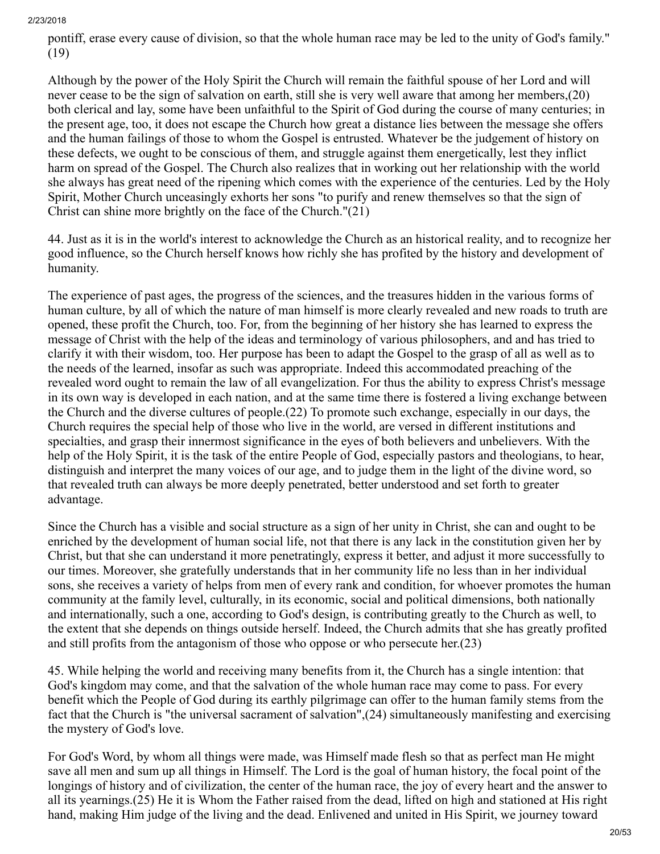pontiff, erase every cause of division, so that the whole human race may be led to the unity of God's family." (19)

Although by the power of the Holy Spirit the Church will remain the faithful spouse of her Lord and will never cease to be the sign of salvation on earth, still she is very well aware that among her members,(20) both clerical and lay, some have been unfaithful to the Spirit of God during the course of many centuries; in the present age, too, it does not escape the Church how great a distance lies between the message she offers and the human failings of those to whom the Gospel is entrusted. Whatever be the judgement of history on these defects, we ought to be conscious of them, and struggle against them energetically, lest they inflict harm on spread of the Gospel. The Church also realizes that in working out her relationship with the world she always has great need of the ripening which comes with the experience of the centuries. Led by the Holy Spirit, Mother Church unceasingly exhorts her sons "to purify and renew themselves so that the sign of Christ can shine more brightly on the face of the Church."(21)

44. Just as it is in the world's interest to acknowledge the Church as an historical reality, and to recognize her good influence, so the Church herself knows how richly she has profited by the history and development of humanity.

The experience of past ages, the progress of the sciences, and the treasures hidden in the various forms of human culture, by all of which the nature of man himself is more clearly revealed and new roads to truth are opened, these profit the Church, too. For, from the beginning of her history she has learned to express the message of Christ with the help of the ideas and terminology of various philosophers, and and has tried to clarify it with their wisdom, too. Her purpose has been to adapt the Gospel to the grasp of all as well as to the needs of the learned, insofar as such was appropriate. Indeed this accommodated preaching of the revealed word ought to remain the law of all evangelization. For thus the ability to express Christ's message in its own way is developed in each nation, and at the same time there is fostered a living exchange between the Church and the diverse cultures of people.(22) To promote such exchange, especially in our days, the Church requires the special help of those who live in the world, are versed in different institutions and specialties, and grasp their innermost significance in the eyes of both believers and unbelievers. With the help of the Holy Spirit, it is the task of the entire People of God, especially pastors and theologians, to hear, distinguish and interpret the many voices of our age, and to judge them in the light of the divine word, so that revealed truth can always be more deeply penetrated, better understood and set forth to greater advantage.

Since the Church has a visible and social structure as a sign of her unity in Christ, she can and ought to be enriched by the development of human social life, not that there is any lack in the constitution given her by Christ, but that she can understand it more penetratingly, express it better, and adjust it more successfully to our times. Moreover, she gratefully understands that in her community life no less than in her individual sons, she receives a variety of helps from men of every rank and condition, for whoever promotes the human community at the family level, culturally, in its economic, social and political dimensions, both nationally and internationally, such a one, according to God's design, is contributing greatly to the Church as well, to the extent that she depends on things outside herself. Indeed, the Church admits that she has greatly profited and still profits from the antagonism of those who oppose or who persecute her.(23)

45. While helping the world and receiving many benefits from it, the Church has a single intention: that God's kingdom may come, and that the salvation of the whole human race may come to pass. For every benefit which the People of God during its earthly pilgrimage can offer to the human family stems from the fact that the Church is "the universal sacrament of salvation",(24) simultaneously manifesting and exercising the mystery of God's love.

For God's Word, by whom all things were made, was Himself made flesh so that as perfect man He might save all men and sum up all things in Himself. The Lord is the goal of human history, the focal point of the longings of history and of civilization, the center of the human race, the joy of every heart and the answer to all its yearnings.(25) He it is Whom the Father raised from the dead, lifted on high and stationed at His right hand, making Him judge of the living and the dead. Enlivened and united in His Spirit, we journey toward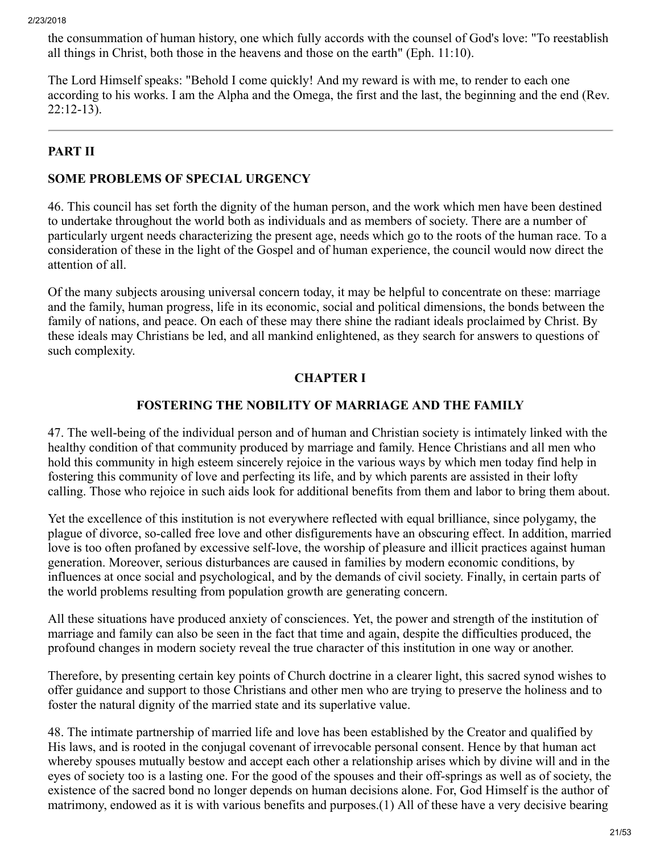the consummation of human history, one which fully accords with the counsel of God's love: "To reestablish all things in Christ, both those in the heavens and those on the earth" (Eph. 11:10).

The Lord Himself speaks: "Behold I come quickly! And my reward is with me, to render to each one according to his works. I am the Alpha and the Omega, the first and the last, the beginning and the end (Rev. 22:12-13).

# PART II

## SOME PROBLEMS OF SPECIAL URGENCY

46. This council has set forth the dignity of the human person, and the work which men have been destined to undertake throughout the world both as individuals and as members of society. There are a number of particularly urgent needs characterizing the present age, needs which go to the roots of the human race. To a consideration of these in the light of the Gospel and of human experience, the council would now direct the attention of all.

Of the many subjects arousing universal concern today, it may be helpful to concentrate on these: marriage and the family, human progress, life in its economic, social and political dimensions, the bonds between the family of nations, and peace. On each of these may there shine the radiant ideals proclaimed by Christ. By these ideals may Christians be led, and all mankind enlightened, as they search for answers to questions of such complexity.

## CHAPTER I

## FOSTERING THE NOBILITY OF MARRIAGE AND THE FAMILY

47. The well-being of the individual person and of human and Christian society is intimately linked with the healthy condition of that community produced by marriage and family. Hence Christians and all men who hold this community in high esteem sincerely rejoice in the various ways by which men today find help in fostering this community of love and perfecting its life, and by which parents are assisted in their lofty calling. Those who rejoice in such aids look for additional benefits from them and labor to bring them about.

Yet the excellence of this institution is not everywhere reflected with equal brilliance, since polygamy, the plague of divorce, so-called free love and other disfigurements have an obscuring effect. In addition, married love is too often profaned by excessive self-love, the worship of pleasure and illicit practices against human generation. Moreover, serious disturbances are caused in families by modern economic conditions, by influences at once social and psychological, and by the demands of civil society. Finally, in certain parts of the world problems resulting from population growth are generating concern.

All these situations have produced anxiety of consciences. Yet, the power and strength of the institution of marriage and family can also be seen in the fact that time and again, despite the difficulties produced, the profound changes in modern society reveal the true character of this institution in one way or another.

Therefore, by presenting certain key points of Church doctrine in a clearer light, this sacred synod wishes to offer guidance and support to those Christians and other men who are trying to preserve the holiness and to foster the natural dignity of the married state and its superlative value.

48. The intimate partnership of married life and love has been established by the Creator and qualified by His laws, and is rooted in the conjugal covenant of irrevocable personal consent. Hence by that human act whereby spouses mutually bestow and accept each other a relationship arises which by divine will and in the eyes of society too is a lasting one. For the good of the spouses and their off-springs as well as of society, the existence of the sacred bond no longer depends on human decisions alone. For, God Himself is the author of matrimony, endowed as it is with various benefits and purposes.(1) All of these have a very decisive bearing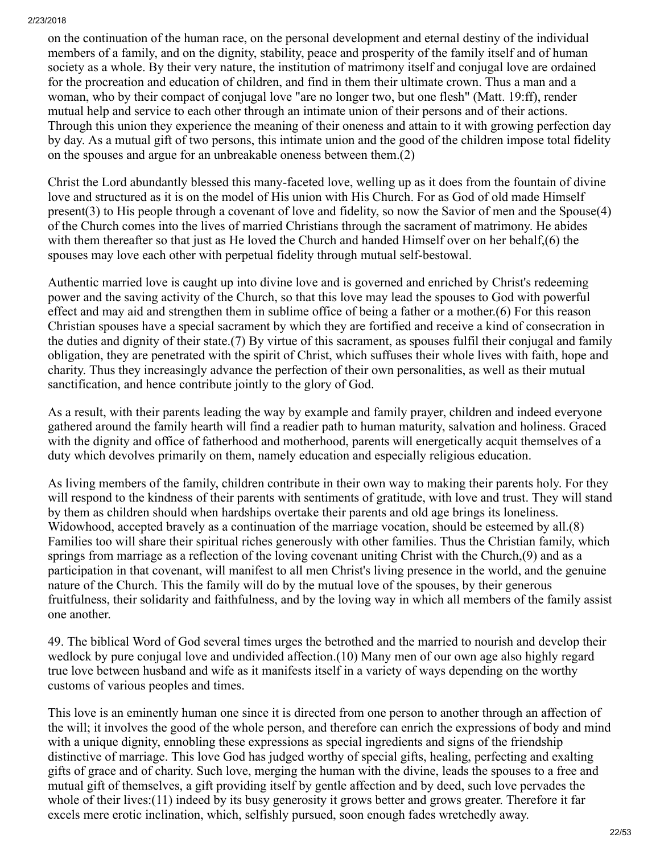on the continuation of the human race, on the personal development and eternal destiny of the individual members of a family, and on the dignity, stability, peace and prosperity of the family itself and of human society as a whole. By their very nature, the institution of matrimony itself and conjugal love are ordained for the procreation and education of children, and find in them their ultimate crown. Thus a man and a woman, who by their compact of conjugal love "are no longer two, but one flesh" (Matt. 19:ff), render mutual help and service to each other through an intimate union of their persons and of their actions. Through this union they experience the meaning of their oneness and attain to it with growing perfection day by day. As a mutual gift of two persons, this intimate union and the good of the children impose total fidelity on the spouses and argue for an unbreakable oneness between them.(2)

Christ the Lord abundantly blessed this many-faceted love, welling up as it does from the fountain of divine love and structured as it is on the model of His union with His Church. For as God of old made Himself present(3) to His people through a covenant of love and fidelity, so now the Savior of men and the Spouse(4) of the Church comes into the lives of married Christians through the sacrament of matrimony. He abides with them thereafter so that just as He loved the Church and handed Himself over on her behalf,(6) the spouses may love each other with perpetual fidelity through mutual self-bestowal.

Authentic married love is caught up into divine love and is governed and enriched by Christ's redeeming power and the saving activity of the Church, so that this love may lead the spouses to God with powerful effect and may aid and strengthen them in sublime office of being a father or a mother.(6) For this reason Christian spouses have a special sacrament by which they are fortified and receive a kind of consecration in the duties and dignity of their state.(7) By virtue of this sacrament, as spouses fulfil their conjugal and family obligation, they are penetrated with the spirit of Christ, which suffuses their whole lives with faith, hope and charity. Thus they increasingly advance the perfection of their own personalities, as well as their mutual sanctification, and hence contribute jointly to the glory of God.

As a result, with their parents leading the way by example and family prayer, children and indeed everyone gathered around the family hearth will find a readier path to human maturity, salvation and holiness. Graced with the dignity and office of fatherhood and motherhood, parents will energetically acquit themselves of a duty which devolves primarily on them, namely education and especially religious education.

As living members of the family, children contribute in their own way to making their parents holy. For they will respond to the kindness of their parents with sentiments of gratitude, with love and trust. They will stand by them as children should when hardships overtake their parents and old age brings its loneliness. Widowhood, accepted bravely as a continuation of the marriage vocation, should be esteemed by all.(8) Families too will share their spiritual riches generously with other families. Thus the Christian family, which springs from marriage as a reflection of the loving covenant uniting Christ with the Church,(9) and as a participation in that covenant, will manifest to all men Christ's living presence in the world, and the genuine nature of the Church. This the family will do by the mutual love of the spouses, by their generous fruitfulness, their solidarity and faithfulness, and by the loving way in which all members of the family assist one another.

49. The biblical Word of God several times urges the betrothed and the married to nourish and develop their wedlock by pure conjugal love and undivided affection.(10) Many men of our own age also highly regard true love between husband and wife as it manifests itself in a variety of ways depending on the worthy customs of various peoples and times.

This love is an eminently human one since it is directed from one person to another through an affection of the will; it involves the good of the whole person, and therefore can enrich the expressions of body and mind with a unique dignity, ennobling these expressions as special ingredients and signs of the friendship distinctive of marriage. This love God has judged worthy of special gifts, healing, perfecting and exalting gifts of grace and of charity. Such love, merging the human with the divine, leads the spouses to a free and mutual gift of themselves, a gift providing itself by gentle affection and by deed, such love pervades the whole of their lives:(11) indeed by its busy generosity it grows better and grows greater. Therefore it far excels mere erotic inclination, which, selfishly pursued, soon enough fades wretchedly away.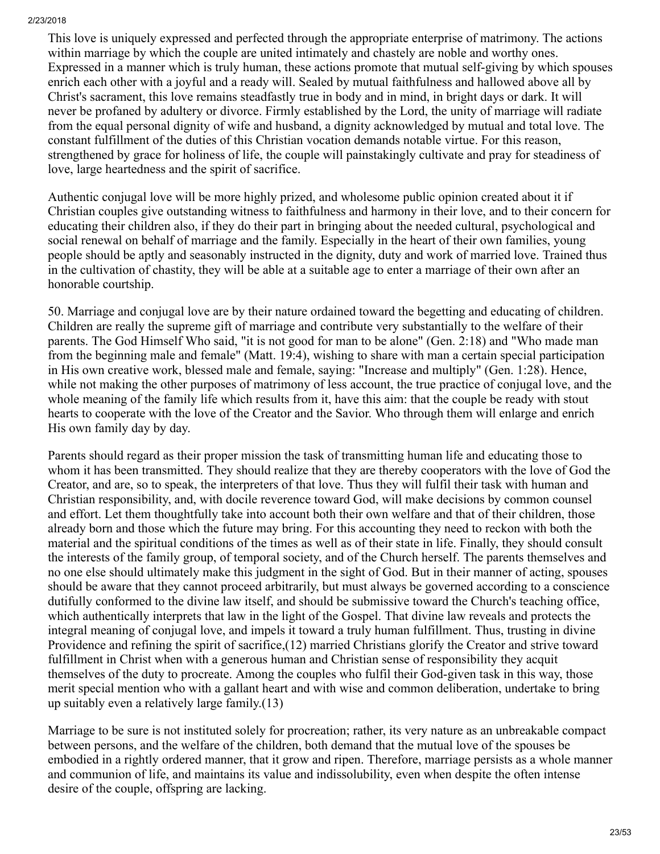This love is uniquely expressed and perfected through the appropriate enterprise of matrimony. The actions within marriage by which the couple are united intimately and chastely are noble and worthy ones. Expressed in a manner which is truly human, these actions promote that mutual self-giving by which spouses enrich each other with a joyful and a ready will. Sealed by mutual faithfulness and hallowed above all by Christ's sacrament, this love remains steadfastly true in body and in mind, in bright days or dark. It will never be profaned by adultery or divorce. Firmly established by the Lord, the unity of marriage will radiate from the equal personal dignity of wife and husband, a dignity acknowledged by mutual and total love. The constant fulfillment of the duties of this Christian vocation demands notable virtue. For this reason, strengthened by grace for holiness of life, the couple will painstakingly cultivate and pray for steadiness of love, large heartedness and the spirit of sacrifice.

Authentic conjugal love will be more highly prized, and wholesome public opinion created about it if Christian couples give outstanding witness to faithfulness and harmony in their love, and to their concern for educating their children also, if they do their part in bringing about the needed cultural, psychological and social renewal on behalf of marriage and the family. Especially in the heart of their own families, young people should be aptly and seasonably instructed in the dignity, duty and work of married love. Trained thus in the cultivation of chastity, they will be able at a suitable age to enter a marriage of their own after an honorable courtship.

50. Marriage and conjugal love are by their nature ordained toward the begetting and educating of children. Children are really the supreme gift of marriage and contribute very substantially to the welfare of their parents. The God Himself Who said, "it is not good for man to be alone" (Gen. 2:18) and "Who made man from the beginning male and female" (Matt. 19:4), wishing to share with man a certain special participation in His own creative work, blessed male and female, saying: "Increase and multiply" (Gen. 1:28). Hence, while not making the other purposes of matrimony of less account, the true practice of conjugal love, and the whole meaning of the family life which results from it, have this aim: that the couple be ready with stout hearts to cooperate with the love of the Creator and the Savior. Who through them will enlarge and enrich His own family day by day.

Parents should regard as their proper mission the task of transmitting human life and educating those to whom it has been transmitted. They should realize that they are thereby cooperators with the love of God the Creator, and are, so to speak, the interpreters of that love. Thus they will fulfil their task with human and Christian responsibility, and, with docile reverence toward God, will make decisions by common counsel and effort. Let them thoughtfully take into account both their own welfare and that of their children, those already born and those which the future may bring. For this accounting they need to reckon with both the material and the spiritual conditions of the times as well as of their state in life. Finally, they should consult the interests of the family group, of temporal society, and of the Church herself. The parents themselves and no one else should ultimately make this judgment in the sight of God. But in their manner of acting, spouses should be aware that they cannot proceed arbitrarily, but must always be governed according to a conscience dutifully conformed to the divine law itself, and should be submissive toward the Church's teaching office, which authentically interprets that law in the light of the Gospel. That divine law reveals and protects the integral meaning of conjugal love, and impels it toward a truly human fulfillment. Thus, trusting in divine Providence and refining the spirit of sacrifice,(12) married Christians glorify the Creator and strive toward fulfillment in Christ when with a generous human and Christian sense of responsibility they acquit themselves of the duty to procreate. Among the couples who fulfil their God-given task in this way, those merit special mention who with a gallant heart and with wise and common deliberation, undertake to bring up suitably even a relatively large family.(13)

Marriage to be sure is not instituted solely for procreation; rather, its very nature as an unbreakable compact between persons, and the welfare of the children, both demand that the mutual love of the spouses be embodied in a rightly ordered manner, that it grow and ripen. Therefore, marriage persists as a whole manner and communion of life, and maintains its value and indissolubility, even when despite the often intense desire of the couple, offspring are lacking.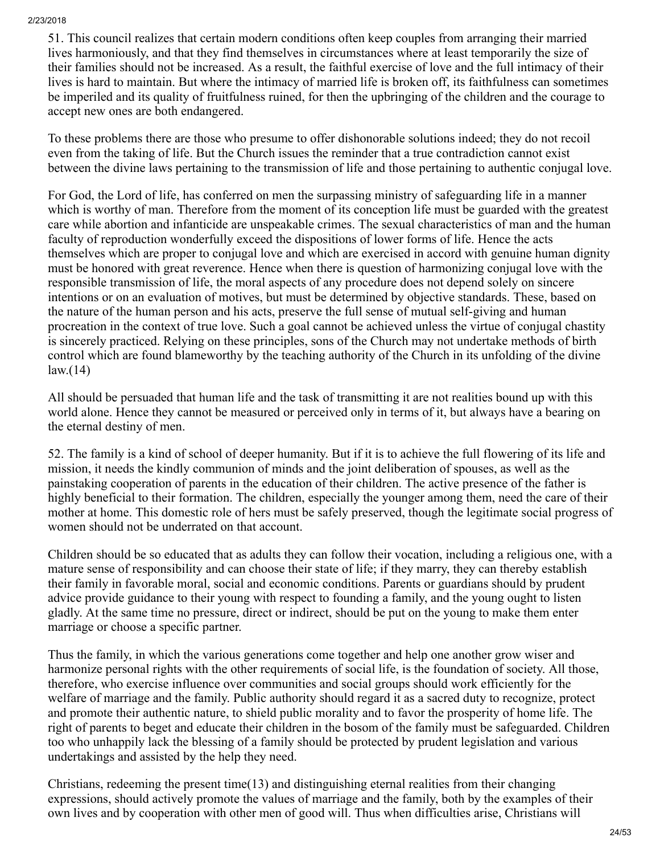51. This council realizes that certain modern conditions often keep couples from arranging their married lives harmoniously, and that they find themselves in circumstances where at least temporarily the size of their families should not be increased. As a result, the faithful exercise of love and the full intimacy of their lives is hard to maintain. But where the intimacy of married life is broken off, its faithfulness can sometimes be imperiled and its quality of fruitfulness ruined, for then the upbringing of the children and the courage to accept new ones are both endangered.

To these problems there are those who presume to offer dishonorable solutions indeed; they do not recoil even from the taking of life. But the Church issues the reminder that a true contradiction cannot exist between the divine laws pertaining to the transmission of life and those pertaining to authentic conjugal love.

For God, the Lord of life, has conferred on men the surpassing ministry of safeguarding life in a manner which is worthy of man. Therefore from the moment of its conception life must be guarded with the greatest care while abortion and infanticide are unspeakable crimes. The sexual characteristics of man and the human faculty of reproduction wonderfully exceed the dispositions of lower forms of life. Hence the acts themselves which are proper to conjugal love and which are exercised in accord with genuine human dignity must be honored with great reverence. Hence when there is question of harmonizing conjugal love with the responsible transmission of life, the moral aspects of any procedure does not depend solely on sincere intentions or on an evaluation of motives, but must be determined by objective standards. These, based on the nature of the human person and his acts, preserve the full sense of mutual self-giving and human procreation in the context of true love. Such a goal cannot be achieved unless the virtue of conjugal chastity is sincerely practiced. Relying on these principles, sons of the Church may not undertake methods of birth control which are found blameworthy by the teaching authority of the Church in its unfolding of the divine law.(14)

All should be persuaded that human life and the task of transmitting it are not realities bound up with this world alone. Hence they cannot be measured or perceived only in terms of it, but always have a bearing on the eternal destiny of men.

52. The family is a kind of school of deeper humanity. But if it is to achieve the full flowering of its life and mission, it needs the kindly communion of minds and the joint deliberation of spouses, as well as the painstaking cooperation of parents in the education of their children. The active presence of the father is highly beneficial to their formation. The children, especially the younger among them, need the care of their mother at home. This domestic role of hers must be safely preserved, though the legitimate social progress of women should not be underrated on that account.

Children should be so educated that as adults they can follow their vocation, including a religious one, with a mature sense of responsibility and can choose their state of life; if they marry, they can thereby establish their family in favorable moral, social and economic conditions. Parents or guardians should by prudent advice provide guidance to their young with respect to founding a family, and the young ought to listen gladly. At the same time no pressure, direct or indirect, should be put on the young to make them enter marriage or choose a specific partner.

Thus the family, in which the various generations come together and help one another grow wiser and harmonize personal rights with the other requirements of social life, is the foundation of society. All those, therefore, who exercise influence over communities and social groups should work efficiently for the welfare of marriage and the family. Public authority should regard it as a sacred duty to recognize, protect and promote their authentic nature, to shield public morality and to favor the prosperity of home life. The right of parents to beget and educate their children in the bosom of the family must be safeguarded. Children too who unhappily lack the blessing of a family should be protected by prudent legislation and various undertakings and assisted by the help they need.

Christians, redeeming the present time(13) and distinguishing eternal realities from their changing expressions, should actively promote the values of marriage and the family, both by the examples of their own lives and by cooperation with other men of good will. Thus when difficulties arise, Christians will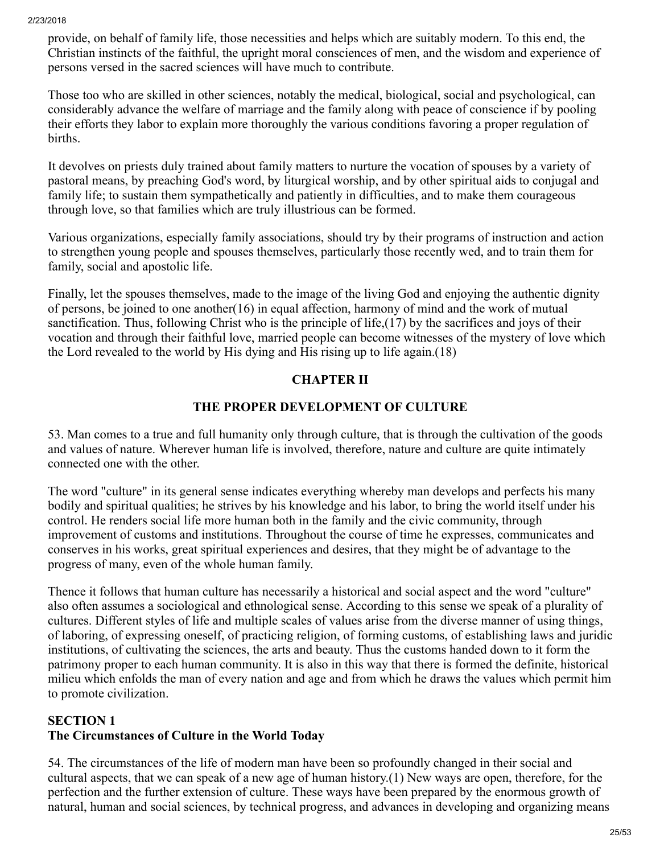provide, on behalf of family life, those necessities and helps which are suitably modern. To this end, the Christian instincts of the faithful, the upright moral consciences of men, and the wisdom and experience of persons versed in the sacred sciences will have much to contribute.

Those too who are skilled in other sciences, notably the medical, biological, social and psychological, can considerably advance the welfare of marriage and the family along with peace of conscience if by pooling their efforts they labor to explain more thoroughly the various conditions favoring a proper regulation of births.

It devolves on priests duly trained about family matters to nurture the vocation of spouses by a variety of pastoral means, by preaching God's word, by liturgical worship, and by other spiritual aids to conjugal and family life; to sustain them sympathetically and patiently in difficulties, and to make them courageous through love, so that families which are truly illustrious can be formed.

Various organizations, especially family associations, should try by their programs of instruction and action to strengthen young people and spouses themselves, particularly those recently wed, and to train them for family, social and apostolic life.

Finally, let the spouses themselves, made to the image of the living God and enjoying the authentic dignity of persons, be joined to one another(16) in equal affection, harmony of mind and the work of mutual sanctification. Thus, following Christ who is the principle of life,(17) by the sacrifices and joys of their vocation and through their faithful love, married people can become witnesses of the mystery of love which the Lord revealed to the world by His dying and His rising up to life again.(18)

# CHAPTER II

# THE PROPER DEVELOPMENT OF CULTURE

53. Man comes to a true and full humanity only through culture, that is through the cultivation of the goods and values of nature. Wherever human life is involved, therefore, nature and culture are quite intimately connected one with the other.

The word "culture" in its general sense indicates everything whereby man develops and perfects his many bodily and spiritual qualities; he strives by his knowledge and his labor, to bring the world itself under his control. He renders social life more human both in the family and the civic community, through improvement of customs and institutions. Throughout the course of time he expresses, communicates and conserves in his works, great spiritual experiences and desires, that they might be of advantage to the progress of many, even of the whole human family.

Thence it follows that human culture has necessarily a historical and social aspect and the word "culture" also often assumes a sociological and ethnological sense. According to this sense we speak of a plurality of cultures. Different styles of life and multiple scales of values arise from the diverse manner of using things, of laboring, of expressing oneself, of practicing religion, of forming customs, of establishing laws and juridic institutions, of cultivating the sciences, the arts and beauty. Thus the customs handed down to it form the patrimony proper to each human community. It is also in this way that there is formed the definite, historical milieu which enfolds the man of every nation and age and from which he draws the values which permit him to promote civilization.

# SECTION 1

# The Circumstances of Culture in the World Today

54. The circumstances of the life of modern man have been so profoundly changed in their social and cultural aspects, that we can speak of a new age of human history.(1) New ways are open, therefore, for the perfection and the further extension of culture. These ways have been prepared by the enormous growth of natural, human and social sciences, by technical progress, and advances in developing and organizing means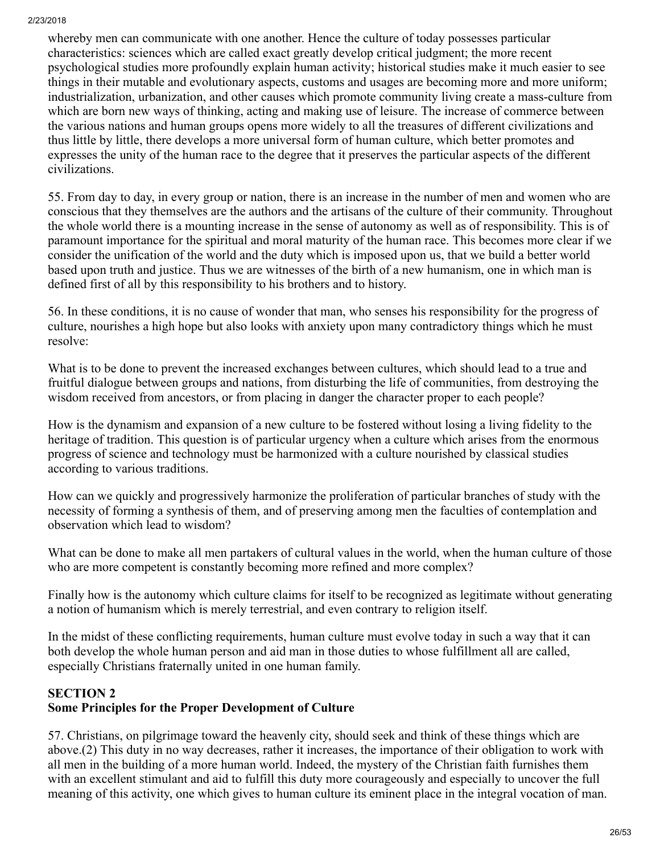whereby men can communicate with one another. Hence the culture of today possesses particular characteristics: sciences which are called exact greatly develop critical judgment; the more recent psychological studies more profoundly explain human activity; historical studies make it much easier to see things in their mutable and evolutionary aspects, customs and usages are becoming more and more uniform; industrialization, urbanization, and other causes which promote community living create a mass-culture from which are born new ways of thinking, acting and making use of leisure. The increase of commerce between the various nations and human groups opens more widely to all the treasures of different civilizations and thus little by little, there develops a more universal form of human culture, which better promotes and expresses the unity of the human race to the degree that it preserves the particular aspects of the different civilizations.

55. From day to day, in every group or nation, there is an increase in the number of men and women who are conscious that they themselves are the authors and the artisans of the culture of their community. Throughout the whole world there is a mounting increase in the sense of autonomy as well as of responsibility. This is of paramount importance for the spiritual and moral maturity of the human race. This becomes more clear if we consider the unification of the world and the duty which is imposed upon us, that we build a better world based upon truth and justice. Thus we are witnesses of the birth of a new humanism, one in which man is defined first of all by this responsibility to his brothers and to history.

56. In these conditions, it is no cause of wonder that man, who senses his responsibility for the progress of culture, nourishes a high hope but also looks with anxiety upon many contradictory things which he must resolve:

What is to be done to prevent the increased exchanges between cultures, which should lead to a true and fruitful dialogue between groups and nations, from disturbing the life of communities, from destroying the wisdom received from ancestors, or from placing in danger the character proper to each people?

How is the dynamism and expansion of a new culture to be fostered without losing a living fidelity to the heritage of tradition. This question is of particular urgency when a culture which arises from the enormous progress of science and technology must be harmonized with a culture nourished by classical studies according to various traditions.

How can we quickly and progressively harmonize the proliferation of particular branches of study with the necessity of forming a synthesis of them, and of preserving among men the faculties of contemplation and observation which lead to wisdom?

What can be done to make all men partakers of cultural values in the world, when the human culture of those who are more competent is constantly becoming more refined and more complex?

Finally how is the autonomy which culture claims for itself to be recognized as legitimate without generating a notion of humanism which is merely terrestrial, and even contrary to religion itself.

In the midst of these conflicting requirements, human culture must evolve today in such a way that it can both develop the whole human person and aid man in those duties to whose fulfillment all are called, especially Christians fraternally united in one human family.

## SECTION 2

# Some Principles for the Proper Development of Culture

57. Christians, on pilgrimage toward the heavenly city, should seek and think of these things which are above.(2) This duty in no way decreases, rather it increases, the importance of their obligation to work with all men in the building of a more human world. Indeed, the mystery of the Christian faith furnishes them with an excellent stimulant and aid to fulfill this duty more courageously and especially to uncover the full meaning of this activity, one which gives to human culture its eminent place in the integral vocation of man.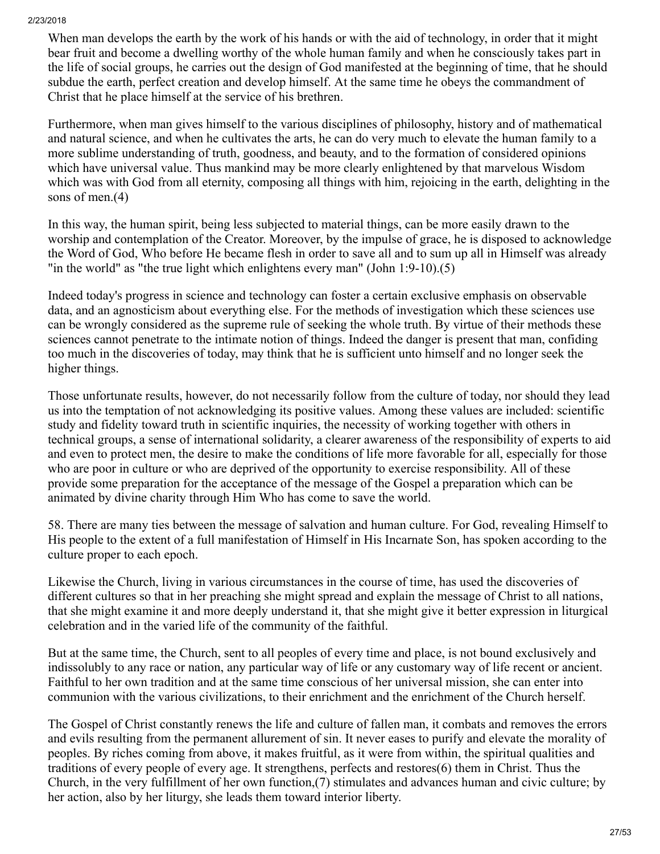When man develops the earth by the work of his hands or with the aid of technology, in order that it might bear fruit and become a dwelling worthy of the whole human family and when he consciously takes part in the life of social groups, he carries out the design of God manifested at the beginning of time, that he should subdue the earth, perfect creation and develop himself. At the same time he obeys the commandment of Christ that he place himself at the service of his brethren.

Furthermore, when man gives himself to the various disciplines of philosophy, history and of mathematical and natural science, and when he cultivates the arts, he can do very much to elevate the human family to a more sublime understanding of truth, goodness, and beauty, and to the formation of considered opinions which have universal value. Thus mankind may be more clearly enlightened by that marvelous Wisdom which was with God from all eternity, composing all things with him, rejoicing in the earth, delighting in the sons of men.(4)

In this way, the human spirit, being less subjected to material things, can be more easily drawn to the worship and contemplation of the Creator. Moreover, by the impulse of grace, he is disposed to acknowledge the Word of God, Who before He became flesh in order to save all and to sum up all in Himself was already "in the world" as "the true light which enlightens every man" (John 1:9-10).(5)

Indeed today's progress in science and technology can foster a certain exclusive emphasis on observable data, and an agnosticism about everything else. For the methods of investigation which these sciences use can be wrongly considered as the supreme rule of seeking the whole truth. By virtue of their methods these sciences cannot penetrate to the intimate notion of things. Indeed the danger is present that man, confiding too much in the discoveries of today, may think that he is sufficient unto himself and no longer seek the higher things.

Those unfortunate results, however, do not necessarily follow from the culture of today, nor should they lead us into the temptation of not acknowledging its positive values. Among these values are included: scientific study and fidelity toward truth in scientific inquiries, the necessity of working together with others in technical groups, a sense of international solidarity, a clearer awareness of the responsibility of experts to aid and even to protect men, the desire to make the conditions of life more favorable for all, especially for those who are poor in culture or who are deprived of the opportunity to exercise responsibility. All of these provide some preparation for the acceptance of the message of the Gospel a preparation which can be animated by divine charity through Him Who has come to save the world.

58. There are many ties between the message of salvation and human culture. For God, revealing Himself to His people to the extent of a full manifestation of Himself in His Incarnate Son, has spoken according to the culture proper to each epoch.

Likewise the Church, living in various circumstances in the course of time, has used the discoveries of different cultures so that in her preaching she might spread and explain the message of Christ to all nations, that she might examine it and more deeply understand it, that she might give it better expression in liturgical celebration and in the varied life of the community of the faithful.

But at the same time, the Church, sent to all peoples of every time and place, is not bound exclusively and indissolubly to any race or nation, any particular way of life or any customary way of life recent or ancient. Faithful to her own tradition and at the same time conscious of her universal mission, she can enter into communion with the various civilizations, to their enrichment and the enrichment of the Church herself.

The Gospel of Christ constantly renews the life and culture of fallen man, it combats and removes the errors and evils resulting from the permanent allurement of sin. It never eases to purify and elevate the morality of peoples. By riches coming from above, it makes fruitful, as it were from within, the spiritual qualities and traditions of every people of every age. It strengthens, perfects and restores(6) them in Christ. Thus the Church, in the very fulfillment of her own function,(7) stimulates and advances human and civic culture; by her action, also by her liturgy, she leads them toward interior liberty.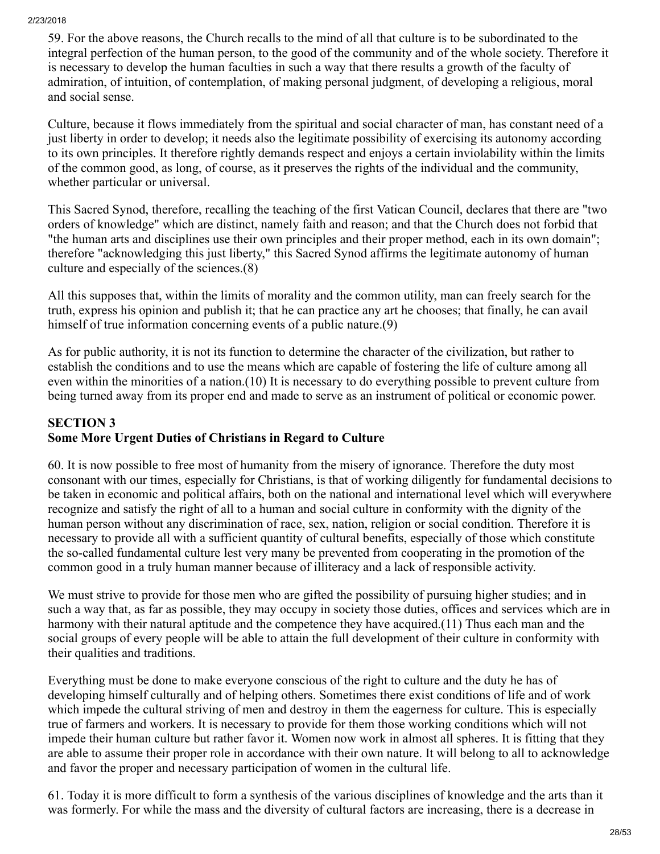59. For the above reasons, the Church recalls to the mind of all that culture is to be subordinated to the integral perfection of the human person, to the good of the community and of the whole society. Therefore it is necessary to develop the human faculties in such a way that there results a growth of the faculty of admiration, of intuition, of contemplation, of making personal judgment, of developing a religious, moral and social sense.

Culture, because it flows immediately from the spiritual and social character of man, has constant need of a just liberty in order to develop; it needs also the legitimate possibility of exercising its autonomy according to its own principles. It therefore rightly demands respect and enjoys a certain inviolability within the limits of the common good, as long, of course, as it preserves the rights of the individual and the community, whether particular or universal.

This Sacred Synod, therefore, recalling the teaching of the first Vatican Council, declares that there are "two orders of knowledge" which are distinct, namely faith and reason; and that the Church does not forbid that "the human arts and disciplines use their own principles and their proper method, each in its own domain"; therefore "acknowledging this just liberty," this Sacred Synod affirms the legitimate autonomy of human culture and especially of the sciences.(8)

All this supposes that, within the limits of morality and the common utility, man can freely search for the truth, express his opinion and publish it; that he can practice any art he chooses; that finally, he can avail himself of true information concerning events of a public nature.<sup>(9)</sup>

As for public authority, it is not its function to determine the character of the civilization, but rather to establish the conditions and to use the means which are capable of fostering the life of culture among all even within the minorities of a nation.(10) It is necessary to do everything possible to prevent culture from being turned away from its proper end and made to serve as an instrument of political or economic power.

# SECTION 3 Some More Urgent Duties of Christians in Regard to Culture

60. It is now possible to free most of humanity from the misery of ignorance. Therefore the duty most consonant with our times, especially for Christians, is that of working diligently for fundamental decisions to be taken in economic and political affairs, both on the national and international level which will everywhere recognize and satisfy the right of all to a human and social culture in conformity with the dignity of the human person without any discrimination of race, sex, nation, religion or social condition. Therefore it is necessary to provide all with a sufficient quantity of cultural benefits, especially of those which constitute the so-called fundamental culture lest very many be prevented from cooperating in the promotion of the common good in a truly human manner because of illiteracy and a lack of responsible activity.

We must strive to provide for those men who are gifted the possibility of pursuing higher studies; and in such a way that, as far as possible, they may occupy in society those duties, offices and services which are in harmony with their natural aptitude and the competence they have acquired.(11) Thus each man and the social groups of every people will be able to attain the full development of their culture in conformity with their qualities and traditions.

Everything must be done to make everyone conscious of the right to culture and the duty he has of developing himself culturally and of helping others. Sometimes there exist conditions of life and of work which impede the cultural striving of men and destroy in them the eagerness for culture. This is especially true of farmers and workers. It is necessary to provide for them those working conditions which will not impede their human culture but rather favor it. Women now work in almost all spheres. It is fitting that they are able to assume their proper role in accordance with their own nature. It will belong to all to acknowledge and favor the proper and necessary participation of women in the cultural life.

61. Today it is more difficult to form a synthesis of the various disciplines of knowledge and the arts than it was formerly. For while the mass and the diversity of cultural factors are increasing, there is a decrease in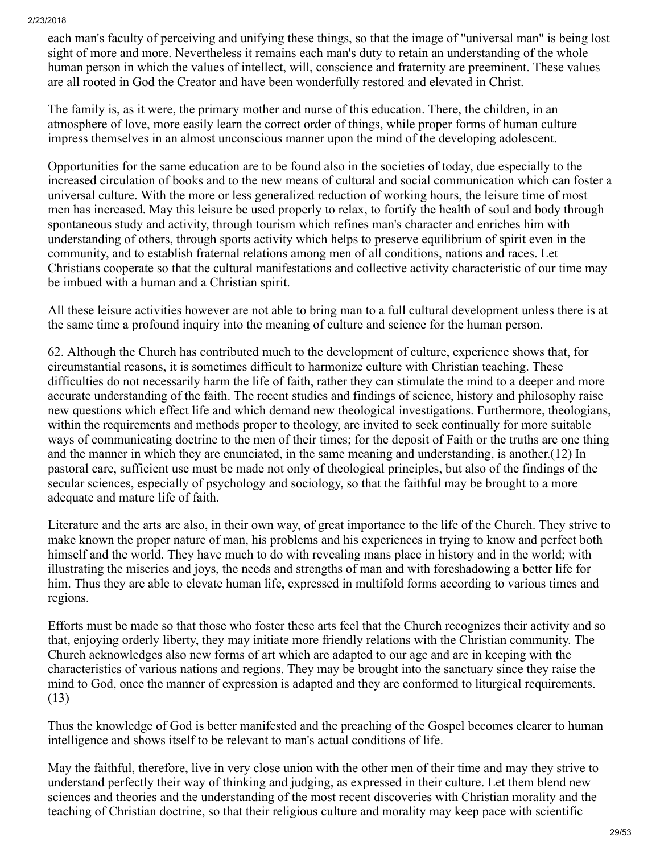each man's faculty of perceiving and unifying these things, so that the image of "universal man" is being lost sight of more and more. Nevertheless it remains each man's duty to retain an understanding of the whole human person in which the values of intellect, will, conscience and fraternity are preeminent. These values are all rooted in God the Creator and have been wonderfully restored and elevated in Christ.

The family is, as it were, the primary mother and nurse of this education. There, the children, in an atmosphere of love, more easily learn the correct order of things, while proper forms of human culture impress themselves in an almost unconscious manner upon the mind of the developing adolescent.

Opportunities for the same education are to be found also in the societies of today, due especially to the increased circulation of books and to the new means of cultural and social communication which can foster a universal culture. With the more or less generalized reduction of working hours, the leisure time of most men has increased. May this leisure be used properly to relax, to fortify the health of soul and body through spontaneous study and activity, through tourism which refines man's character and enriches him with understanding of others, through sports activity which helps to preserve equilibrium of spirit even in the community, and to establish fraternal relations among men of all conditions, nations and races. Let Christians cooperate so that the cultural manifestations and collective activity characteristic of our time may be imbued with a human and a Christian spirit.

All these leisure activities however are not able to bring man to a full cultural development unless there is at the same time a profound inquiry into the meaning of culture and science for the human person.

62. Although the Church has contributed much to the development of culture, experience shows that, for circumstantial reasons, it is sometimes difficult to harmonize culture with Christian teaching. These difficulties do not necessarily harm the life of faith, rather they can stimulate the mind to a deeper and more accurate understanding of the faith. The recent studies and findings of science, history and philosophy raise new questions which effect life and which demand new theological investigations. Furthermore, theologians, within the requirements and methods proper to theology, are invited to seek continually for more suitable ways of communicating doctrine to the men of their times; for the deposit of Faith or the truths are one thing and the manner in which they are enunciated, in the same meaning and understanding, is another.(12) In pastoral care, sufficient use must be made not only of theological principles, but also of the findings of the secular sciences, especially of psychology and sociology, so that the faithful may be brought to a more adequate and mature life of faith.

Literature and the arts are also, in their own way, of great importance to the life of the Church. They strive to make known the proper nature of man, his problems and his experiences in trying to know and perfect both himself and the world. They have much to do with revealing mans place in history and in the world; with illustrating the miseries and joys, the needs and strengths of man and with foreshadowing a better life for him. Thus they are able to elevate human life, expressed in multifold forms according to various times and regions.

Efforts must be made so that those who foster these arts feel that the Church recognizes their activity and so that, enjoying orderly liberty, they may initiate more friendly relations with the Christian community. The Church acknowledges also new forms of art which are adapted to our age and are in keeping with the characteristics of various nations and regions. They may be brought into the sanctuary since they raise the mind to God, once the manner of expression is adapted and they are conformed to liturgical requirements. (13)

Thus the knowledge of God is better manifested and the preaching of the Gospel becomes clearer to human intelligence and shows itself to be relevant to man's actual conditions of life.

May the faithful, therefore, live in very close union with the other men of their time and may they strive to understand perfectly their way of thinking and judging, as expressed in their culture. Let them blend new sciences and theories and the understanding of the most recent discoveries with Christian morality and the teaching of Christian doctrine, so that their religious culture and morality may keep pace with scientific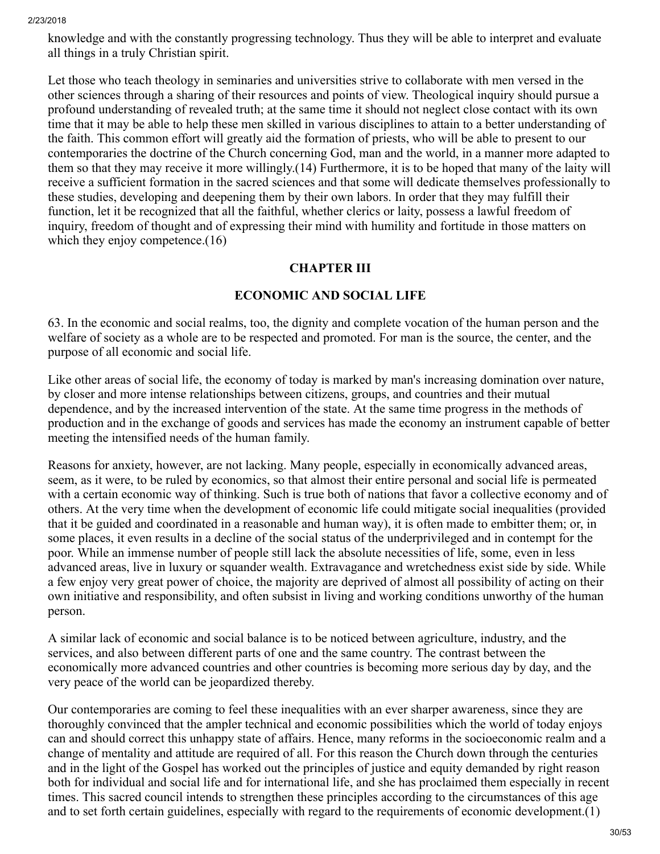knowledge and with the constantly progressing technology. Thus they will be able to interpret and evaluate all things in a truly Christian spirit.

Let those who teach theology in seminaries and universities strive to collaborate with men versed in the other sciences through a sharing of their resources and points of view. Theological inquiry should pursue a profound understanding of revealed truth; at the same time it should not neglect close contact with its own time that it may be able to help these men skilled in various disciplines to attain to a better understanding of the faith. This common effort will greatly aid the formation of priests, who will be able to present to our contemporaries the doctrine of the Church concerning God, man and the world, in a manner more adapted to them so that they may receive it more willingly.(14) Furthermore, it is to be hoped that many of the laity will receive a sufficient formation in the sacred sciences and that some will dedicate themselves professionally to these studies, developing and deepening them by their own labors. In order that they may fulfill their function, let it be recognized that all the faithful, whether clerics or laity, possess a lawful freedom of inquiry, freedom of thought and of expressing their mind with humility and fortitude in those matters on which they enjoy competence. (16)

## CHAPTER III

# ECONOMIC AND SOCIAL LIFE

63. In the economic and social realms, too, the dignity and complete vocation of the human person and the welfare of society as a whole are to be respected and promoted. For man is the source, the center, and the purpose of all economic and social life.

Like other areas of social life, the economy of today is marked by man's increasing domination over nature, by closer and more intense relationships between citizens, groups, and countries and their mutual dependence, and by the increased intervention of the state. At the same time progress in the methods of production and in the exchange of goods and services has made the economy an instrument capable of better meeting the intensified needs of the human family.

Reasons for anxiety, however, are not lacking. Many people, especially in economically advanced areas, seem, as it were, to be ruled by economics, so that almost their entire personal and social life is permeated with a certain economic way of thinking. Such is true both of nations that favor a collective economy and of others. At the very time when the development of economic life could mitigate social inequalities (provided that it be guided and coordinated in a reasonable and human way), it is often made to embitter them; or, in some places, it even results in a decline of the social status of the underprivileged and in contempt for the poor. While an immense number of people still lack the absolute necessities of life, some, even in less advanced areas, live in luxury or squander wealth. Extravagance and wretchedness exist side by side. While a few enjoy very great power of choice, the majority are deprived of almost all possibility of acting on their own initiative and responsibility, and often subsist in living and working conditions unworthy of the human person.

A similar lack of economic and social balance is to be noticed between agriculture, industry, and the services, and also between different parts of one and the same country. The contrast between the economically more advanced countries and other countries is becoming more serious day by day, and the very peace of the world can be jeopardized thereby.

Our contemporaries are coming to feel these inequalities with an ever sharper awareness, since they are thoroughly convinced that the ampler technical and economic possibilities which the world of today enjoys can and should correct this unhappy state of affairs. Hence, many reforms in the socioeconomic realm and a change of mentality and attitude are required of all. For this reason the Church down through the centuries and in the light of the Gospel has worked out the principles of justice and equity demanded by right reason both for individual and social life and for international life, and she has proclaimed them especially in recent times. This sacred council intends to strengthen these principles according to the circumstances of this age and to set forth certain guidelines, especially with regard to the requirements of economic development.(1)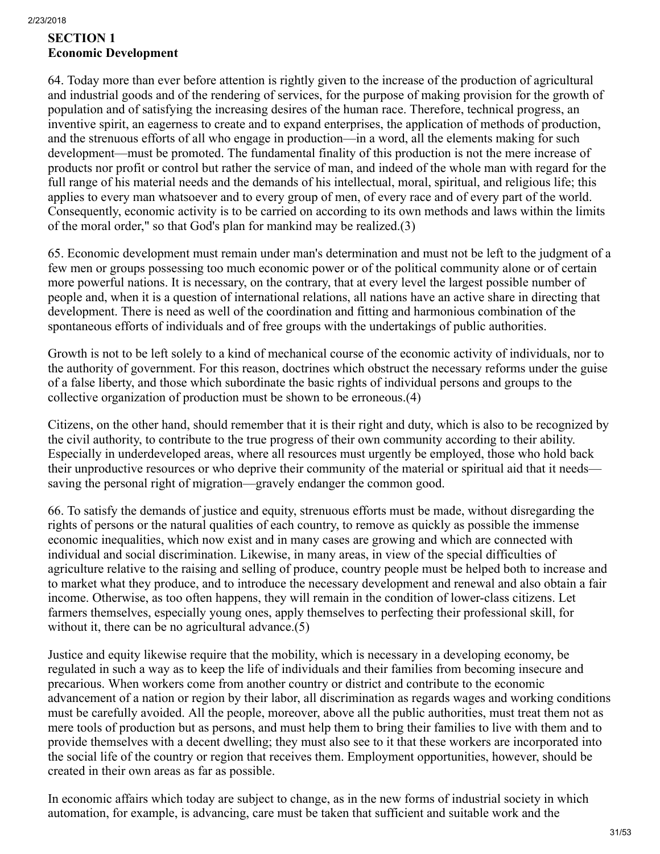# SECTION 1 Economic Development

64. Today more than ever before attention is rightly given to the increase of the production of agricultural and industrial goods and of the rendering of services, for the purpose of making provision for the growth of population and of satisfying the increasing desires of the human race. Therefore, technical progress, an inventive spirit, an eagerness to create and to expand enterprises, the application of methods of production, and the strenuous efforts of all who engage in production—in a word, all the elements making for such development—must be promoted. The fundamental finality of this production is not the mere increase of products nor profit or control but rather the service of man, and indeed of the whole man with regard for the full range of his material needs and the demands of his intellectual, moral, spiritual, and religious life; this applies to every man whatsoever and to every group of men, of every race and of every part of the world. Consequently, economic activity is to be carried on according to its own methods and laws within the limits of the moral order," so that God's plan for mankind may be realized.(3)

65. Economic development must remain under man's determination and must not be left to the judgment of a few men or groups possessing too much economic power or of the political community alone or of certain more powerful nations. It is necessary, on the contrary, that at every level the largest possible number of people and, when it is a question of international relations, all nations have an active share in directing that development. There is need as well of the coordination and fitting and harmonious combination of the spontaneous efforts of individuals and of free groups with the undertakings of public authorities.

Growth is not to be left solely to a kind of mechanical course of the economic activity of individuals, nor to the authority of government. For this reason, doctrines which obstruct the necessary reforms under the guise of a false liberty, and those which subordinate the basic rights of individual persons and groups to the collective organization of production must be shown to be erroneous.(4)

Citizens, on the other hand, should remember that it is their right and duty, which is also to be recognized by the civil authority, to contribute to the true progress of their own community according to their ability. Especially in underdeveloped areas, where all resources must urgently be employed, those who hold back their unproductive resources or who deprive their community of the material or spiritual aid that it needs saving the personal right of migration—gravely endanger the common good.

66. To satisfy the demands of justice and equity, strenuous efforts must be made, without disregarding the rights of persons or the natural qualities of each country, to remove as quickly as possible the immense economic inequalities, which now exist and in many cases are growing and which are connected with individual and social discrimination. Likewise, in many areas, in view of the special difficulties of agriculture relative to the raising and selling of produce, country people must be helped both to increase and to market what they produce, and to introduce the necessary development and renewal and also obtain a fair income. Otherwise, as too often happens, they will remain in the condition of lower-class citizens. Let farmers themselves, especially young ones, apply themselves to perfecting their professional skill, for without it, there can be no agricultural advance. (5)

Justice and equity likewise require that the mobility, which is necessary in a developing economy, be regulated in such a way as to keep the life of individuals and their families from becoming insecure and precarious. When workers come from another country or district and contribute to the economic advancement of a nation or region by their labor, all discrimination as regards wages and working conditions must be carefully avoided. All the people, moreover, above all the public authorities, must treat them not as mere tools of production but as persons, and must help them to bring their families to live with them and to provide themselves with a decent dwelling; they must also see to it that these workers are incorporated into the social life of the country or region that receives them. Employment opportunities, however, should be created in their own areas as far as possible.

In economic affairs which today are subject to change, as in the new forms of industrial society in which automation, for example, is advancing, care must be taken that sufficient and suitable work and the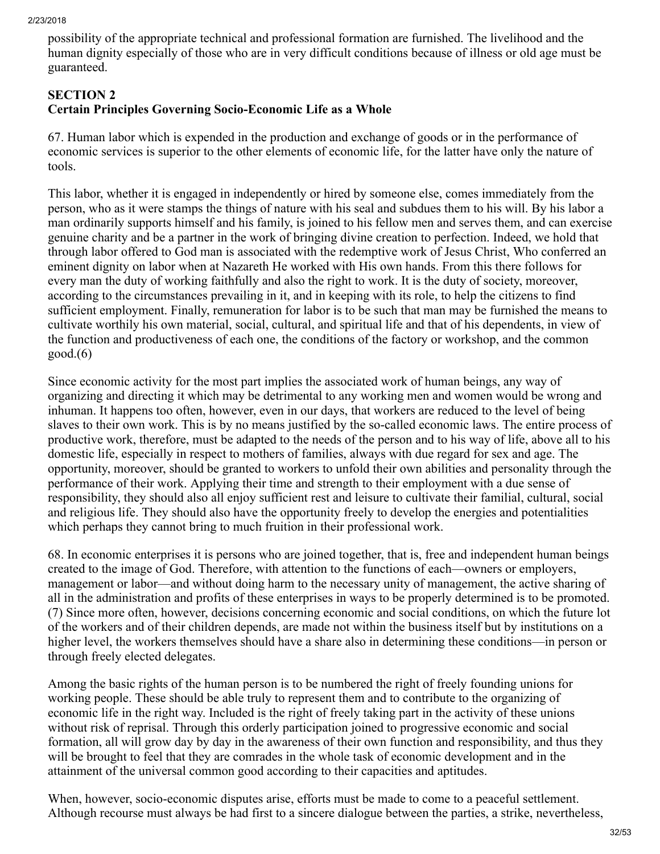possibility of the appropriate technical and professional formation are furnished. The livelihood and the human dignity especially of those who are in very difficult conditions because of illness or old age must be guaranteed.

## SECTION 2

# Certain Principles Governing Socio-Economic Life as a Whole

67. Human labor which is expended in the production and exchange of goods or in the performance of economic services is superior to the other elements of economic life, for the latter have only the nature of tools.

This labor, whether it is engaged in independently or hired by someone else, comes immediately from the person, who as it were stamps the things of nature with his seal and subdues them to his will. By his labor a man ordinarily supports himself and his family, is joined to his fellow men and serves them, and can exercise genuine charity and be a partner in the work of bringing divine creation to perfection. Indeed, we hold that through labor offered to God man is associated with the redemptive work of Jesus Christ, Who conferred an eminent dignity on labor when at Nazareth He worked with His own hands. From this there follows for every man the duty of working faithfully and also the right to work. It is the duty of society, moreover, according to the circumstances prevailing in it, and in keeping with its role, to help the citizens to find sufficient employment. Finally, remuneration for labor is to be such that man may be furnished the means to cultivate worthily his own material, social, cultural, and spiritual life and that of his dependents, in view of the function and productiveness of each one, the conditions of the factory or workshop, and the common good.(6)

Since economic activity for the most part implies the associated work of human beings, any way of organizing and directing it which may be detrimental to any working men and women would be wrong and inhuman. It happens too often, however, even in our days, that workers are reduced to the level of being slaves to their own work. This is by no means justified by the so-called economic laws. The entire process of productive work, therefore, must be adapted to the needs of the person and to his way of life, above all to his domestic life, especially in respect to mothers of families, always with due regard for sex and age. The opportunity, moreover, should be granted to workers to unfold their own abilities and personality through the performance of their work. Applying their time and strength to their employment with a due sense of responsibility, they should also all enjoy sufficient rest and leisure to cultivate their familial, cultural, social and religious life. They should also have the opportunity freely to develop the energies and potentialities which perhaps they cannot bring to much fruition in their professional work.

68. In economic enterprises it is persons who are joined together, that is, free and independent human beings created to the image of God. Therefore, with attention to the functions of each—owners or employers, management or labor—and without doing harm to the necessary unity of management, the active sharing of all in the administration and profits of these enterprises in ways to be properly determined is to be promoted. (7) Since more often, however, decisions concerning economic and social conditions, on which the future lot of the workers and of their children depends, are made not within the business itself but by institutions on a higher level, the workers themselves should have a share also in determining these conditions—in person or through freely elected delegates.

Among the basic rights of the human person is to be numbered the right of freely founding unions for working people. These should be able truly to represent them and to contribute to the organizing of economic life in the right way. Included is the right of freely taking part in the activity of these unions without risk of reprisal. Through this orderly participation joined to progressive economic and social formation, all will grow day by day in the awareness of their own function and responsibility, and thus they will be brought to feel that they are comrades in the whole task of economic development and in the attainment of the universal common good according to their capacities and aptitudes.

When, however, socio-economic disputes arise, efforts must be made to come to a peaceful settlement. Although recourse must always be had first to a sincere dialogue between the parties, a strike, nevertheless,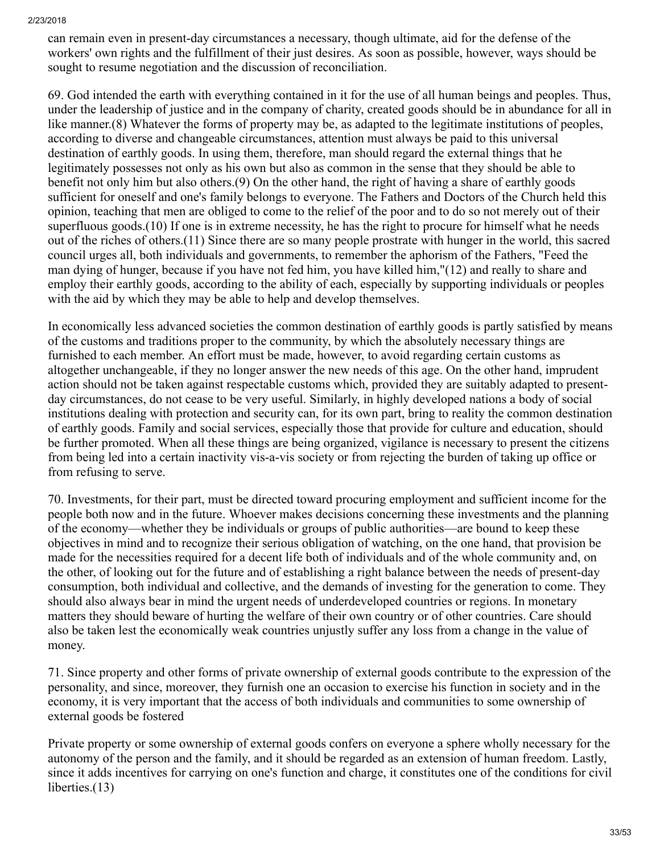can remain even in present-day circumstances a necessary, though ultimate, aid for the defense of the workers' own rights and the fulfillment of their just desires. As soon as possible, however, ways should be sought to resume negotiation and the discussion of reconciliation.

69. God intended the earth with everything contained in it for the use of all human beings and peoples. Thus, under the leadership of justice and in the company of charity, created goods should be in abundance for all in like manner.(8) Whatever the forms of property may be, as adapted to the legitimate institutions of peoples, according to diverse and changeable circumstances, attention must always be paid to this universal destination of earthly goods. In using them, therefore, man should regard the external things that he legitimately possesses not only as his own but also as common in the sense that they should be able to benefit not only him but also others.(9) On the other hand, the right of having a share of earthly goods sufficient for oneself and one's family belongs to everyone. The Fathers and Doctors of the Church held this opinion, teaching that men are obliged to come to the relief of the poor and to do so not merely out of their superfluous goods.(10) If one is in extreme necessity, he has the right to procure for himself what he needs out of the riches of others.(11) Since there are so many people prostrate with hunger in the world, this sacred council urges all, both individuals and governments, to remember the aphorism of the Fathers, "Feed the man dying of hunger, because if you have not fed him, you have killed him,"(12) and really to share and employ their earthly goods, according to the ability of each, especially by supporting individuals or peoples with the aid by which they may be able to help and develop themselves.

In economically less advanced societies the common destination of earthly goods is partly satisfied by means of the customs and traditions proper to the community, by which the absolutely necessary things are furnished to each member. An effort must be made, however, to avoid regarding certain customs as altogether unchangeable, if they no longer answer the new needs of this age. On the other hand, imprudent action should not be taken against respectable customs which, provided they are suitably adapted to presentday circumstances, do not cease to be very useful. Similarly, in highly developed nations a body of social institutions dealing with protection and security can, for its own part, bring to reality the common destination of earthly goods. Family and social services, especially those that provide for culture and education, should be further promoted. When all these things are being organized, vigilance is necessary to present the citizens from being led into a certain inactivity vis-a-vis society or from rejecting the burden of taking up office or from refusing to serve.

70. Investments, for their part, must be directed toward procuring employment and sufficient income for the people both now and in the future. Whoever makes decisions concerning these investments and the planning of the economy—whether they be individuals or groups of public authorities—are bound to keep these objectives in mind and to recognize their serious obligation of watching, on the one hand, that provision be made for the necessities required for a decent life both of individuals and of the whole community and, on the other, of looking out for the future and of establishing a right balance between the needs of present-day consumption, both individual and collective, and the demands of investing for the generation to come. They should also always bear in mind the urgent needs of underdeveloped countries or regions. In monetary matters they should beware of hurting the welfare of their own country or of other countries. Care should also be taken lest the economically weak countries unjustly suffer any loss from a change in the value of money.

71. Since property and other forms of private ownership of external goods contribute to the expression of the personality, and since, moreover, they furnish one an occasion to exercise his function in society and in the economy, it is very important that the access of both individuals and communities to some ownership of external goods be fostered

Private property or some ownership of external goods confers on everyone a sphere wholly necessary for the autonomy of the person and the family, and it should be regarded as an extension of human freedom. Lastly, since it adds incentives for carrying on one's function and charge, it constitutes one of the conditions for civil liberties.(13)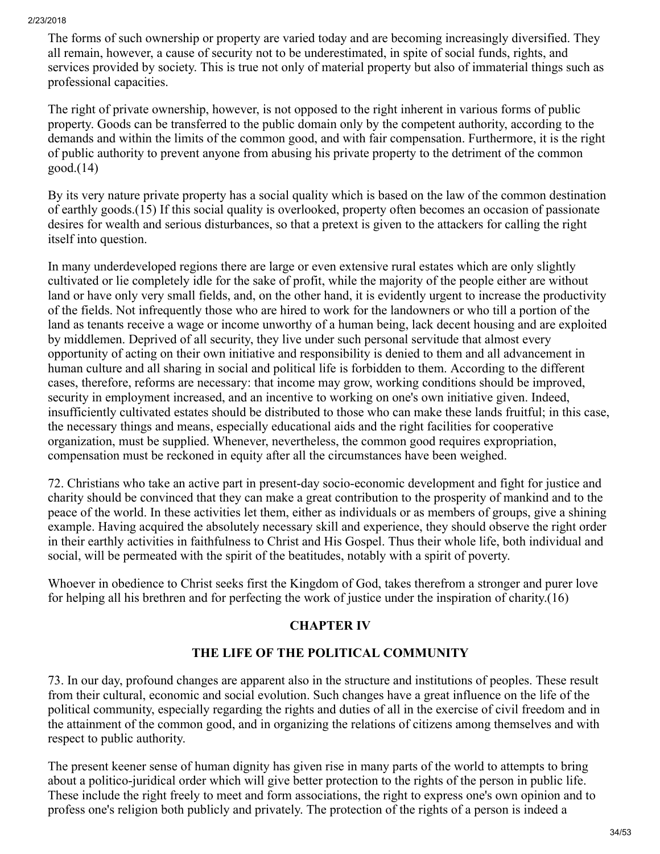The forms of such ownership or property are varied today and are becoming increasingly diversified. They all remain, however, a cause of security not to be underestimated, in spite of social funds, rights, and services provided by society. This is true not only of material property but also of immaterial things such as professional capacities.

The right of private ownership, however, is not opposed to the right inherent in various forms of public property. Goods can be transferred to the public domain only by the competent authority, according to the demands and within the limits of the common good, and with fair compensation. Furthermore, it is the right of public authority to prevent anyone from abusing his private property to the detriment of the common good.(14)

By its very nature private property has a social quality which is based on the law of the common destination of earthly goods.(15) If this social quality is overlooked, property often becomes an occasion of passionate desires for wealth and serious disturbances, so that a pretext is given to the attackers for calling the right itself into question.

In many underdeveloped regions there are large or even extensive rural estates which are only slightly cultivated or lie completely idle for the sake of profit, while the majority of the people either are without land or have only very small fields, and, on the other hand, it is evidently urgent to increase the productivity of the fields. Not infrequently those who are hired to work for the landowners or who till a portion of the land as tenants receive a wage or income unworthy of a human being, lack decent housing and are exploited by middlemen. Deprived of all security, they live under such personal servitude that almost every opportunity of acting on their own initiative and responsibility is denied to them and all advancement in human culture and all sharing in social and political life is forbidden to them. According to the different cases, therefore, reforms are necessary: that income may grow, working conditions should be improved, security in employment increased, and an incentive to working on one's own initiative given. Indeed, insufficiently cultivated estates should be distributed to those who can make these lands fruitful; in this case, the necessary things and means, especially educational aids and the right facilities for cooperative organization, must be supplied. Whenever, nevertheless, the common good requires expropriation, compensation must be reckoned in equity after all the circumstances have been weighed.

72. Christians who take an active part in present-day socio-economic development and fight for justice and charity should be convinced that they can make a great contribution to the prosperity of mankind and to the peace of the world. In these activities let them, either as individuals or as members of groups, give a shining example. Having acquired the absolutely necessary skill and experience, they should observe the right order in their earthly activities in faithfulness to Christ and His Gospel. Thus their whole life, both individual and social, will be permeated with the spirit of the beatitudes, notably with a spirit of poverty.

Whoever in obedience to Christ seeks first the Kingdom of God, takes therefrom a stronger and purer love for helping all his brethren and for perfecting the work of justice under the inspiration of charity.(16)

# CHAPTER IV

# THE LIFE OF THE POLITICAL COMMUNITY

73. In our day, profound changes are apparent also in the structure and institutions of peoples. These result from their cultural, economic and social evolution. Such changes have a great influence on the life of the political community, especially regarding the rights and duties of all in the exercise of civil freedom and in the attainment of the common good, and in organizing the relations of citizens among themselves and with respect to public authority.

The present keener sense of human dignity has given rise in many parts of the world to attempts to bring about a politico-juridical order which will give better protection to the rights of the person in public life. These include the right freely to meet and form associations, the right to express one's own opinion and to profess one's religion both publicly and privately. The protection of the rights of a person is indeed a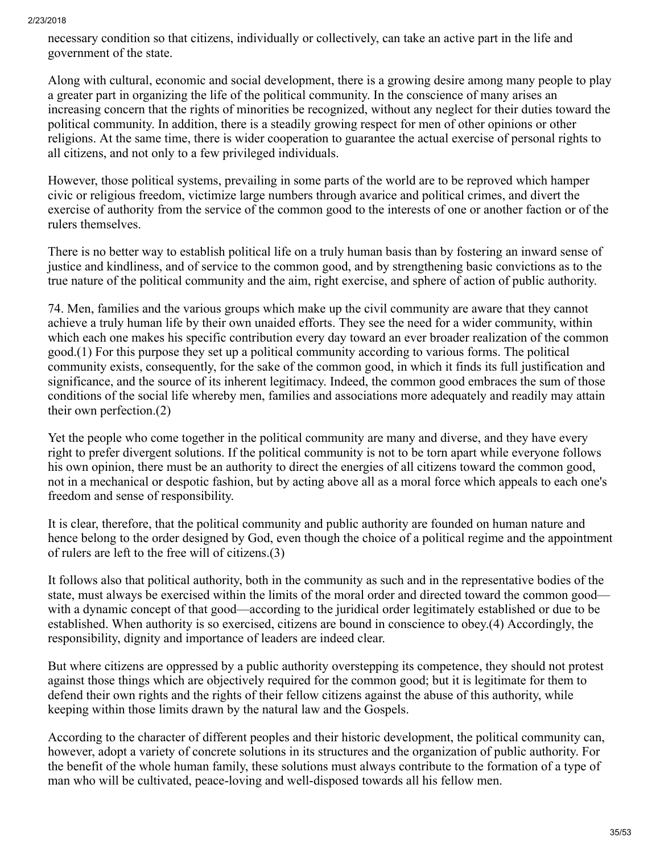necessary condition so that citizens, individually or collectively, can take an active part in the life and government of the state.

Along with cultural, economic and social development, there is a growing desire among many people to play a greater part in organizing the life of the political community. In the conscience of many arises an increasing concern that the rights of minorities be recognized, without any neglect for their duties toward the political community. In addition, there is a steadily growing respect for men of other opinions or other religions. At the same time, there is wider cooperation to guarantee the actual exercise of personal rights to all citizens, and not only to a few privileged individuals.

However, those political systems, prevailing in some parts of the world are to be reproved which hamper civic or religious freedom, victimize large numbers through avarice and political crimes, and divert the exercise of authority from the service of the common good to the interests of one or another faction or of the rulers themselves.

There is no better way to establish political life on a truly human basis than by fostering an inward sense of justice and kindliness, and of service to the common good, and by strengthening basic convictions as to the true nature of the political community and the aim, right exercise, and sphere of action of public authority.

74. Men, families and the various groups which make up the civil community are aware that they cannot achieve a truly human life by their own unaided efforts. They see the need for a wider community, within which each one makes his specific contribution every day toward an ever broader realization of the common good.(1) For this purpose they set up a political community according to various forms. The political community exists, consequently, for the sake of the common good, in which it finds its full justification and significance, and the source of its inherent legitimacy. Indeed, the common good embraces the sum of those conditions of the social life whereby men, families and associations more adequately and readily may attain their own perfection.(2)

Yet the people who come together in the political community are many and diverse, and they have every right to prefer divergent solutions. If the political community is not to be torn apart while everyone follows his own opinion, there must be an authority to direct the energies of all citizens toward the common good, not in a mechanical or despotic fashion, but by acting above all as a moral force which appeals to each one's freedom and sense of responsibility.

It is clear, therefore, that the political community and public authority are founded on human nature and hence belong to the order designed by God, even though the choice of a political regime and the appointment of rulers are left to the free will of citizens.(3)

It follows also that political authority, both in the community as such and in the representative bodies of the state, must always be exercised within the limits of the moral order and directed toward the common good with a dynamic concept of that good—according to the juridical order legitimately established or due to be established. When authority is so exercised, citizens are bound in conscience to obey.(4) Accordingly, the responsibility, dignity and importance of leaders are indeed clear.

But where citizens are oppressed by a public authority overstepping its competence, they should not protest against those things which are objectively required for the common good; but it is legitimate for them to defend their own rights and the rights of their fellow citizens against the abuse of this authority, while keeping within those limits drawn by the natural law and the Gospels.

According to the character of different peoples and their historic development, the political community can, however, adopt a variety of concrete solutions in its structures and the organization of public authority. For the benefit of the whole human family, these solutions must always contribute to the formation of a type of man who will be cultivated, peace-loving and well-disposed towards all his fellow men.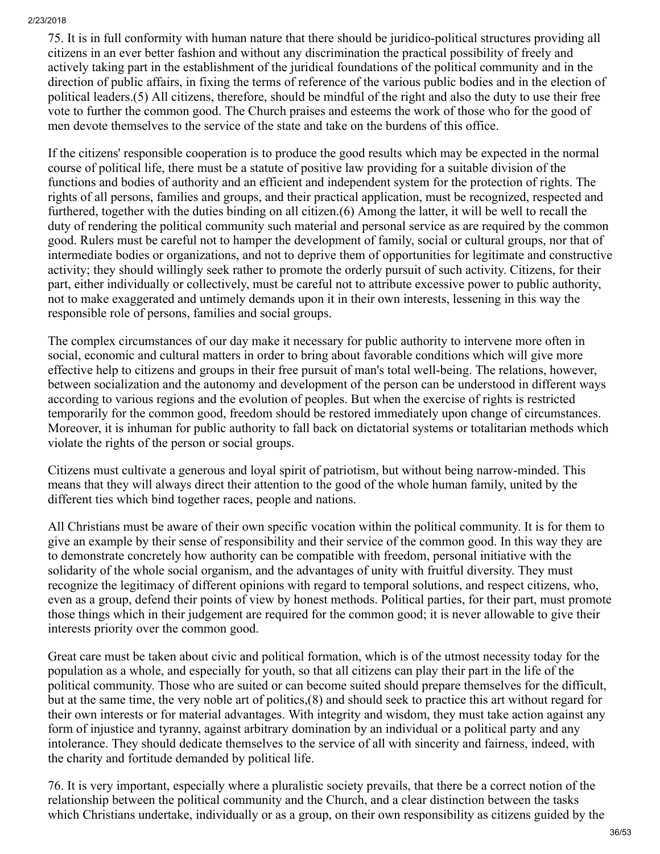75. It is in full conformity with human nature that there should be juridico-political structures providing all citizens in an ever better fashion and without any discrimination the practical possibility of freely and actively taking part in the establishment of the juridical foundations of the political community and in the direction of public affairs, in fixing the terms of reference of the various public bodies and in the election of political leaders.(5) All citizens, therefore, should be mindful of the right and also the duty to use their free vote to further the common good. The Church praises and esteems the work of those who for the good of men devote themselves to the service of the state and take on the burdens of this office.

If the citizens' responsible cooperation is to produce the good results which may be expected in the normal course of political life, there must be a statute of positive law providing for a suitable division of the functions and bodies of authority and an efficient and independent system for the protection of rights. The rights of all persons, families and groups, and their practical application, must be recognized, respected and furthered, together with the duties binding on all citizen.(6) Among the latter, it will be well to recall the duty of rendering the political community such material and personal service as are required by the common good. Rulers must be careful not to hamper the development of family, social or cultural groups, nor that of intermediate bodies or organizations, and not to deprive them of opportunities for legitimate and constructive activity; they should willingly seek rather to promote the orderly pursuit of such activity. Citizens, for their part, either individually or collectively, must be careful not to attribute excessive power to public authority, not to make exaggerated and untimely demands upon it in their own interests, lessening in this way the responsible role of persons, families and social groups.

The complex circumstances of our day make it necessary for public authority to intervene more often in social, economic and cultural matters in order to bring about favorable conditions which will give more effective help to citizens and groups in their free pursuit of man's total well-being. The relations, however, between socialization and the autonomy and development of the person can be understood in different ways according to various regions and the evolution of peoples. But when the exercise of rights is restricted temporarily for the common good, freedom should be restored immediately upon change of circumstances. Moreover, it is inhuman for public authority to fall back on dictatorial systems or totalitarian methods which violate the rights of the person or social groups.

Citizens must cultivate a generous and loyal spirit of patriotism, but without being narrow-minded. This means that they will always direct their attention to the good of the whole human family, united by the different ties which bind together races, people and nations.

All Christians must be aware of their own specific vocation within the political community. It is for them to give an example by their sense of responsibility and their service of the common good. In this way they are to demonstrate concretely how authority can be compatible with freedom, personal initiative with the solidarity of the whole social organism, and the advantages of unity with fruitful diversity. They must recognize the legitimacy of different opinions with regard to temporal solutions, and respect citizens, who, even as a group, defend their points of view by honest methods. Political parties, for their part, must promote those things which in their judgement are required for the common good; it is never allowable to give their interests priority over the common good.

Great care must be taken about civic and political formation, which is of the utmost necessity today for the population as a whole, and especially for youth, so that all citizens can play their part in the life of the political community. Those who are suited or can become suited should prepare themselves for the difficult, but at the same time, the very noble art of politics,(8) and should seek to practice this art without regard for their own interests or for material advantages. With integrity and wisdom, they must take action against any form of injustice and tyranny, against arbitrary domination by an individual or a political party and any intolerance. They should dedicate themselves to the service of all with sincerity and fairness, indeed, with the charity and fortitude demanded by political life.

76. It is very important, especially where a pluralistic society prevails, that there be a correct notion of the relationship between the political community and the Church, and a clear distinction between the tasks which Christians undertake, individually or as a group, on their own responsibility as citizens guided by the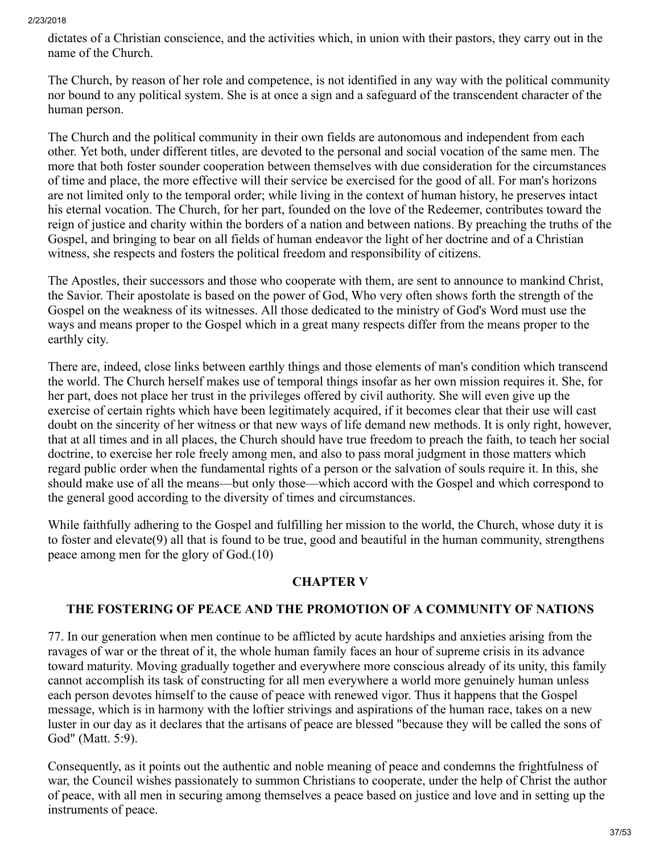dictates of a Christian conscience, and the activities which, in union with their pastors, they carry out in the name of the Church.

The Church, by reason of her role and competence, is not identified in any way with the political community nor bound to any political system. She is at once a sign and a safeguard of the transcendent character of the human person.

The Church and the political community in their own fields are autonomous and independent from each other. Yet both, under different titles, are devoted to the personal and social vocation of the same men. The more that both foster sounder cooperation between themselves with due consideration for the circumstances of time and place, the more effective will their service be exercised for the good of all. For man's horizons are not limited only to the temporal order; while living in the context of human history, he preserves intact his eternal vocation. The Church, for her part, founded on the love of the Redeemer, contributes toward the reign of justice and charity within the borders of a nation and between nations. By preaching the truths of the Gospel, and bringing to bear on all fields of human endeavor the light of her doctrine and of a Christian witness, she respects and fosters the political freedom and responsibility of citizens.

The Apostles, their successors and those who cooperate with them, are sent to announce to mankind Christ, the Savior. Their apostolate is based on the power of God, Who very often shows forth the strength of the Gospel on the weakness of its witnesses. All those dedicated to the ministry of God's Word must use the ways and means proper to the Gospel which in a great many respects differ from the means proper to the earthly city.

There are, indeed, close links between earthly things and those elements of man's condition which transcend the world. The Church herself makes use of temporal things insofar as her own mission requires it. She, for her part, does not place her trust in the privileges offered by civil authority. She will even give up the exercise of certain rights which have been legitimately acquired, if it becomes clear that their use will cast doubt on the sincerity of her witness or that new ways of life demand new methods. It is only right, however, that at all times and in all places, the Church should have true freedom to preach the faith, to teach her social doctrine, to exercise her role freely among men, and also to pass moral judgment in those matters which regard public order when the fundamental rights of a person or the salvation of souls require it. In this, she should make use of all the means—but only those—which accord with the Gospel and which correspond to the general good according to the diversity of times and circumstances.

While faithfully adhering to the Gospel and fulfilling her mission to the world, the Church, whose duty it is to foster and elevate(9) all that is found to be true, good and beautiful in the human community, strengthens peace among men for the glory of God.(10)

# CHAPTER V

## THE FOSTERING OF PEACE AND THE PROMOTION OF A COMMUNITY OF NATIONS

77. In our generation when men continue to be afflicted by acute hardships and anxieties arising from the ravages of war or the threat of it, the whole human family faces an hour of supreme crisis in its advance toward maturity. Moving gradually together and everywhere more conscious already of its unity, this family cannot accomplish its task of constructing for all men everywhere a world more genuinely human unless each person devotes himself to the cause of peace with renewed vigor. Thus it happens that the Gospel message, which is in harmony with the loftier strivings and aspirations of the human race, takes on a new luster in our day as it declares that the artisans of peace are blessed "because they will be called the sons of God" (Matt. 5:9).

Consequently, as it points out the authentic and noble meaning of peace and condemns the frightfulness of war, the Council wishes passionately to summon Christians to cooperate, under the help of Christ the author of peace, with all men in securing among themselves a peace based on justice and love and in setting up the instruments of peace.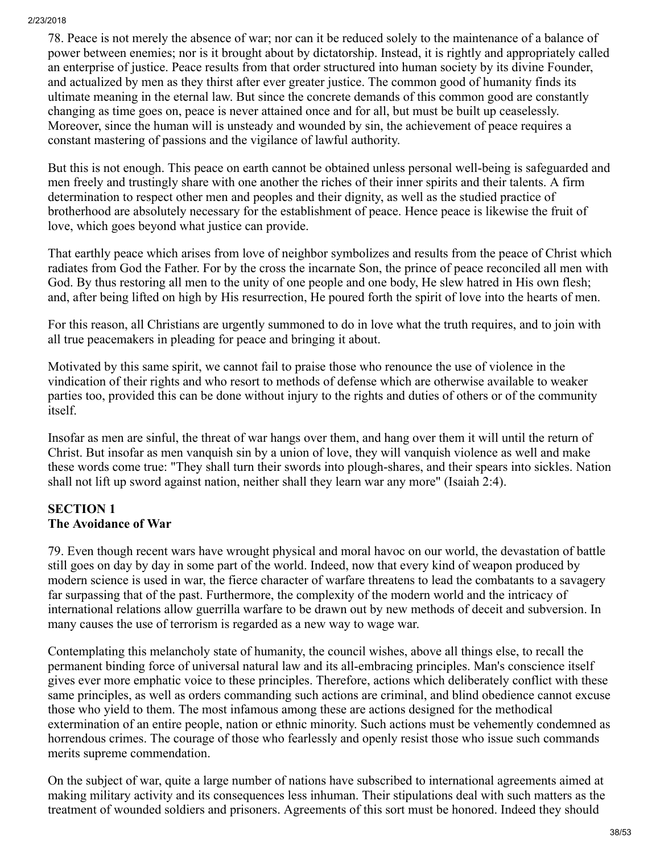78. Peace is not merely the absence of war; nor can it be reduced solely to the maintenance of a balance of power between enemies; nor is it brought about by dictatorship. Instead, it is rightly and appropriately called an enterprise of justice. Peace results from that order structured into human society by its divine Founder, and actualized by men as they thirst after ever greater justice. The common good of humanity finds its ultimate meaning in the eternal law. But since the concrete demands of this common good are constantly changing as time goes on, peace is never attained once and for all, but must be built up ceaselessly. Moreover, since the human will is unsteady and wounded by sin, the achievement of peace requires a constant mastering of passions and the vigilance of lawful authority.

But this is not enough. This peace on earth cannot be obtained unless personal well-being is safeguarded and men freely and trustingly share with one another the riches of their inner spirits and their talents. A firm determination to respect other men and peoples and their dignity, as well as the studied practice of brotherhood are absolutely necessary for the establishment of peace. Hence peace is likewise the fruit of love, which goes beyond what justice can provide.

That earthly peace which arises from love of neighbor symbolizes and results from the peace of Christ which radiates from God the Father. For by the cross the incarnate Son, the prince of peace reconciled all men with God. By thus restoring all men to the unity of one people and one body, He slew hatred in His own flesh; and, after being lifted on high by His resurrection, He poured forth the spirit of love into the hearts of men.

For this reason, all Christians are urgently summoned to do in love what the truth requires, and to join with all true peacemakers in pleading for peace and bringing it about.

Motivated by this same spirit, we cannot fail to praise those who renounce the use of violence in the vindication of their rights and who resort to methods of defense which are otherwise available to weaker parties too, provided this can be done without injury to the rights and duties of others or of the community itself.

Insofar as men are sinful, the threat of war hangs over them, and hang over them it will until the return of Christ. But insofar as men vanquish sin by a union of love, they will vanquish violence as well and make these words come true: "They shall turn their swords into plough-shares, and their spears into sickles. Nation shall not lift up sword against nation, neither shall they learn war any more" (Isaiah 2:4).

### SECTION 1 The Avoidance of War

79. Even though recent wars have wrought physical and moral havoc on our world, the devastation of battle still goes on day by day in some part of the world. Indeed, now that every kind of weapon produced by modern science is used in war, the fierce character of warfare threatens to lead the combatants to a savagery far surpassing that of the past. Furthermore, the complexity of the modern world and the intricacy of international relations allow guerrilla warfare to be drawn out by new methods of deceit and subversion. In many causes the use of terrorism is regarded as a new way to wage war.

Contemplating this melancholy state of humanity, the council wishes, above all things else, to recall the permanent binding force of universal natural law and its all-embracing principles. Man's conscience itself gives ever more emphatic voice to these principles. Therefore, actions which deliberately conflict with these same principles, as well as orders commanding such actions are criminal, and blind obedience cannot excuse those who yield to them. The most infamous among these are actions designed for the methodical extermination of an entire people, nation or ethnic minority. Such actions must be vehemently condemned as horrendous crimes. The courage of those who fearlessly and openly resist those who issue such commands merits supreme commendation.

On the subject of war, quite a large number of nations have subscribed to international agreements aimed at making military activity and its consequences less inhuman. Their stipulations deal with such matters as the treatment of wounded soldiers and prisoners. Agreements of this sort must be honored. Indeed they should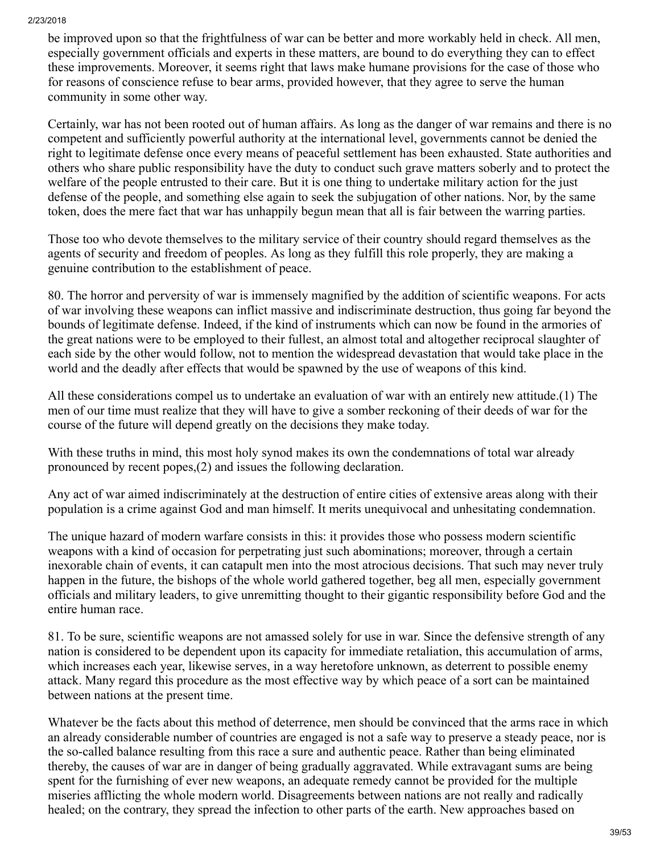be improved upon so that the frightfulness of war can be better and more workably held in check. All men, especially government officials and experts in these matters, are bound to do everything they can to effect these improvements. Moreover, it seems right that laws make humane provisions for the case of those who for reasons of conscience refuse to bear arms, provided however, that they agree to serve the human community in some other way.

Certainly, war has not been rooted out of human affairs. As long as the danger of war remains and there is no competent and sufficiently powerful authority at the international level, governments cannot be denied the right to legitimate defense once every means of peaceful settlement has been exhausted. State authorities and others who share public responsibility have the duty to conduct such grave matters soberly and to protect the welfare of the people entrusted to their care. But it is one thing to undertake military action for the just defense of the people, and something else again to seek the subjugation of other nations. Nor, by the same token, does the mere fact that war has unhappily begun mean that all is fair between the warring parties.

Those too who devote themselves to the military service of their country should regard themselves as the agents of security and freedom of peoples. As long as they fulfill this role properly, they are making a genuine contribution to the establishment of peace.

80. The horror and perversity of war is immensely magnified by the addition of scientific weapons. For acts of war involving these weapons can inflict massive and indiscriminate destruction, thus going far beyond the bounds of legitimate defense. Indeed, if the kind of instruments which can now be found in the armories of the great nations were to be employed to their fullest, an almost total and altogether reciprocal slaughter of each side by the other would follow, not to mention the widespread devastation that would take place in the world and the deadly after effects that would be spawned by the use of weapons of this kind.

All these considerations compel us to undertake an evaluation of war with an entirely new attitude.(1) The men of our time must realize that they will have to give a somber reckoning of their deeds of war for the course of the future will depend greatly on the decisions they make today.

With these truths in mind, this most holy synod makes its own the condemnations of total war already pronounced by recent popes,(2) and issues the following declaration.

Any act of war aimed indiscriminately at the destruction of entire cities of extensive areas along with their population is a crime against God and man himself. It merits unequivocal and unhesitating condemnation.

The unique hazard of modern warfare consists in this: it provides those who possess modern scientific weapons with a kind of occasion for perpetrating just such abominations; moreover, through a certain inexorable chain of events, it can catapult men into the most atrocious decisions. That such may never truly happen in the future, the bishops of the whole world gathered together, beg all men, especially government officials and military leaders, to give unremitting thought to their gigantic responsibility before God and the entire human race.

81. To be sure, scientific weapons are not amassed solely for use in war. Since the defensive strength of any nation is considered to be dependent upon its capacity for immediate retaliation, this accumulation of arms, which increases each year, likewise serves, in a way heretofore unknown, as deterrent to possible enemy attack. Many regard this procedure as the most effective way by which peace of a sort can be maintained between nations at the present time.

Whatever be the facts about this method of deterrence, men should be convinced that the arms race in which an already considerable number of countries are engaged is not a safe way to preserve a steady peace, nor is the so-called balance resulting from this race a sure and authentic peace. Rather than being eliminated thereby, the causes of war are in danger of being gradually aggravated. While extravagant sums are being spent for the furnishing of ever new weapons, an adequate remedy cannot be provided for the multiple miseries afflicting the whole modern world. Disagreements between nations are not really and radically healed; on the contrary, they spread the infection to other parts of the earth. New approaches based on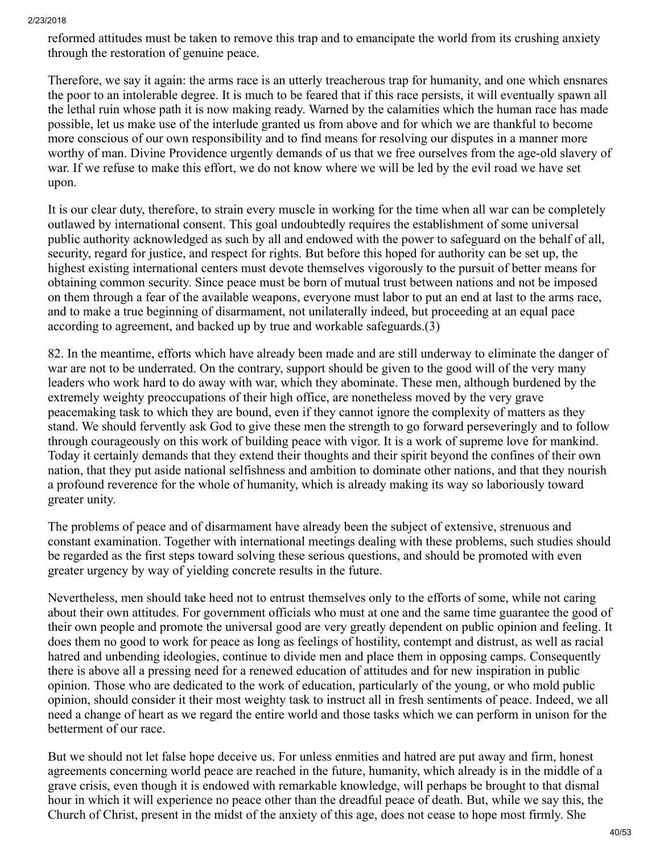reformed attitudes must be taken to remove this trap and to emancipate the world from its crushing anxiety through the restoration of genuine peace.

Therefore, we say it again: the arms race is an utterly treacherous trap for humanity, and one which ensnares the poor to an intolerable degree. It is much to be feared that if this race persists, it will eventually spawn all the lethal ruin whose path it is now making ready. Warned by the calamities which the human race has made possible, let us make use of the interlude granted us from above and for which we are thankful to become more conscious of our own responsibility and to find means for resolving our disputes in a manner more worthy of man. Divine Providence urgently demands of us that we free ourselves from the age-old slavery of war. If we refuse to make this effort, we do not know where we will be led by the evil road we have set upon.

It is our clear duty, therefore, to strain every muscle in working for the time when all war can be completely outlawed by international consent. This goal undoubtedly requires the establishment of some universal public authority acknowledged as such by all and endowed with the power to safeguard on the behalf of all, security, regard for justice, and respect for rights. But before this hoped for authority can be set up, the highest existing international centers must devote themselves vigorously to the pursuit of better means for obtaining common security. Since peace must be born of mutual trust between nations and not be imposed on them through a fear of the available weapons, everyone must labor to put an end at last to the arms race, and to make a true beginning of disarmament, not unilaterally indeed, but proceeding at an equal pace according to agreement, and backed up by true and workable safeguards.(3)

82. In the meantime, efforts which have already been made and are still underway to eliminate the danger of war are not to be underrated. On the contrary, support should be given to the good will of the very many leaders who work hard to do away with war, which they abominate. These men, although burdened by the extremely weighty preoccupations of their high office, are nonetheless moved by the very grave peacemaking task to which they are bound, even if they cannot ignore the complexity of matters as they stand. We should fervently ask God to give these men the strength to go forward perseveringly and to follow through courageously on this work of building peace with vigor. It is a work of supreme love for mankind. Today it certainly demands that they extend their thoughts and their spirit beyond the confines of their own nation, that they put aside national selfishness and ambition to dominate other nations, and that they nourish a profound reverence for the whole of humanity, which is already making its way so laboriously toward greater unity.

The problems of peace and of disarmament have already been the subject of extensive, strenuous and constant examination. Together with international meetings dealing with these problems, such studies should be regarded as the first steps toward solving these serious questions, and should be promoted with even greater urgency by way of yielding concrete results in the future.

Nevertheless, men should take heed not to entrust themselves only to the efforts of some, while not caring about their own attitudes. For government officials who must at one and the same time guarantee the good of their own people and promote the universal good are very greatly dependent on public opinion and feeling. It does them no good to work for peace as long as feelings of hostility, contempt and distrust, as well as racial hatred and unbending ideologies, continue to divide men and place them in opposing camps. Consequently there is above all a pressing need for a renewed education of attitudes and for new inspiration in public opinion. Those who are dedicated to the work of education, particularly of the young, or who mold public opinion, should consider it their most weighty task to instruct all in fresh sentiments of peace. Indeed, we all need a change of heart as we regard the entire world and those tasks which we can perform in unison for the betterment of our race.

But we should not let false hope deceive us. For unless enmities and hatred are put away and firm, honest agreements concerning world peace are reached in the future, humanity, which already is in the middle of a grave crisis, even though it is endowed with remarkable knowledge, will perhaps be brought to that dismal hour in which it will experience no peace other than the dreadful peace of death. But, while we say this, the Church of Christ, present in the midst of the anxiety of this age, does not cease to hope most firmly. She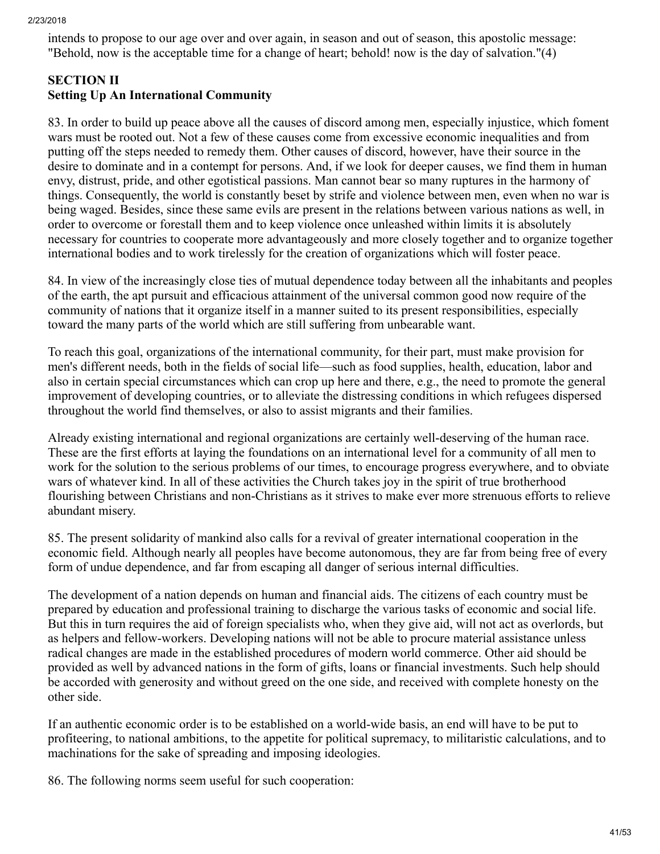intends to propose to our age over and over again, in season and out of season, this apostolic message: "Behold, now is the acceptable time for a change of heart; behold! now is the day of salvation."(4)

## SECTION II Setting Up An International Community

83. In order to build up peace above all the causes of discord among men, especially injustice, which foment wars must be rooted out. Not a few of these causes come from excessive economic inequalities and from putting off the steps needed to remedy them. Other causes of discord, however, have their source in the desire to dominate and in a contempt for persons. And, if we look for deeper causes, we find them in human envy, distrust, pride, and other egotistical passions. Man cannot bear so many ruptures in the harmony of things. Consequently, the world is constantly beset by strife and violence between men, even when no war is being waged. Besides, since these same evils are present in the relations between various nations as well, in order to overcome or forestall them and to keep violence once unleashed within limits it is absolutely necessary for countries to cooperate more advantageously and more closely together and to organize together international bodies and to work tirelessly for the creation of organizations which will foster peace.

84. In view of the increasingly close ties of mutual dependence today between all the inhabitants and peoples of the earth, the apt pursuit and efficacious attainment of the universal common good now require of the community of nations that it organize itself in a manner suited to its present responsibilities, especially toward the many parts of the world which are still suffering from unbearable want.

To reach this goal, organizations of the international community, for their part, must make provision for men's different needs, both in the fields of social life—such as food supplies, health, education, labor and also in certain special circumstances which can crop up here and there, e.g., the need to promote the general improvement of developing countries, or to alleviate the distressing conditions in which refugees dispersed throughout the world find themselves, or also to assist migrants and their families.

Already existing international and regional organizations are certainly well-deserving of the human race. These are the first efforts at laying the foundations on an international level for a community of all men to work for the solution to the serious problems of our times, to encourage progress everywhere, and to obviate wars of whatever kind. In all of these activities the Church takes joy in the spirit of true brotherhood flourishing between Christians and non-Christians as it strives to make ever more strenuous efforts to relieve abundant misery.

85. The present solidarity of mankind also calls for a revival of greater international cooperation in the economic field. Although nearly all peoples have become autonomous, they are far from being free of every form of undue dependence, and far from escaping all danger of serious internal difficulties.

The development of a nation depends on human and financial aids. The citizens of each country must be prepared by education and professional training to discharge the various tasks of economic and social life. But this in turn requires the aid of foreign specialists who, when they give aid, will not act as overlords, but as helpers and fellow-workers. Developing nations will not be able to procure material assistance unless radical changes are made in the established procedures of modern world commerce. Other aid should be provided as well by advanced nations in the form of gifts, loans or financial investments. Such help should be accorded with generosity and without greed on the one side, and received with complete honesty on the other side.

If an authentic economic order is to be established on a world-wide basis, an end will have to be put to profiteering, to national ambitions, to the appetite for political supremacy, to militaristic calculations, and to machinations for the sake of spreading and imposing ideologies.

86. The following norms seem useful for such cooperation: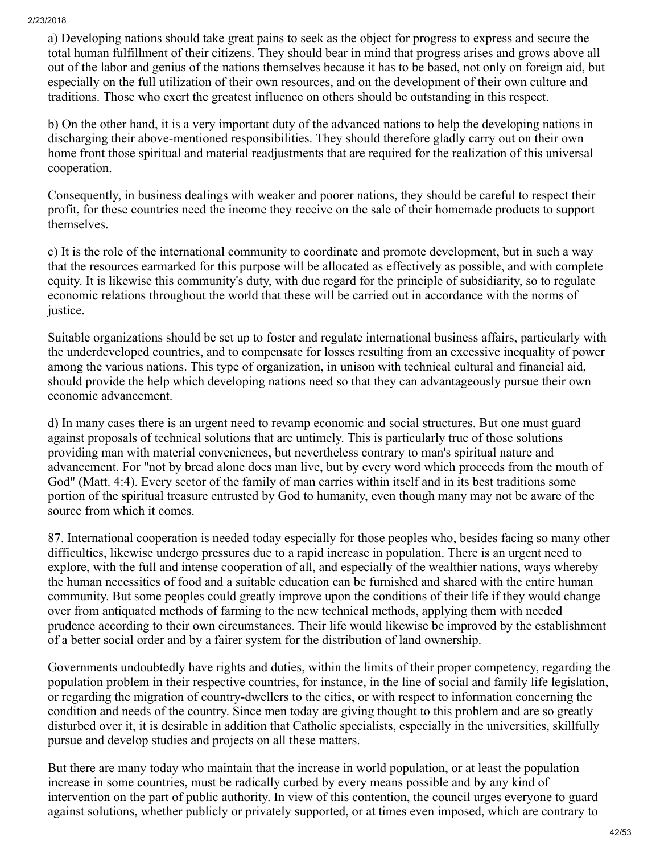a) Developing nations should take great pains to seek as the object for progress to express and secure the total human fulfillment of their citizens. They should bear in mind that progress arises and grows above all out of the labor and genius of the nations themselves because it has to be based, not only on foreign aid, but especially on the full utilization of their own resources, and on the development of their own culture and traditions. Those who exert the greatest influence on others should be outstanding in this respect.

b) On the other hand, it is a very important duty of the advanced nations to help the developing nations in discharging their above-mentioned responsibilities. They should therefore gladly carry out on their own home front those spiritual and material readjustments that are required for the realization of this universal cooperation.

Consequently, in business dealings with weaker and poorer nations, they should be careful to respect their profit, for these countries need the income they receive on the sale of their homemade products to support themselves.

c) It is the role of the international community to coordinate and promote development, but in such a way that the resources earmarked for this purpose will be allocated as effectively as possible, and with complete equity. It is likewise this community's duty, with due regard for the principle of subsidiarity, so to regulate economic relations throughout the world that these will be carried out in accordance with the norms of justice.

Suitable organizations should be set up to foster and regulate international business affairs, particularly with the underdeveloped countries, and to compensate for losses resulting from an excessive inequality of power among the various nations. This type of organization, in unison with technical cultural and financial aid, should provide the help which developing nations need so that they can advantageously pursue their own economic advancement.

d) In many cases there is an urgent need to revamp economic and social structures. But one must guard against proposals of technical solutions that are untimely. This is particularly true of those solutions providing man with material conveniences, but nevertheless contrary to man's spiritual nature and advancement. For "not by bread alone does man live, but by every word which proceeds from the mouth of God" (Matt. 4:4). Every sector of the family of man carries within itself and in its best traditions some portion of the spiritual treasure entrusted by God to humanity, even though many may not be aware of the source from which it comes.

87. International cooperation is needed today especially for those peoples who, besides facing so many other difficulties, likewise undergo pressures due to a rapid increase in population. There is an urgent need to explore, with the full and intense cooperation of all, and especially of the wealthier nations, ways whereby the human necessities of food and a suitable education can be furnished and shared with the entire human community. But some peoples could greatly improve upon the conditions of their life if they would change over from antiquated methods of farming to the new technical methods, applying them with needed prudence according to their own circumstances. Their life would likewise be improved by the establishment of a better social order and by a fairer system for the distribution of land ownership.

Governments undoubtedly have rights and duties, within the limits of their proper competency, regarding the population problem in their respective countries, for instance, in the line of social and family life legislation, or regarding the migration of country-dwellers to the cities, or with respect to information concerning the condition and needs of the country. Since men today are giving thought to this problem and are so greatly disturbed over it, it is desirable in addition that Catholic specialists, especially in the universities, skillfully pursue and develop studies and projects on all these matters.

But there are many today who maintain that the increase in world population, or at least the population increase in some countries, must be radically curbed by every means possible and by any kind of intervention on the part of public authority. In view of this contention, the council urges everyone to guard against solutions, whether publicly or privately supported, or at times even imposed, which are contrary to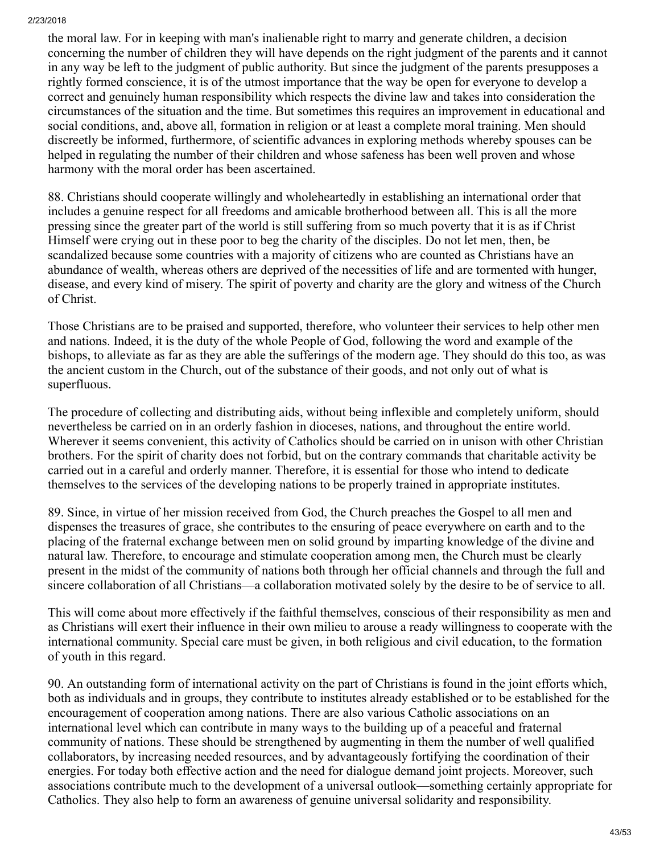the moral law. For in keeping with man's inalienable right to marry and generate children, a decision concerning the number of children they will have depends on the right judgment of the parents and it cannot in any way be left to the judgment of public authority. But since the judgment of the parents presupposes a rightly formed conscience, it is of the utmost importance that the way be open for everyone to develop a correct and genuinely human responsibility which respects the divine law and takes into consideration the circumstances of the situation and the time. But sometimes this requires an improvement in educational and social conditions, and, above all, formation in religion or at least a complete moral training. Men should discreetly be informed, furthermore, of scientific advances in exploring methods whereby spouses can be helped in regulating the number of their children and whose safeness has been well proven and whose harmony with the moral order has been ascertained.

88. Christians should cooperate willingly and wholeheartedly in establishing an international order that includes a genuine respect for all freedoms and amicable brotherhood between all. This is all the more pressing since the greater part of the world is still suffering from so much poverty that it is as if Christ Himself were crying out in these poor to beg the charity of the disciples. Do not let men, then, be scandalized because some countries with a majority of citizens who are counted as Christians have an abundance of wealth, whereas others are deprived of the necessities of life and are tormented with hunger, disease, and every kind of misery. The spirit of poverty and charity are the glory and witness of the Church of Christ.

Those Christians are to be praised and supported, therefore, who volunteer their services to help other men and nations. Indeed, it is the duty of the whole People of God, following the word and example of the bishops, to alleviate as far as they are able the sufferings of the modern age. They should do this too, as was the ancient custom in the Church, out of the substance of their goods, and not only out of what is superfluous.

The procedure of collecting and distributing aids, without being inflexible and completely uniform, should nevertheless be carried on in an orderly fashion in dioceses, nations, and throughout the entire world. Wherever it seems convenient, this activity of Catholics should be carried on in unison with other Christian brothers. For the spirit of charity does not forbid, but on the contrary commands that charitable activity be carried out in a careful and orderly manner. Therefore, it is essential for those who intend to dedicate themselves to the services of the developing nations to be properly trained in appropriate institutes.

89. Since, in virtue of her mission received from God, the Church preaches the Gospel to all men and dispenses the treasures of grace, she contributes to the ensuring of peace everywhere on earth and to the placing of the fraternal exchange between men on solid ground by imparting knowledge of the divine and natural law. Therefore, to encourage and stimulate cooperation among men, the Church must be clearly present in the midst of the community of nations both through her official channels and through the full and sincere collaboration of all Christians—a collaboration motivated solely by the desire to be of service to all.

This will come about more effectively if the faithful themselves, conscious of their responsibility as men and as Christians will exert their influence in their own milieu to arouse a ready willingness to cooperate with the international community. Special care must be given, in both religious and civil education, to the formation of youth in this regard.

90. An outstanding form of international activity on the part of Christians is found in the joint efforts which, both as individuals and in groups, they contribute to institutes already established or to be established for the encouragement of cooperation among nations. There are also various Catholic associations on an international level which can contribute in many ways to the building up of a peaceful and fraternal community of nations. These should be strengthened by augmenting in them the number of well qualified collaborators, by increasing needed resources, and by advantageously fortifying the coordination of their energies. For today both effective action and the need for dialogue demand joint projects. Moreover, such associations contribute much to the development of a universal outlook—something certainly appropriate for Catholics. They also help to form an awareness of genuine universal solidarity and responsibility.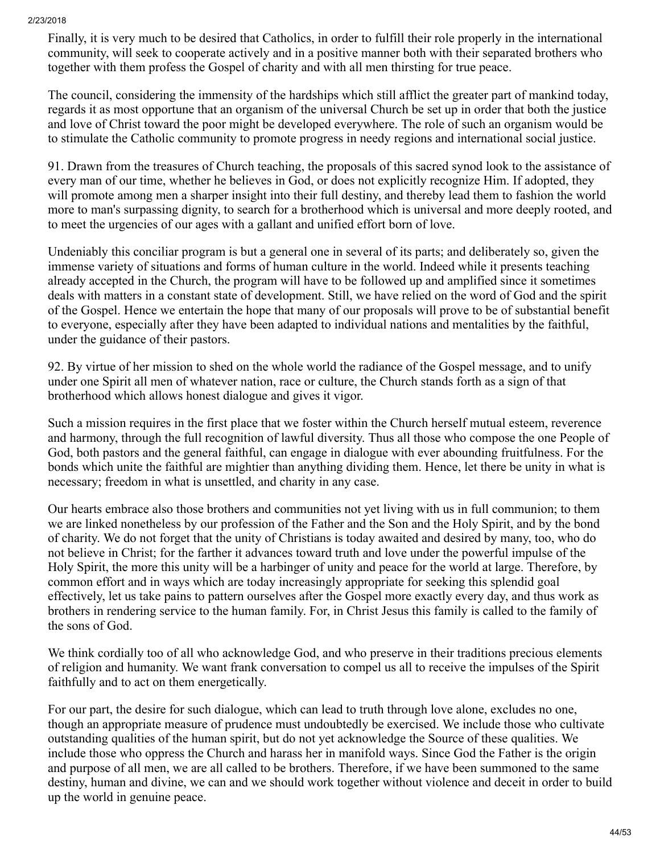Finally, it is very much to be desired that Catholics, in order to fulfill their role properly in the international community, will seek to cooperate actively and in a positive manner both with their separated brothers who together with them profess the Gospel of charity and with all men thirsting for true peace.

The council, considering the immensity of the hardships which still afflict the greater part of mankind today, regards it as most opportune that an organism of the universal Church be set up in order that both the justice and love of Christ toward the poor might be developed everywhere. The role of such an organism would be to stimulate the Catholic community to promote progress in needy regions and international social justice.

91. Drawn from the treasures of Church teaching, the proposals of this sacred synod look to the assistance of every man of our time, whether he believes in God, or does not explicitly recognize Him. If adopted, they will promote among men a sharper insight into their full destiny, and thereby lead them to fashion the world more to man's surpassing dignity, to search for a brotherhood which is universal and more deeply rooted, and to meet the urgencies of our ages with a gallant and unified effort born of love.

Undeniably this conciliar program is but a general one in several of its parts; and deliberately so, given the immense variety of situations and forms of human culture in the world. Indeed while it presents teaching already accepted in the Church, the program will have to be followed up and amplified since it sometimes deals with matters in a constant state of development. Still, we have relied on the word of God and the spirit of the Gospel. Hence we entertain the hope that many of our proposals will prove to be of substantial benefit to everyone, especially after they have been adapted to individual nations and mentalities by the faithful, under the guidance of their pastors.

92. By virtue of her mission to shed on the whole world the radiance of the Gospel message, and to unify under one Spirit all men of whatever nation, race or culture, the Church stands forth as a sign of that brotherhood which allows honest dialogue and gives it vigor.

Such a mission requires in the first place that we foster within the Church herself mutual esteem, reverence and harmony, through the full recognition of lawful diversity. Thus all those who compose the one People of God, both pastors and the general faithful, can engage in dialogue with ever abounding fruitfulness. For the bonds which unite the faithful are mightier than anything dividing them. Hence, let there be unity in what is necessary; freedom in what is unsettled, and charity in any case.

Our hearts embrace also those brothers and communities not yet living with us in full communion; to them we are linked nonetheless by our profession of the Father and the Son and the Holy Spirit, and by the bond of charity. We do not forget that the unity of Christians is today awaited and desired by many, too, who do not believe in Christ; for the farther it advances toward truth and love under the powerful impulse of the Holy Spirit, the more this unity will be a harbinger of unity and peace for the world at large. Therefore, by common effort and in ways which are today increasingly appropriate for seeking this splendid goal effectively, let us take pains to pattern ourselves after the Gospel more exactly every day, and thus work as brothers in rendering service to the human family. For, in Christ Jesus this family is called to the family of the sons of God.

We think cordially too of all who acknowledge God, and who preserve in their traditions precious elements of religion and humanity. We want frank conversation to compel us all to receive the impulses of the Spirit faithfully and to act on them energetically.

For our part, the desire for such dialogue, which can lead to truth through love alone, excludes no one, though an appropriate measure of prudence must undoubtedly be exercised. We include those who cultivate outstanding qualities of the human spirit, but do not yet acknowledge the Source of these qualities. We include those who oppress the Church and harass her in manifold ways. Since God the Father is the origin and purpose of all men, we are all called to be brothers. Therefore, if we have been summoned to the same destiny, human and divine, we can and we should work together without violence and deceit in order to build up the world in genuine peace.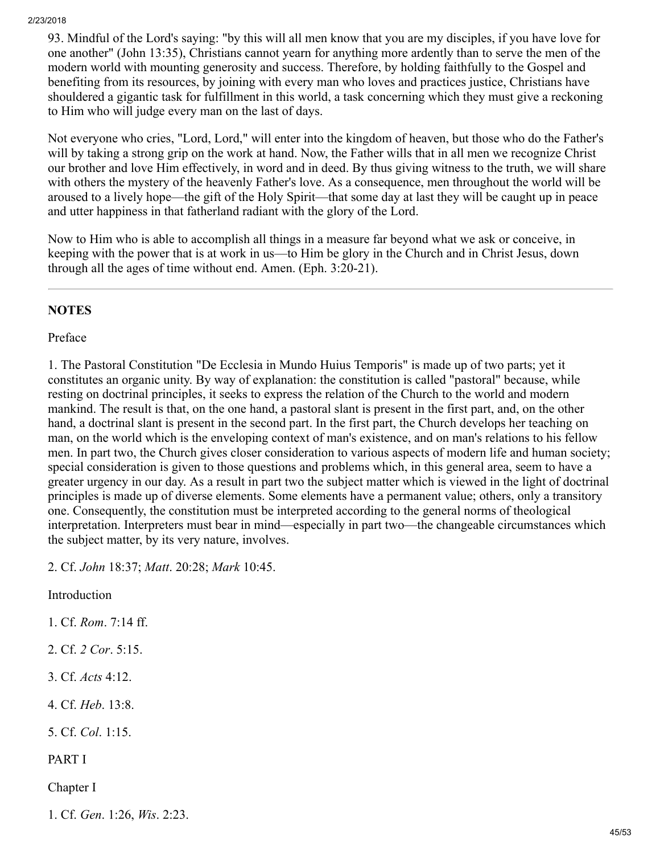93. Mindful of the Lord's saying: "by this will all men know that you are my disciples, if you have love for one another" (John 13:35), Christians cannot yearn for anything more ardently than to serve the men of the modern world with mounting generosity and success. Therefore, by holding faithfully to the Gospel and benefiting from its resources, by joining with every man who loves and practices justice, Christians have shouldered a gigantic task for fulfillment in this world, a task concerning which they must give a reckoning to Him who will judge every man on the last of days.

Not everyone who cries, "Lord, Lord," will enter into the kingdom of heaven, but those who do the Father's will by taking a strong grip on the work at hand. Now, the Father wills that in all men we recognize Christ our brother and love Him effectively, in word and in deed. By thus giving witness to the truth, we will share with others the mystery of the heavenly Father's love. As a consequence, men throughout the world will be aroused to a lively hope—the gift of the Holy Spirit—that some day at last they will be caught up in peace and utter happiness in that fatherland radiant with the glory of the Lord.

Now to Him who is able to accomplish all things in a measure far beyond what we ask or conceive, in keeping with the power that is at work in us—to Him be glory in the Church and in Christ Jesus, down through all the ages of time without end. Amen. (Eph. 3:20-21).

## **NOTES**

Preface

1. The Pastoral Constitution "De Ecclesia in Mundo Huius Temporis" is made up of two parts; yet it constitutes an organic unity. By way of explanation: the constitution is called "pastoral" because, while resting on doctrinal principles, it seeks to express the relation of the Church to the world and modern mankind. The result is that, on the one hand, a pastoral slant is present in the first part, and, on the other hand, a doctrinal slant is present in the second part. In the first part, the Church develops her teaching on man, on the world which is the enveloping context of man's existence, and on man's relations to his fellow men. In part two, the Church gives closer consideration to various aspects of modern life and human society; special consideration is given to those questions and problems which, in this general area, seem to have a greater urgency in our day. As a result in part two the subject matter which is viewed in the light of doctrinal principles is made up of diverse elements. Some elements have a permanent value; others, only a transitory one. Consequently, the constitution must be interpreted according to the general norms of theological interpretation. Interpreters must bear in mind—especially in part two—the changeable circumstances which the subject matter, by its very nature, involves.

2. Cf. *John* 18:37; *Matt*. 20:28; *Mark* 10:45.

Introduction

1. Cf. *Rom*. 7:14 ff.

2. Cf. *2 Cor*. 5:15.

3. Cf. *Acts* 4:12.

4. Cf. *Heb*. 13:8.

5. Cf. *Col*. 1:15.

PART I

Chapter I

1. Cf. *Gen*. 1:26, *Wis*. 2:23.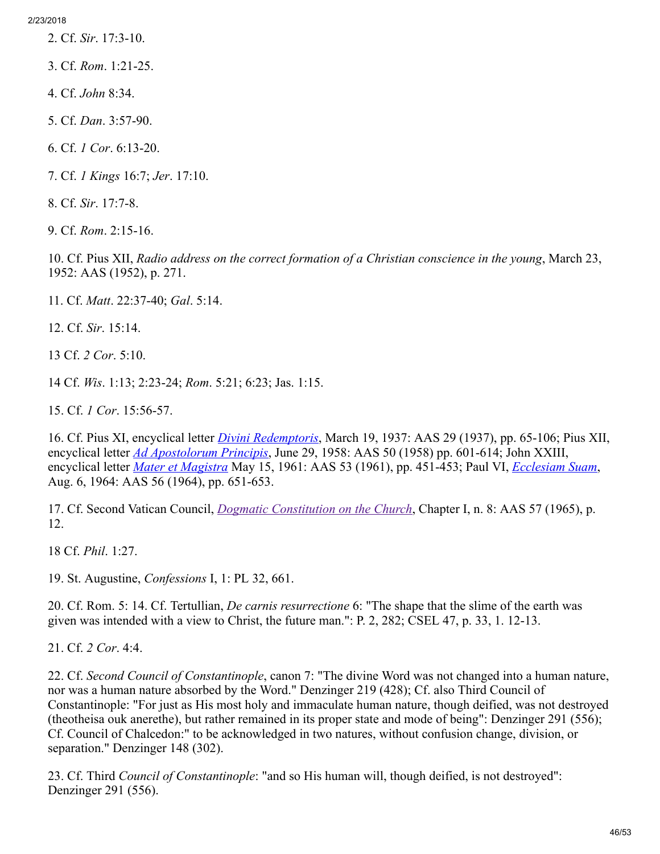2. Cf. *Sir*. 17:3-10.

3. Cf. *Rom*. 1:21-25.

4. Cf. *John* 8:34.

5. Cf. *Dan*. 3:57-90.

6. Cf. *1 Cor*. 6:13-20.

7. Cf. *1 Kings* 16:7; *Jer*. 17:10.

8. Cf. *Sir*. 17:7-8.

9. Cf. *Rom*. 2:15-16.

10. Cf. Pius XII, *Radio address on the correct formation of a Christian conscience in the young*, March 23, 1952: AAS (1952), p. 271.

11. Cf. *Matt*. 22:37-40; *Gal*. 5:14.

12. Cf. *Sir*. 15:14.

13 Cf. *2 Cor*. 5:10.

14 Cf. *Wis*. 1:13; 2:23-24; *Rom*. 5:21; 6:23; Jas. 1:15.

15. Cf. *1 Cor*. 15:56-57.

16. Cf. Pius XI, encyclical letter *[Divini Redemptoris](http://www.vatican.va/holy_father/pius_xi/encyclicals/documents/hf_p-xi_enc_19031937_divini-redemptoris_en.html)*, March 19, 1937: AAS 29 (1937), pp. 65-106; Pius XII, encyclical letter *[Ad Apostolorum Principis](http://www.vatican.va/holy_father/pius_xii/encyclicals/documents/hf_p-xii_enc_29061958_ad-apostolorum-principis_en.html)*, June 29, 1958: AAS 50 (1958) pp. 601-614; John XXIII, encyclical letter *[Mater et Magistra](http://www.vatican.va/holy_father/john_xxiii/encyclicals/documents/hf_j-xxiii_enc_15051961_mater_en.html)* May 15, 1961: AAS 53 (1961), pp. 451-453; Paul VI, *[Ecclesiam Suam](http://www.vatican.va/holy_father/paul_vi/encyclicals/documents/hf_p-vi_enc_06081964_ecclesiam_en.html)*, Aug. 6, 1964: AAS 56 (1964), pp. 651-653.

17. Cf. Second Vatican Council, *[Dogmatic Constitution on the Church](http://www.vatican.va/archive/hist_councils/ii_vatican_council/documents/vat-ii_const_19641121_lumen-gentium_en.html)*, Chapter I, n. 8: AAS 57 (1965), p. 12.

18 Cf. *Phil*. 1:27.

19. St. Augustine, *Confessions* I, 1: PL 32, 661.

20. Cf. Rom. 5: 14. Cf. Tertullian, *De carnis resurrectione* 6: "The shape that the slime of the earth was given was intended with a view to Christ, the future man.": P. 2, 282; CSEL 47, p. 33, 1. 12-13.

21. Cf. *2 Cor*. 4:4.

22. Cf. *Second Council of Constantinople*, canon 7: "The divine Word was not changed into a human nature, nor was a human nature absorbed by the Word." Denzinger 219 (428); Cf. also Third Council of Constantinople: "For just as His most holy and immaculate human nature, though deified, was not destroyed (theotheisa ouk anerethe), but rather remained in its proper state and mode of being": Denzinger 291 (556); Cf. Council of Chalcedon:" to be acknowledged in two natures, without confusion change, division, or separation." Denzinger 148 (302).

23. Cf. Third *Council of Constantinople*: "and so His human will, though deified, is not destroyed": Denzinger 291 (556).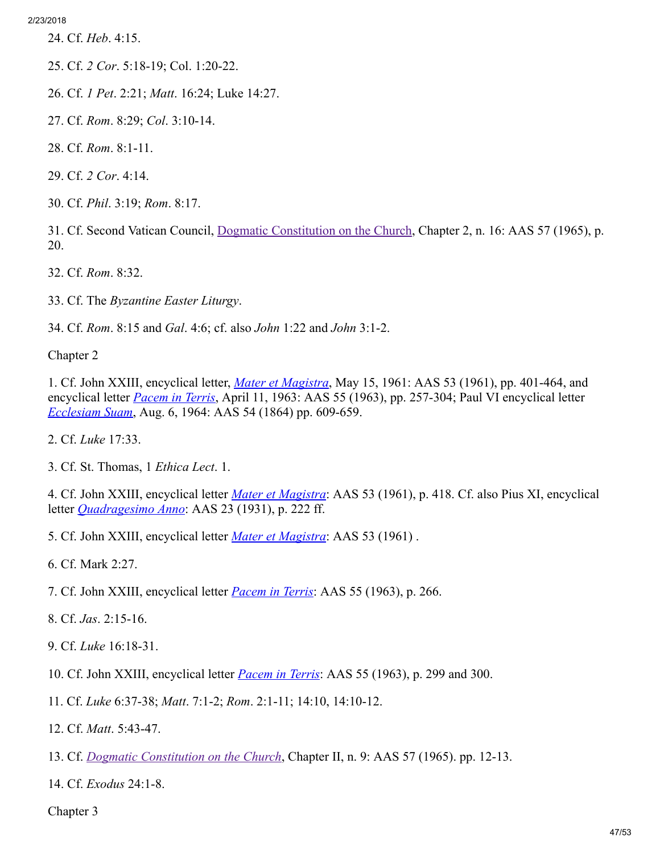24. Cf. *Heb*. 4:15.

25. Cf. *2 Cor*. 5:18-19; Col. 1:20-22.

26. Cf. *1 Pet*. 2:21; *Matt*. 16:24; Luke 14:27.

27. Cf. *Rom*. 8:29; *Col*. 3:10-14.

28. Cf. *Rom*. 8:1-11.

29. Cf. *2 Cor*. 4:14.

30. Cf. *Phil*. 3:19; *Rom*. 8:17.

31. Cf. Second Vatican Council, [Dogmatic Constitution on the Church](http://www.vatican.va/archive/hist_councils/ii_vatican_council/documents/vat-ii_const_19641121_lumen-gentium_en.html), Chapter 2, n. 16: AAS 57 (1965), p. 20.

32. Cf. *Rom*. 8:32.

33. Cf. The *Byzantine Easter Liturgy*.

34. Cf. *Rom*. 8:15 and *Gal*. 4:6; cf. also *John* 1:22 and *John* 3:1-2.

Chapter 2

1. Cf. John XXIII, encyclical letter, *[Mater et Magistra](http://www.vatican.va/holy_father/john_xxiii/encyclicals/documents/hf_j-xxiii_enc_15051961_mater_en.html)*, May 15, 1961: AAS 53 (1961), pp. 401-464, and encyclical letter *[Pacem in Terris](http://www.vatican.va/holy_father/john_xxiii/encyclicals/documents/hf_j-xxiii_enc_11041963_pacem_en.html)*, April 11, 1963: AAS 55 (1963), pp. 257-304; Paul VI encyclical letter *[Ecclesiam Suam](http://www.vatican.va/holy_father/paul_vi/encyclicals/documents/hf_p-vi_enc_06081964_ecclesiam_en.html)*, Aug. 6, 1964: AAS 54 (1864) pp. 609-659.

2. Cf. *Luke* 17:33.

3. Cf. St. Thomas, 1 *Ethica Lect*. 1.

4. Cf. John XXIII, encyclical letter *[Mater et Magistra](http://www.vatican.va/holy_father/john_xxiii/encyclicals/documents/hf_j-xxiii_enc_15051961_mater_en.html)*: AAS 53 (1961), p. 418. Cf. also Pius XI, encyclical letter *[Quadragesimo Anno](http://www.vatican.va/holy_father/pius_xi/encyclicals/documents/hf_p-xi_enc_19310515_quadragesimo-anno_en.html)*: AAS 23 (1931), p. 222 ff.

5. Cf. John XXIII, encyclical letter *[Mater et Magistra](http://www.vatican.va/holy_father/john_xxiii/encyclicals/documents/hf_j-xxiii_enc_15051961_mater_en.html)*: AAS 53 (1961) .

6. Cf. Mark 2:27.

7. Cf. John XXIII, encyclical letter *[Pacem in Terris](http://www.vatican.va/holy_father/john_xxiii/encyclicals/documents/hf_j-xxiii_enc_11041963_pacem_en.html)*: AAS 55 (1963), p. 266.

8. Cf. *Jas*. 2:15-16.

9. Cf. *Luke* 16:18-31.

10. Cf. John XXIII, encyclical letter *[Pacem in Terris](http://www.vatican.va/holy_father/john_xxiii/encyclicals/documents/hf_j-xxiii_enc_11041963_pacem_en.html)*: AAS 55 (1963), p. 299 and 300.

11. Cf. *Luke* 6:37-38; *Matt*. 7:1-2; *Rom*. 2:1-11; 14:10, 14:10-12.

12. Cf. *Matt*. 5:43-47.

13. Cf. *[Dogmatic Constitution on the Church](http://www.vatican.va/archive/hist_councils/ii_vatican_council/documents/vat-ii_const_19641121_lumen-gentium_en.html)*, Chapter II, n. 9: AAS 57 (1965). pp. 12-13.

14. Cf. *Exodus* 24:1-8.

Chapter 3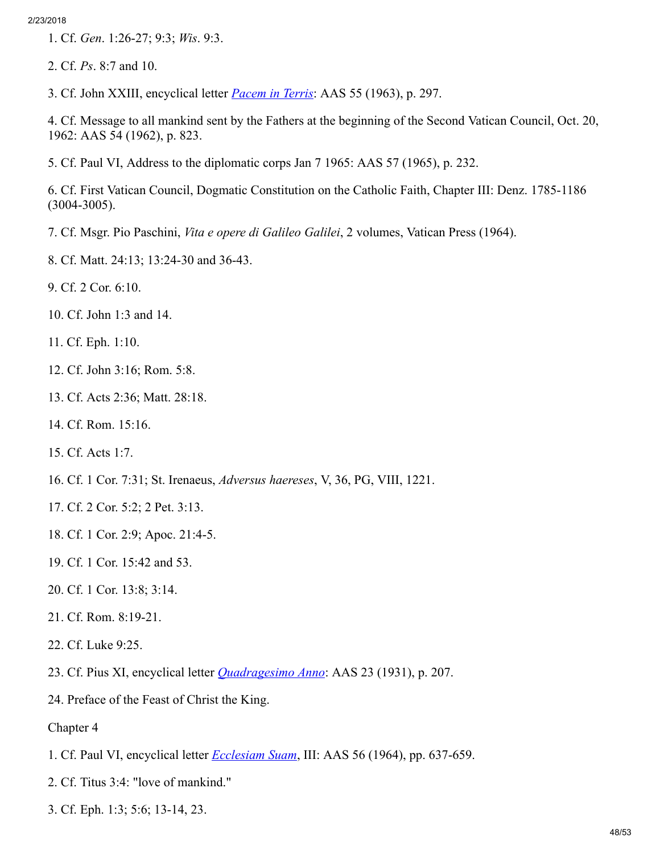- 1. Cf. *Gen*. 1:26-27; 9:3; *Wis*. 9:3.
- 2. Cf. *Ps*. 8:7 and 10.
- 3. Cf. John XXIII, encyclical letter *[Pacem in Terris](http://www.vatican.va/holy_father/john_xxiii/encyclicals/documents/hf_j-xxiii_enc_11041963_pacem_en.html)*: AAS 55 (1963), p. 297.

4. Cf. Message to all mankind sent by the Fathers at the beginning of the Second Vatican Council, Oct. 20, 1962: AAS 54 (1962), p. 823.

5. Cf. Paul VI, Address to the diplomatic corps Jan 7 1965: AAS 57 (1965), p. 232.

6. Cf. First Vatican Council, Dogmatic Constitution on the Catholic Faith, Chapter III: Denz. 1785-1186 (3004-3005).

- 7. Cf. Msgr. Pio Paschini, *Vita e opere di Galileo Galilei*, 2 volumes, Vatican Press (1964).
- 8. Cf. Matt. 24:13; 13:24-30 and 36-43.
- 9. Cf. 2 Cor. 6:10.
- 10. Cf. John 1:3 and 14.
- 11. Cf. Eph. 1:10.
- 12. Cf. John 3:16; Rom. 5:8.
- 13. Cf. Acts 2:36; Matt. 28:18.
- 14. Cf. Rom. 15:16.
- 15. Cf. Acts 1:7.
- 16. Cf. 1 Cor. 7:31; St. Irenaeus, *Adversus haereses*, V, 36, PG, VIII, 1221.
- 17. Cf. 2 Cor. 5:2; 2 Pet. 3:13.
- 18. Cf. 1 Cor. 2:9; Apoc. 21:4-5.
- 19. Cf. 1 Cor. 15:42 and 53.
- 20. Cf. 1 Cor. 13:8; 3:14.
- 21. Cf. Rom. 8:19-21.
- 22. Cf. Luke 9:25.
- 23. Cf. Pius XI, encyclical letter *[Quadragesimo Anno](http://www.vatican.va/holy_father/pius_xi/encyclicals/documents/hf_p-xi_enc_19310515_quadragesimo-anno_en.html)*: AAS 23 (1931), p. 207.
- 24. Preface of the Feast of Christ the King.

### Chapter 4

- 1. Cf. Paul VI, encyclical letter *[Ecclesiam Suam](http://www.vatican.va/holy_father/paul_vi/encyclicals/documents/hf_p-vi_enc_06081964_ecclesiam_en.html)*, III: AAS 56 (1964), pp. 637-659.
- 2. Cf. Titus 3:4: "love of mankind."
- 3. Cf. Eph. 1:3; 5:6; 13-14, 23.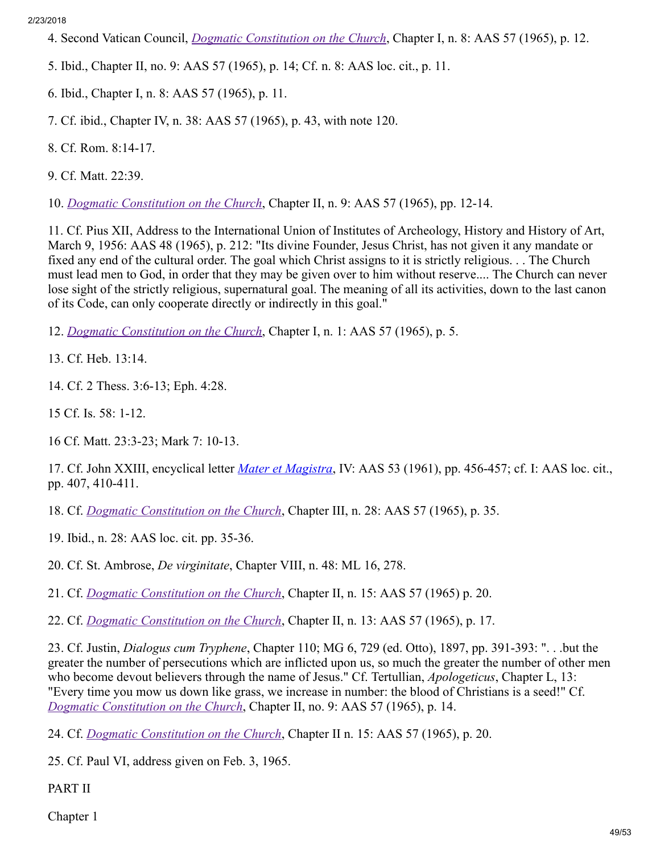- 4. Second Vatican Council, *[Dogmatic Constitution on the Church](http://www.vatican.va/archive/hist_councils/ii_vatican_council/documents/vat-ii_const_19641121_lumen-gentium_en.html)*, Chapter I, n. 8: AAS 57 (1965), p. 12.
- 5. Ibid., Chapter II, no. 9: AAS 57 (1965), p. 14; Cf. n. 8: AAS loc. cit., p. 11.
- 6. Ibid., Chapter I, n. 8: AAS 57 (1965), p. 11.
- 7. Cf. ibid., Chapter IV, n. 38: AAS 57 (1965), p. 43, with note 120.
- 8. Cf. Rom. 8:14-17.
- 9. Cf. Matt. 22:39.

10. *[Dogmatic Constitution on the Church](http://www.vatican.va/archive/hist_councils/ii_vatican_council/documents/vat-ii_const_19641121_lumen-gentium_en.html)*, Chapter II, n. 9: AAS 57 (1965), pp. 12-14.

11. Cf. Pius XII, Address to the International Union of Institutes of Archeology, History and History of Art, March 9, 1956: AAS 48 (1965), p. 212: "Its divine Founder, Jesus Christ, has not given it any mandate or fixed any end of the cultural order. The goal which Christ assigns to it is strictly religious. . . The Church must lead men to God, in order that they may be given over to him without reserve.... The Church can never lose sight of the strictly religious, supernatural goal. The meaning of all its activities, down to the last canon of its Code, can only cooperate directly or indirectly in this goal."

- 12. *[Dogmatic Constitution on the Church](http://www.vatican.va/archive/hist_councils/ii_vatican_council/documents/vat-ii_const_19641121_lumen-gentium_en.html)*, Chapter I, n. 1: AAS 57 (1965), p. 5.
- 13. Cf. Heb. 13:14.
- 14. Cf. 2 Thess. 3:6-13; Eph. 4:28.
- 15 Cf. Is. 58: 1-12.
- 16 Cf. Matt. 23:3-23; Mark 7: 10-13.

17. Cf. John XXIII, encyclical letter *[Mater et Magistra](http://www.vatican.va/holy_father/john_xxiii/encyclicals/documents/hf_j-xxiii_enc_15051961_mater_en.html)*, IV: AAS 53 (1961), pp. 456-457; cf. I: AAS loc. cit., pp. 407, 410-411.

- 18. Cf. *[Dogmatic Constitution on the Church](http://www.vatican.va/archive/hist_councils/ii_vatican_council/documents/vat-ii_const_19641121_lumen-gentium_en.html)*, Chapter III, n. 28: AAS 57 (1965), p. 35.
- 19. Ibid., n. 28: AAS loc. cit. pp. 35-36.
- 20. Cf. St. Ambrose, *De virginitate*, Chapter VIII, n. 48: ML 16, 278.
- 21. Cf. *[Dogmatic Constitution on the Church](http://www.vatican.va/archive/hist_councils/ii_vatican_council/documents/vat-ii_const_19641121_lumen-gentium_en.html)*, Chapter II, n. 15: AAS 57 (1965) p. 20.
- 22. Cf. *[Dogmatic Constitution on the Church](http://www.vatican.va/archive/hist_councils/ii_vatican_council/documents/vat-ii_const_19641121_lumen-gentium_en.html)*, Chapter II, n. 13: AAS 57 (1965), p. 17.

23. Cf. Justin, *Dialogus cum Tryphene*, Chapter 110; MG 6, 729 (ed. Otto), 1897, pp. 391-393: ". . .but the greater the number of persecutions which are inflicted upon us, so much the greater the number of other men who become devout believers through the name of Jesus." Cf. Tertullian, *Apologeticus*, Chapter L, 13: "Every time you mow us down like grass, we increase in number: the blood of Christians is a seed!" Cf. *[Dogmatic Constitution on the Church](http://www.vatican.va/archive/hist_councils/ii_vatican_council/documents/vat-ii_const_19641121_lumen-gentium_en.html)*, Chapter II, no. 9: AAS 57 (1965), p. 14.

24. Cf. *[Dogmatic Constitution on the Church](http://www.vatican.va/archive/hist_councils/ii_vatican_council/documents/vat-ii_const_19641121_lumen-gentium_en.html)*, Chapter II n. 15: AAS 57 (1965), p. 20.

25. Cf. Paul VI, address given on Feb. 3, 1965.

PART II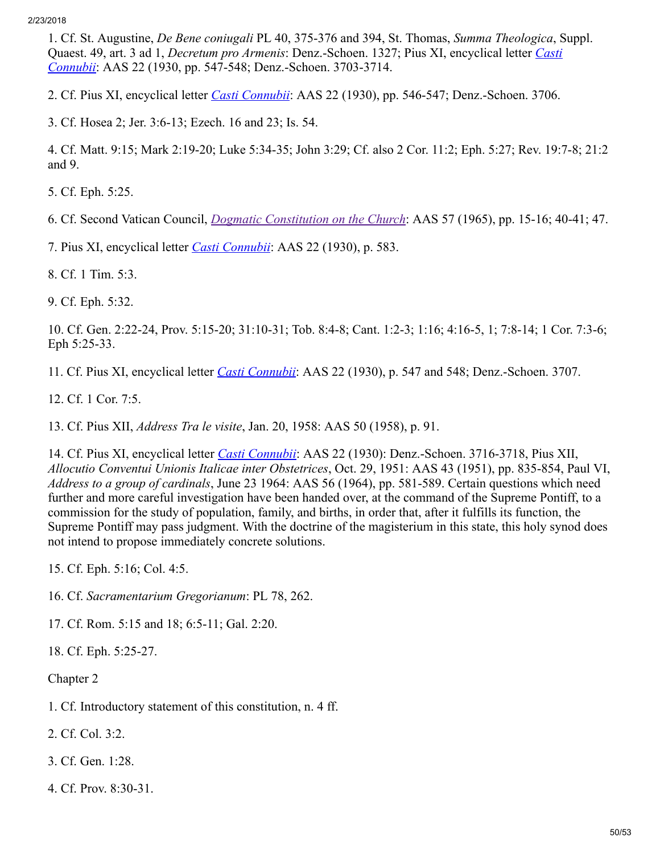1. Cf. St. Augustine, *De Bene coniugali* PL 40, 375-376 and 394, St. Thomas, *Summa Theologica*, Suppl. Quaest. 49, art. 3 ad 1, *Decretum pro Armenis*: Denz.-Schoen. 1327; Pius XI, encyclical letter *Casti Connubii*[: AAS 22 \(1930, pp. 547-548; Denz.-Schoen. 3703-3714.](http://www.vatican.va/holy_father/pius_xi/encyclicals/documents/hf_p-xi_enc_31121930_casti-connubii_en.html)

2. Cf. Pius XI, encyclical letter *[Casti Connubii](http://www.vatican.va/holy_father/pius_xi/encyclicals/documents/hf_p-xi_enc_31121930_casti-connubii_en.html)*: AAS 22 (1930), pp. 546-547; Denz.-Schoen. 3706.

3. Cf. Hosea 2; Jer. 3:6-13; Ezech. 16 and 23; Is. 54.

4. Cf. Matt. 9:15; Mark 2:19-20; Luke 5:34-35; John 3:29; Cf. also 2 Cor. 11:2; Eph. 5:27; Rev. 19:7-8; 21:2 and 9.

5. Cf. Eph. 5:25.

6. Cf. Second Vatican Council, *[Dogmatic Constitution on the Church](http://www.vatican.va/archive/hist_councils/ii_vatican_council/documents/vat-ii_const_19641121_lumen-gentium_en.html)*: AAS 57 (1965), pp. 15-16; 40-41; 47.

7. Pius XI, encyclical letter *[Casti Connubii](http://www.vatican.va/holy_father/pius_xi/encyclicals/documents/hf_p-xi_enc_31121930_casti-connubii_en.html)*: AAS 22 (1930), p. 583.

8. Cf. 1 Tim. 5:3.

9. Cf. Eph. 5:32.

10. Cf. Gen. 2:22-24, Prov. 5:15-20; 31:10-31; Tob. 8:4-8; Cant. 1:2-3; 1:16; 4:16-5, 1; 7:8-14; 1 Cor. 7:3-6; Eph 5:25-33.

11. Cf. Pius XI, encyclical letter *[Casti Connubii](http://www.vatican.va/holy_father/pius_xi/encyclicals/documents/hf_p-xi_enc_31121930_casti-connubii_en.html)*: AAS 22 (1930), p. 547 and 548; Denz.-Schoen. 3707.

12. Cf. 1 Cor. 7:5.

13. Cf. Pius XII, *Address Tra le visite*, Jan. 20, 1958: AAS 50 (1958), p. 91.

14. Cf. Pius XI, encyclical letter *[Casti Connubii](http://www.vatican.va/holy_father/pius_xi/encyclicals/documents/hf_p-xi_enc_31121930_casti-connubii_en.html)*: AAS 22 (1930): Denz.-Schoen. 3716-3718, Pius XII, *Allocutio Conventui Unionis Italicae inter Obstetrices*, Oct. 29, 1951: AAS 43 (1951), pp. 835-854, Paul VI, *Address to a group of cardinals*, June 23 1964: AAS 56 (1964), pp. 581-589. Certain questions which need further and more careful investigation have been handed over, at the command of the Supreme Pontiff, to a commission for the study of population, family, and births, in order that, after it fulfills its function, the Supreme Pontiff may pass judgment. With the doctrine of the magisterium in this state, this holy synod does not intend to propose immediately concrete solutions.

15. Cf. Eph. 5:16; Col. 4:5.

- 16. Cf. *Sacramentarium Gregorianum*: PL 78, 262.
- 17. Cf. Rom. 5:15 and 18; 6:5-11; Gal. 2:20.

18. Cf. Eph. 5:25-27.

Chapter 2

1. Cf. Introductory statement of this constitution, n. 4 ff.

2. Cf. Col. 3:2.

3. Cf. Gen. 1:28.

4. Cf. Prov. 8:30-31.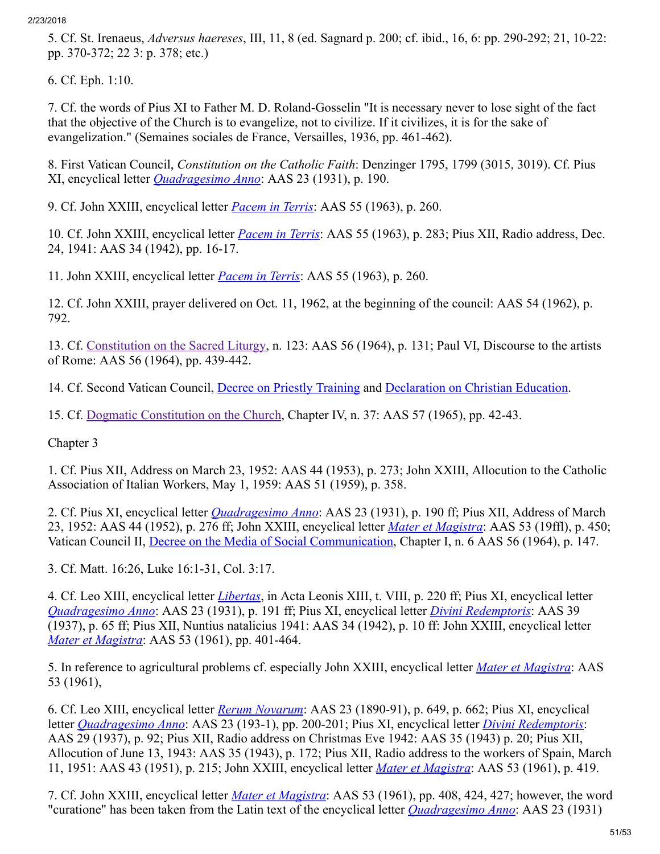5. Cf. St. Irenaeus, *Adversus haereses*, III, 11, 8 (ed. Sagnard p. 200; cf. ibid., 16, 6: pp. 290-292; 21, 10-22: pp. 370-372; 22 3: p. 378; etc.)

6. Cf. Eph. 1:10.

7. Cf. the words of Pius XI to Father M. D. Roland-Gosselin "It is necessary never to lose sight of the fact that the objective of the Church is to evangelize, not to civilize. If it civilizes, it is for the sake of evangelization." (Semaines sociales de France, Versailles, 1936, pp. 461-462).

8. First Vatican Council, *Constitution on the Catholic Faith*: Denzinger 1795, 1799 (3015, 3019). Cf. Pius XI, encyclical letter *[Quadragesimo Anno](http://www.vatican.va/holy_father/pius_xi/encyclicals/documents/hf_p-xi_enc_19310515_quadragesimo-anno_en.html)*: AAS 23 (1931), p. 190.

9. Cf. John XXIII, encyclical letter *[Pacem in Terris](http://www.vatican.va/holy_father/john_xxiii/encyclicals/documents/hf_j-xxiii_enc_11041963_pacem_en.html)*: AAS 55 (1963), p. 260.

10. Cf. John XXIII, encyclical letter *[Pacem in Terris](http://www.vatican.va/holy_father/john_xxiii/encyclicals/documents/hf_j-xxiii_enc_11041963_pacem_en.html)*: AAS 55 (1963), p. 283; Pius XII, Radio address, Dec. 24, 1941: AAS 34 (1942), pp. 16-17.

11. John XXIII, encyclical letter *[Pacem in Terris](http://www.vatican.va/holy_father/john_xxiii/encyclicals/documents/hf_j-xxiii_enc_11041963_pacem_en.html)*: AAS 55 (1963), p. 260.

12. Cf. John XXIII, prayer delivered on Oct. 11, 1962, at the beginning of the council: AAS 54 (1962), p. 792.

13. Cf. [Constitution on the Sacred Liturgy](http://www.vatican.va/archive/hist_councils/ii_vatican_council/documents/vat-ii_const_19631204_sacrosanctum-concilium_en.html), n. 123: AAS 56 (1964), p. 131; Paul VI, Discourse to the artists of Rome: AAS 56 (1964), pp. 439-442.

14. Cf. Second Vatican Council, [Decree on Priestly Training](http://www.vatican.va/archive/hist_councils/ii_vatican_council/documents/vat-ii_decree_19651028_optatam-totius_en.html) and [Declaration on Christian Education](http://www.vatican.va/archive/hist_councils/ii_vatican_council/documents/vat-ii_decl_19651028_gravissimum-educationis_en.html).

15. Cf. [Dogmatic Constitution on the Church](http://www.vatican.va/archive/hist_councils/ii_vatican_council/documents/vat-ii_const_19641121_lumen-gentium_en.html), Chapter IV, n. 37: AAS 57 (1965), pp. 42-43.

Chapter 3

1. Cf. Pius XII, Address on March 23, 1952: AAS 44 (1953), p. 273; John XXIII, Allocution to the Catholic Association of Italian Workers, May 1, 1959: AAS 51 (1959), p. 358.

2. Cf. Pius XI, encyclical letter *[Quadragesimo Anno](http://www.vatican.va/holy_father/pius_xi/encyclicals/documents/hf_p-xi_enc_19310515_quadragesimo-anno_en.html)*: AAS 23 (1931), p. 190 ff; Pius XII, Address of March 23, 1952: AAS 44 (1952), p. 276 ff; John XXIII, encyclical letter *[Mater et Magistra](http://www.vatican.va/holy_father/john_xxiii/encyclicals/documents/hf_j-xxiii_enc_15051961_mater_en.html)*: AAS 53 (19ffl), p. 450; Vatican Council II, [Decree on the Media of Social Communication,](http://www.vatican.va/archive/hist_councils/ii_vatican_council/documents/vat-ii_decree_19631204_inter-mirifica_en.html) Chapter I, n. 6 AAS 56 (1964), p. 147.

3. Cf. Matt. 16:26, Luke 16:1-31, Col. 3:17.

4. Cf. Leo XIII, encyclical letter *[Libertas](http://www.vatican.va/holy_father/leo_xiii/encyclicals/documents/hf_l-xiii_enc_20061888_libertas_en.html)*, in Acta Leonis XIII, t. VIII, p. 220 ff; Pius XI, encyclical letter *[Quadragesimo Anno](http://www.vatican.va/holy_father/pius_xi/encyclicals/documents/hf_p-xi_enc_19310515_quadragesimo-anno_en.html)*: AAS 23 (1931), p. 191 ff; Pius XI, encyclical letter *[Divini Redemptoris](http://www.vatican.va/holy_father/pius_xi/encyclicals/documents/hf_p-xi_enc_19031937_divini-redemptoris_en.html)*: AAS 39 (1937), p. 65 ff; Pius XII, Nuntius natalicius 1941: AAS 34 (1942), p. 10 ff: John XXIII, encyclical letter *[Mater et Magistra](http://www.vatican.va/holy_father/john_xxiii/encyclicals/documents/hf_j-xxiii_enc_15051961_mater_en.html)*: AAS 53 (1961), pp. 401-464.

5. In reference to agricultural problems cf. especially John XXIII, encyclical letter *[Mater et Magistra](http://www.vatican.va/holy_father/john_xxiii/encyclicals/documents/hf_j-xxiii_enc_15051961_mater_en.html)*: AAS 53 (1961),

6. Cf. Leo XIII, encyclical letter *[Rerum Novarum](http://www.vatican.va/holy_father/leo_xiii/encyclicals/documents/hf_l-xiii_enc_15051891_rerum-novarum_en.html)*: AAS 23 (1890-91), p. 649, p. 662; Pius XI, encyclical letter *[Quadragesimo Anno](http://www.vatican.va/holy_father/pius_xi/encyclicals/documents/hf_p-xi_enc_19310515_quadragesimo-anno_en.html)*: AAS 23 (193-1), pp. 200-201; Pius XI, encyclical letter *[Divini Redemptoris](http://www.vatican.va/holy_father/pius_xi/encyclicals/documents/hf_p-xi_enc_19031937_divini-redemptoris_en.html)*: AAS 29 (1937), p. 92; Pius XII, Radio address on Christmas Eve 1942: AAS 35 (1943) p. 20; Pius XII, Allocution of June 13, 1943: AAS 35 (1943), p. 172; Pius XII, Radio address to the workers of Spain, March 11, 1951: AAS 43 (1951), p. 215; John XXIII, encyclical letter *[Mater et Magistra](http://www.vatican.va/holy_father/john_xxiii/encyclicals/documents/hf_j-xxiii_enc_15051961_mater_en.html)*: AAS 53 (1961), p. 419.

7. Cf. John XXIII, encyclical letter *[Mater et Magistra](http://www.vatican.va/holy_father/john_xxiii/encyclicals/documents/hf_j-xxiii_enc_15051961_mater_en.html)*: AAS 53 (1961), pp. 408, 424, 427; however, the word "curatione" has been taken from the Latin text of the encyclical letter *[Quadragesimo Anno](http://www.vatican.va/holy_father/pius_xi/encyclicals/documents/hf_p-xi_enc_19310515_quadragesimo-anno_en.html)*: AAS 23 (1931)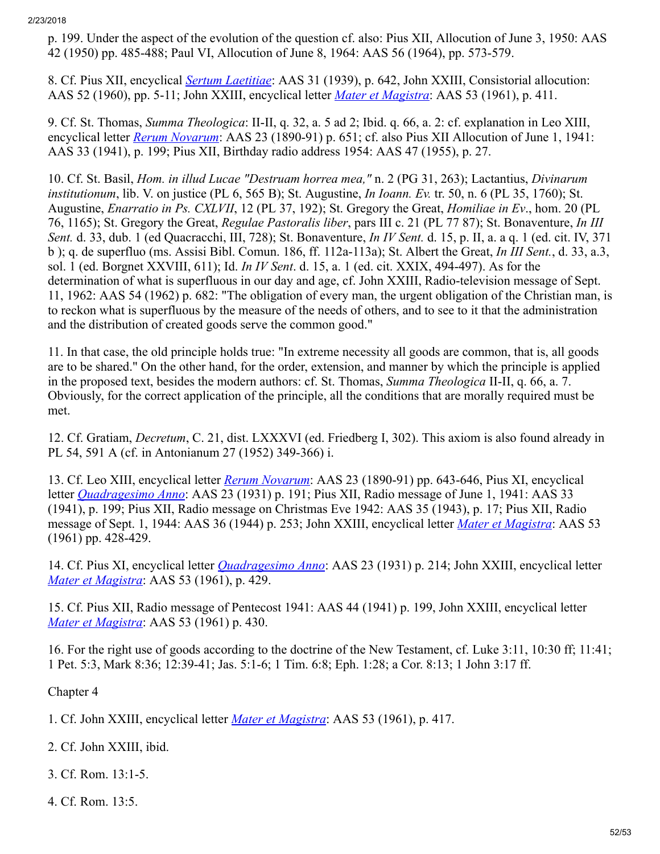p. 199. Under the aspect of the evolution of the question cf. also: Pius XII, Allocution of June 3, 1950: AAS 42 (1950) pp. 485-488; Paul VI, Allocution of June 8, 1964: AAS 56 (1964), pp. 573-579.

8. Cf. Pius XII, encyclical *[Sertum Laetitiae](http://www.vatican.va/holy_father/pius_xii/encyclicals/documents/hf_p-xii_enc_01111939_sertum-laetitiae_en.html)*: AAS 31 (1939), p. 642, John XXIII, Consistorial allocution: AAS 52 (1960), pp. 5-11; John XXIII, encyclical letter *[Mater et Magistra](http://www.vatican.va/holy_father/john_xxiii/encyclicals/documents/hf_j-xxiii_enc_15051961_mater_en.html)*: AAS 53 (1961), p. 411.

9. Cf. St. Thomas, *Summa Theologica*: II-II, q. 32, a. 5 ad 2; Ibid. q. 66, a. 2: cf. explanation in Leo XIII, encyclical letter *[Rerum Novarum](http://www.vatican.va/holy_father/leo_xiii/encyclicals/documents/hf_l-xiii_enc_15051891_rerum-novarum_en.html)*: AAS 23 (1890-91) p. 651; cf. also Pius XII Allocution of June 1, 1941: AAS 33 (1941), p. 199; Pius XII, Birthday radio address 1954: AAS 47 (1955), p. 27.

10. Cf. St. Basil, *Hom. in illud Lucae "Destruam horrea mea,"* n. 2 (PG 31, 263); Lactantius, *Divinarum institutionum*, lib. V. on justice (PL 6, 565 B); St. Augustine, *In Ioann. Ev.* tr. 50, n. 6 (PL 35, 1760); St. Augustine, *Enarratio in Ps. CXLVII*, 12 (PL 37, 192); St. Gregory the Great, *Homiliae in Ev*., hom. 20 (PL 76, 1165); St. Gregory the Great, *Regulae Pastoralis liber*, pars III c. 21 (PL 77 87); St. Bonaventure, *In III Sent.* d. 33, dub. 1 (ed Quacracchi, III, 728); St. Bonaventure, *In IV Sent.* d. 15, p. II, a. a q. 1 (ed. cit. IV, 371 b ); q. de superfluo (ms. Assisi Bibl. Comun. 186, ff. 112a-113a); St. Albert the Great, *In III Sent.*, d. 33, a.3, sol. 1 (ed. Borgnet XXVIII, 611); Id. *In IV Sent*. d. 15, a. 1 (ed. cit. XXIX, 494-497). As for the determination of what is superfluous in our day and age, cf. John XXIII, Radio-television message of Sept. 11, 1962: AAS 54 (1962) p. 682: "The obligation of every man, the urgent obligation of the Christian man, is to reckon what is superfluous by the measure of the needs of others, and to see to it that the administration and the distribution of created goods serve the common good."

11. In that case, the old principle holds true: "In extreme necessity all goods are common, that is, all goods are to be shared." On the other hand, for the order, extension, and manner by which the principle is applied in the proposed text, besides the modern authors: cf. St. Thomas, *Summa Theologica* II-II, q. 66, a. 7. Obviously, for the correct application of the principle, all the conditions that are morally required must be met.

12. Cf. Gratiam, *Decretum*, C. 21, dist. LXXXVI (ed. Friedberg I, 302). This axiom is also found already in PL 54, 591 A (cf. in Antonianum 27 (1952) 349-366) i.

13. Cf. Leo XIII, encyclical letter *[Rerum Novarum](http://www.vatican.va/holy_father/leo_xiii/encyclicals/documents/hf_l-xiii_enc_15051891_rerum-novarum_en.html)*: AAS 23 (1890-91) pp. 643-646, Pius XI, encyclical letter *[Quadragesimo Anno](http://www.vatican.va/holy_father/pius_xi/encyclicals/documents/hf_p-xi_enc_19310515_quadragesimo-anno_en.html)*: AAS 23 (1931) p. 191; Pius XII, Radio message of June 1, 1941: AAS 33 (1941), p. 199; Pius XII, Radio message on Christmas Eve 1942: AAS 35 (1943), p. 17; Pius XII, Radio message of Sept. 1, 1944: AAS 36 (1944) p. 253; John XXIII, encyclical letter *[Mater et Magistra](http://www.vatican.va/holy_father/john_xxiii/encyclicals/documents/hf_j-xxiii_enc_15051961_mater_en.html)*: AAS 53 (1961) pp. 428-429.

14. Cf. Pius XI, encyclical letter *[Quadragesimo Anno](http://www.vatican.va/holy_father/pius_xi/encyclicals/documents/hf_p-xi_enc_19310515_quadragesimo-anno_en.html)*: AAS 23 (1931) p. 214; John XXIII, encyclical letter *[Mater et Magistra](http://www.vatican.va/holy_father/john_xxiii/encyclicals/documents/hf_j-xxiii_enc_15051961_mater_en.html)*: AAS 53 (1961), p. 429.

15. Cf. Pius XII, Radio message of Pentecost 1941: AAS 44 (1941) p. 199, John XXIII, encyclical letter *[Mater et Magistra](http://www.vatican.va/holy_father/john_xxiii/encyclicals/documents/hf_j-xxiii_enc_15051961_mater_en.html)*: AAS 53 (1961) p. 430.

16. For the right use of goods according to the doctrine of the New Testament, cf. Luke 3:11, 10:30 ff; 11:41; 1 Pet. 5:3, Mark 8:36; 12:39-41; Jas. 5:1-6; 1 Tim. 6:8; Eph. 1:28; a Cor. 8:13; 1 John 3:17 ff.

Chapter 4

1. Cf. John XXIII, encyclical letter *[Mater et Magistra](http://www.vatican.va/holy_father/john_xxiii/encyclicals/documents/hf_j-xxiii_enc_15051961_mater_en.html)*: AAS 53 (1961), p. 417.

2. Cf. John XXIII, ibid.

3. Cf. Rom. 13:1-5.

4. Cf. Rom. 13:5.